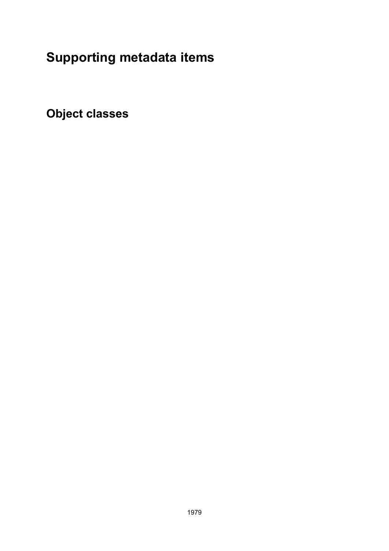# **Supporting metadata items**

**Object classes**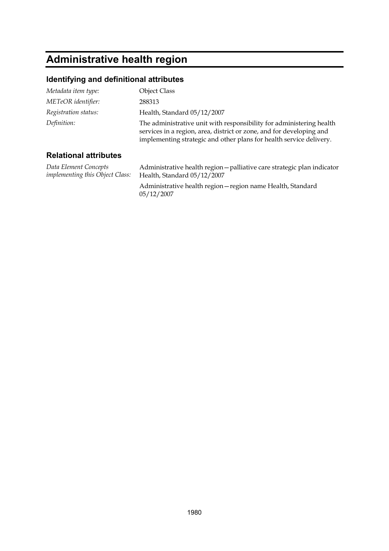# **Administrative health region**

#### **Identifying and definitional attributes**

| Metadata item type:          | Object Class                                                                                                                                                                                                        |
|------------------------------|---------------------------------------------------------------------------------------------------------------------------------------------------------------------------------------------------------------------|
| METeOR identifier:           | 288313                                                                                                                                                                                                              |
| Registration status:         | Health, Standard 05/12/2007                                                                                                                                                                                         |
| Definition:                  | The administrative unit with responsibility for administering health<br>services in a region, area, district or zone, and for developing and<br>implementing strategic and other plans for health service delivery. |
| <b>Relational attributes</b> |                                                                                                                                                                                                                     |

*Data Element Concepts implementing this Object Class:* Administrative health region—palliative care strategic plan indicator Health, Standard 05/12/2007 Administrative health region—region name Health, Standard 05/12/2007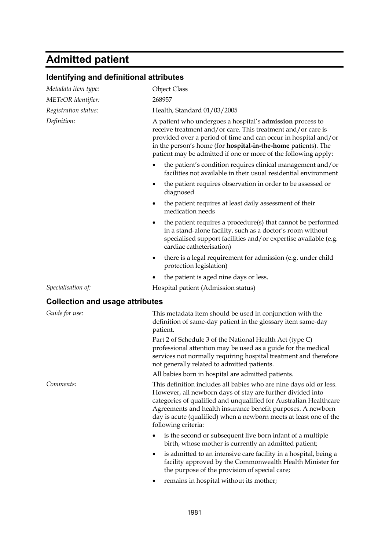# **Admitted patient**

## **Identifying and definitional attributes**

| Metadata item type:                    | <b>Object Class</b>                                                                                                                                                                                                                                                                                                                                              |
|----------------------------------------|------------------------------------------------------------------------------------------------------------------------------------------------------------------------------------------------------------------------------------------------------------------------------------------------------------------------------------------------------------------|
| METeOR identifier:                     | 268957                                                                                                                                                                                                                                                                                                                                                           |
| Registration status:                   | Health, Standard 01/03/2005                                                                                                                                                                                                                                                                                                                                      |
| Definition:                            | A patient who undergoes a hospital's <b>admission</b> process to<br>receive treatment and/or care. This treatment and/or care is<br>provided over a period of time and can occur in hospital and/or<br>in the person's home (for <b>hospital-in-the-home</b> patients). The<br>patient may be admitted if one or more of the following apply:                    |
|                                        | the patient's condition requires clinical management and/or<br>facilities not available in their usual residential environment                                                                                                                                                                                                                                   |
|                                        | the patient requires observation in order to be assessed or<br>diagnosed                                                                                                                                                                                                                                                                                         |
|                                        | the patient requires at least daily assessment of their<br>medication needs                                                                                                                                                                                                                                                                                      |
|                                        | the patient requires a procedure(s) that cannot be performed<br>٠<br>in a stand-alone facility, such as a doctor's room without<br>specialised support facilities and/or expertise available (e.g.<br>cardiac catheterisation)                                                                                                                                   |
|                                        | there is a legal requirement for admission (e.g. under child<br>٠<br>protection legislation)                                                                                                                                                                                                                                                                     |
|                                        | the patient is aged nine days or less.                                                                                                                                                                                                                                                                                                                           |
| Specialisation of:                     | Hospital patient (Admission status)                                                                                                                                                                                                                                                                                                                              |
| <b>Collection and usage attributes</b> |                                                                                                                                                                                                                                                                                                                                                                  |
| Guide for use:                         | This metadata item should be used in conjunction with the<br>definition of same-day patient in the glossary item same-day<br>patient.                                                                                                                                                                                                                            |
|                                        | Part 2 of Schedule 3 of the National Health Act (type C)<br>professional attention may be used as a guide for the medical<br>services not normally requiring hospital treatment and therefore<br>not generally related to admitted patients.                                                                                                                     |
|                                        | All babies born in hospital are admitted patients.                                                                                                                                                                                                                                                                                                               |
| Comments:                              | This definition includes all babies who are nine days old or less.<br>However, all newborn days of stay are further divided into<br>categories of qualified and unqualified for Australian Healthcare<br>Agreements and health insurance benefit purposes. A newborn<br>day is acute (qualified) when a newborn meets at least one of the<br>following criteria: |
|                                        | is the second or subsequent live born infant of a multiple<br>birth, whose mother is currently an admitted patient;                                                                                                                                                                                                                                              |
|                                        | is admitted to an intensive care facility in a hospital, being a<br>facility approved by the Commonwealth Health Minister for<br>the purpose of the provision of special care;                                                                                                                                                                                   |
|                                        | remains in hospital without its mother;                                                                                                                                                                                                                                                                                                                          |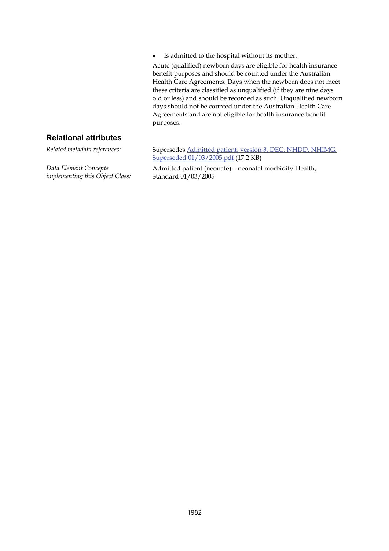is admitted to the hospital without its mother.

Acute (qualified) newborn days are eligible for health insurance benefit purposes and should be counted under the Australian Health Care Agreements. Days when the newborn does not meet these criteria are classified as unqualified (if they are nine days old or less) and should be recorded as such. Unqualified newborn days should not be counted under the Australian Health Care Agreements and are not eligible for health insurance benefit purposes.

#### **Relational attributes**

*Data Element Concepts implementing this Object Class:*

*Related metadata references:* Supersedes [Admitted patient, version 3, DEC, NHDD, NHIMG,](http://meteor.aihw.gov.au/content/item.phtml?itemId=273432&nodeId=file41fd72caf2498&fn=Admitted%20patient,%20version%203,%20DEC,%20NHDD,%20NHIMG,%20Superseded%2001/03/2005.pdf) [Superseded 01/03/2005.pdf](http://meteor.aihw.gov.au/content/item.phtml?itemId=273432&nodeId=file41fd72caf2498&fn=Admitted%20patient,%20version%203,%20DEC,%20NHDD,%20NHIMG,%20Superseded%2001/03/2005.pdf) (17.2 KB)

> Admitted patient (neonate)—neonatal morbidity Health, Standard 01/03/2005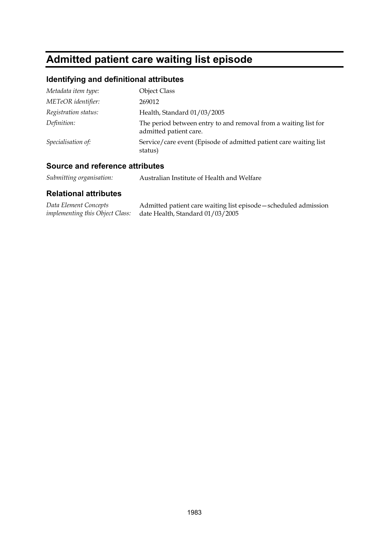# **Admitted patient care waiting list episode**

### **Identifying and definitional attributes**

| Metadata item type:  | <b>Object Class</b>                                                                       |
|----------------------|-------------------------------------------------------------------------------------------|
| METeOR identifier:   | 269012                                                                                    |
| Registration status: | Health, Standard 01/03/2005                                                               |
| Definition:          | The period between entry to and removal from a waiting list for<br>admitted patient care. |
| Specialisation of:   | Service/care event (Episode of admitted patient care waiting list)<br>status)             |

### **Source and reference attributes**

| Data Element Concepts | Admitted patient care waiting list episode – scheduled admission        |
|-----------------------|-------------------------------------------------------------------------|
|                       | <i>implementing this Object Class:</i> date Health, Standard 01/03/2005 |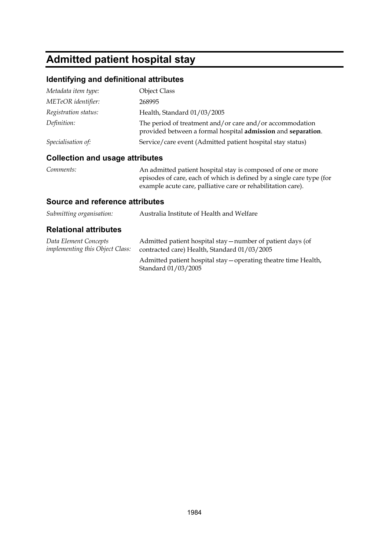# **Admitted patient hospital stay**

### **Identifying and definitional attributes**

| Metadata item type:  | <b>Object Class</b>                                                                                                      |
|----------------------|--------------------------------------------------------------------------------------------------------------------------|
| METeOR identifier:   | 268995                                                                                                                   |
| Registration status: | Health, Standard 01/03/2005                                                                                              |
| Definition:          | The period of treatment and/or care and/or accommodation<br>provided between a formal hospital admission and separation. |
| Specialisation of:   | Service/care event (Admitted patient hospital stay status)                                                               |

### **Collection and usage attributes**

| Comments: | An admitted patient hospital stay is composed of one or more          |
|-----------|-----------------------------------------------------------------------|
|           | episodes of care, each of which is defined by a single care type (for |
|           | example acute care, palliative care or rehabilitation care).          |

#### **Source and reference attributes**

| Submitting organisation:                                        | Australia Institute of Health and Welfare                                                                   |
|-----------------------------------------------------------------|-------------------------------------------------------------------------------------------------------------|
| <b>Relational attributes</b>                                    |                                                                                                             |
| Data Element Concepts<br><i>implementing this Object Class:</i> | Admitted patient hospital stay – number of patient days (of<br>contracted care) Health, Standard 01/03/2005 |
|                                                                 | Admitted patient hospital stay – operating theatre time Health,<br>Standard 01/03/2005                      |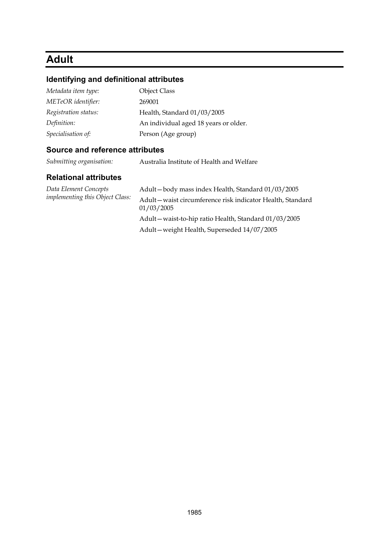## **Adult**

#### **Identifying and definitional attributes**

| Metadata item type:  | <b>Object Class</b>                   |
|----------------------|---------------------------------------|
| METeOR identifier:   | 269001                                |
| Registration status: | Health, Standard 01/03/2005           |
| Definition:          | An individual aged 18 years or older. |
| Specialisation of:   | Person (Age group)                    |

#### **Source and reference attributes**

*Submitting organisation:* Australia Institute of Health and Welfare

#### **Relational attributes**

*Data Element Concepts implementing this Object Class:*

Adult—body mass index Health, Standard 01/03/2005 Adult—waist circumference risk indicator Health, Standard 01/03/2005 Adult—waist-to-hip ratio Health, Standard 01/03/2005 Adult—weight Health, Superseded 14/07/2005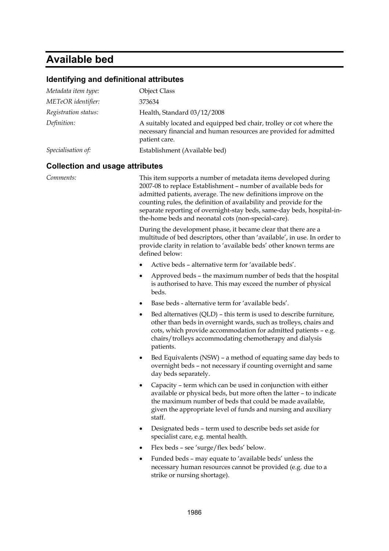# **Available bed**

## **Identifying and definitional attributes**

| Metadata item type:  | <b>Object Class</b>                                                                                                                                       |
|----------------------|-----------------------------------------------------------------------------------------------------------------------------------------------------------|
| METeOR identifier:   | 373634                                                                                                                                                    |
| Registration status: | Health, Standard 03/12/2008                                                                                                                               |
| Definition:          | A suitably located and equipped bed chair, trolley or cot where the<br>necessary financial and human resources are provided for admitted<br>patient care. |
| Specialisation of:   | Establishment (Available bed)                                                                                                                             |

#### **Collection and usage attributes**

| Comments: | This item supports a number of metadata items developed during<br>2007-08 to replace Establishment - number of available beds for<br>admitted patients, average. The new definitions improve on the<br>counting rules, the definition of availability and provide for the<br>separate reporting of overnight-stay beds, same-day beds, hospital-in-<br>the-home beds and neonatal cots (non-special-care).<br>During the development phase, it became clear that there are a<br>multitude of bed descriptors, other than 'available', in use. In order to<br>provide clarity in relation to 'available beds' other known terms are<br>defined below: |
|-----------|------------------------------------------------------------------------------------------------------------------------------------------------------------------------------------------------------------------------------------------------------------------------------------------------------------------------------------------------------------------------------------------------------------------------------------------------------------------------------------------------------------------------------------------------------------------------------------------------------------------------------------------------------|
|           | Active beds - alternative term for 'available beds'.<br>٠                                                                                                                                                                                                                                                                                                                                                                                                                                                                                                                                                                                            |
|           | Approved beds - the maximum number of beds that the hospital<br>٠<br>is authorised to have. This may exceed the number of physical<br>beds.                                                                                                                                                                                                                                                                                                                                                                                                                                                                                                          |
|           | Base beds - alternative term for 'available beds'.<br>$\bullet$                                                                                                                                                                                                                                                                                                                                                                                                                                                                                                                                                                                      |
|           | Bed alternatives (QLD) - this term is used to describe furniture,<br>٠<br>other than beds in overnight wards, such as trolleys, chairs and<br>cots, which provide accommodation for admitted patients - e.g.<br>chairs/trolleys accommodating chemotherapy and dialysis<br>patients.                                                                                                                                                                                                                                                                                                                                                                 |
|           | Bed Equivalents (NSW) – a method of equating same day beds to<br>٠<br>overnight beds - not necessary if counting overnight and same<br>day beds separately.                                                                                                                                                                                                                                                                                                                                                                                                                                                                                          |
|           | Capacity - term which can be used in conjunction with either<br>٠<br>available or physical beds, but more often the latter - to indicate<br>the maximum number of beds that could be made available,<br>given the appropriate level of funds and nursing and auxiliary<br>staff.                                                                                                                                                                                                                                                                                                                                                                     |
|           | Designated beds - term used to describe beds set aside for<br>٠<br>specialist care, e.g. mental health.                                                                                                                                                                                                                                                                                                                                                                                                                                                                                                                                              |
|           | Flex beds - see 'surge/flex beds' below.<br>٠                                                                                                                                                                                                                                                                                                                                                                                                                                                                                                                                                                                                        |
|           | Funded beds - may equate to 'available beds' unless the<br>necessary human resources cannot be provided (e.g. due to a<br>strike or nursing shortage).                                                                                                                                                                                                                                                                                                                                                                                                                                                                                               |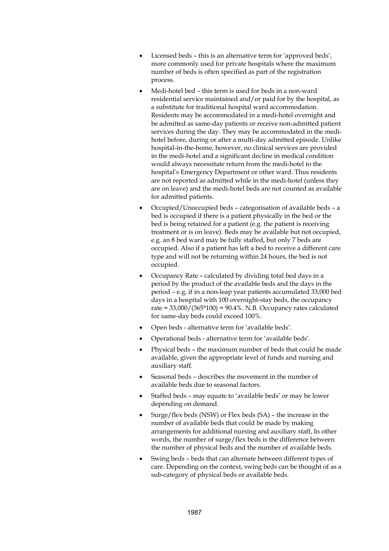- Licensed beds this is an alternative term for 'approved beds', more commonly used for private hospitals where the maximum number of beds is often specified as part of the registration process.
- Medi-hotel bed this term is used for beds in a non-ward residential service maintained and/or paid for by the hospital, as a substitute for traditional hospital ward accommodation. Residents may be accommodated in a medi-hotel overnight and be admitted as same-day patients or receive non-admitted patient services during the day. They may be accommodated in the medihotel before, during or after a multi-day admitted episode. Unlike hospital-in-the-home, however, no clinical services are provided in the medi-hotel and a significant decline in medical condition would always necessitate return from the medi-hotel to the hospital's Emergency Department or other ward. Thus residents are not reported as admitted while in the medi-hotel (unless they are on leave) and the medi-hotel beds are not counted as available for admitted patients.
- Occupied/Unoccupied beds categorisation of available beds a bed is occupied if there is a patient physically in the bed or the bed is being retained for a patient (e.g. the patient is receiving treatment or is on leave). Beds may be available but not occupied, e.g. an 8 bed ward may be fully staffed, but only 7 beds are occupied. Also if a patient has left a bed to receive a different care type and will not be returning within 24 hours, the bed is not occupied.
- Occupancy Rate calculated by dividing total bed days in a period by the product of the available beds and the days in the period – e.g. if in a non-leap year patients accumulated 33,000 bed days in a hospital with 100 overnight-stay beds, the occupancy rate =  $33,000/(365*100)$  =  $90.4\%$ . N.B. Occupancy rates calculated for same-day beds could exceed 100%.
- Open beds alternative term for 'available beds'.
- Operational beds alternative term for 'available beds'.
- Physical beds the maximum number of beds that could be made available, given the appropriate level of funds and nursing and auxiliary staff.
- Seasonal beds describes the movement in the number of available beds due to seasonal factors.
- Staffed beds may equate to 'available beds' or may be lower depending on demand.
- Surge/flex beds (NSW) or Flex beds (SA) the increase in the number of available beds that could be made by making arrangements for additional nursing and auxiliary staff, In other words, the number of surge/flex beds is the difference between the number of physical beds and the number of available beds.
- Swing beds beds that can alternate between different types of care. Depending on the context, swing beds can be thought of as a sub-category of physical beds or available beds.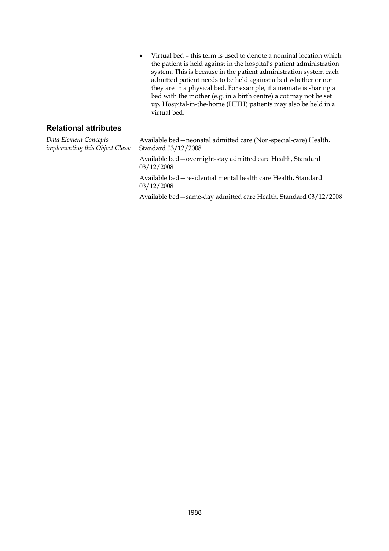Virtual bed – this term is used to denote a nominal location which the patient is held against in the hospital's patient administration system. This is because in the patient administration system each admitted patient needs to be held against a bed whether or not they are in a physical bed. For example, if a neonate is sharing a bed with the mother (e.g. in a birth centre) a cot may not be set up. Hospital-in-the-home (HITH) patients may also be held in a virtual bed.

#### **Relational attributes**

*Data Element Concepts implementing this Object Class:*

Available bed—neonatal admitted care (Non-special-care) Health, Standard 03/12/2008

Available bed—overnight-stay admitted care Health, Standard 03/12/2008

Available bed—residential mental health care Health, Standard 03/12/2008

Available bed—same-day admitted care Health, Standard 03/12/2008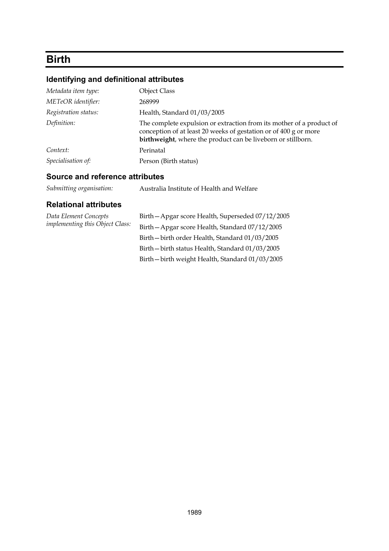# **Birth**

## **Identifying and definitional attributes**

| Metadata item type:  | <b>Object Class</b>                                                                                                                                                                                      |
|----------------------|----------------------------------------------------------------------------------------------------------------------------------------------------------------------------------------------------------|
| METeOR identifier:   | 268999                                                                                                                                                                                                   |
| Registration status: | Health, Standard 01/03/2005                                                                                                                                                                              |
| Definition:          | The complete expulsion or extraction from its mother of a product of<br>conception of at least 20 weeks of gestation or of 400 g or more<br>birthweight, where the product can be liveborn or stillborn. |
| Context:             | Perinatal                                                                                                                                                                                                |
| Specialisation of:   | Person (Birth status)                                                                                                                                                                                    |

### **Source and reference attributes**

| Submitting organisation: | Australia Institute of Health and Welfare |
|--------------------------|-------------------------------------------|
|--------------------------|-------------------------------------------|

| Data Element Concepts<br><i>implementing this Object Class:</i> | Birth - Apgar score Health, Superseded 07/12/2005 |
|-----------------------------------------------------------------|---------------------------------------------------|
|                                                                 | Birth - Apgar score Health, Standard 07/12/2005   |
|                                                                 | Birth - birth order Health, Standard 01/03/2005   |
|                                                                 | Birth-birth status Health, Standard 01/03/2005    |
|                                                                 | Birth-birth weight Health, Standard 01/03/2005    |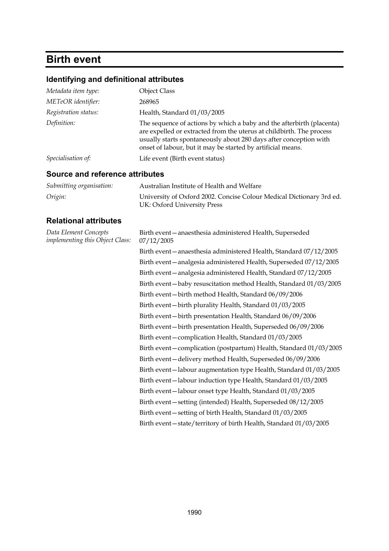# **Birth event**

# **Identifying and definitional attributes**

| Metadata item type:                                      | <b>Object Class</b>                                                                                                                                                                                                                                                               |
|----------------------------------------------------------|-----------------------------------------------------------------------------------------------------------------------------------------------------------------------------------------------------------------------------------------------------------------------------------|
| METeOR identifier:                                       | 268965                                                                                                                                                                                                                                                                            |
| Registration status:                                     | Health, Standard 01/03/2005                                                                                                                                                                                                                                                       |
| Definition:                                              | The sequence of actions by which a baby and the afterbirth (placenta)<br>are expelled or extracted from the uterus at childbirth. The process<br>usually starts spontaneously about 280 days after conception with<br>onset of labour, but it may be started by artificial means. |
| Specialisation of:                                       | Life event (Birth event status)                                                                                                                                                                                                                                                   |
| <b>Source and reference attributes</b>                   |                                                                                                                                                                                                                                                                                   |
| Submitting organisation:                                 | Australian Institute of Health and Welfare                                                                                                                                                                                                                                        |
| Origin:                                                  | University of Oxford 2002. Concise Colour Medical Dictionary 3rd ed.<br>UK: Oxford University Press                                                                                                                                                                               |
| <b>Relational attributes</b>                             |                                                                                                                                                                                                                                                                                   |
| Data Element Concepts<br>implementing this Object Class: | Birth event - anaesthesia administered Health, Superseded<br>07/12/2005                                                                                                                                                                                                           |
|                                                          | Birth event - anaesthesia administered Health, Standard 07/12/2005                                                                                                                                                                                                                |
|                                                          | Birth event-analgesia administered Health, Superseded 07/12/2005                                                                                                                                                                                                                  |
|                                                          | Birth event - analgesia administered Health, Standard 07/12/2005                                                                                                                                                                                                                  |
|                                                          | Birth event-baby resuscitation method Health, Standard 01/03/2005                                                                                                                                                                                                                 |
|                                                          | Birth event-birth method Health, Standard 06/09/2006                                                                                                                                                                                                                              |
|                                                          | Birth event-birth plurality Health, Standard 01/03/2005                                                                                                                                                                                                                           |
|                                                          | Birth event-birth presentation Health, Standard 06/09/2006                                                                                                                                                                                                                        |
|                                                          | Birth event-birth presentation Health, Superseded 06/09/2006                                                                                                                                                                                                                      |
|                                                          | Birth event – complication Health, Standard 01/03/2005                                                                                                                                                                                                                            |
|                                                          | Birth event - complication (postpartum) Health, Standard 01/03/2005                                                                                                                                                                                                               |
|                                                          | Birth event-delivery method Health, Superseded 06/09/2006                                                                                                                                                                                                                         |
|                                                          | Birth event-labour augmentation type Health, Standard 01/03/2005                                                                                                                                                                                                                  |
|                                                          | Birth event-labour induction type Health, Standard 01/03/2005                                                                                                                                                                                                                     |
|                                                          | Birth event-labour onset type Health, Standard 01/03/2005                                                                                                                                                                                                                         |
|                                                          | Birth event - setting (intended) Health, Superseded 08/12/2005                                                                                                                                                                                                                    |
|                                                          | Birth event - setting of birth Health, Standard 01/03/2005                                                                                                                                                                                                                        |
|                                                          | Birth event-state/territory of birth Health, Standard 01/03/2005                                                                                                                                                                                                                  |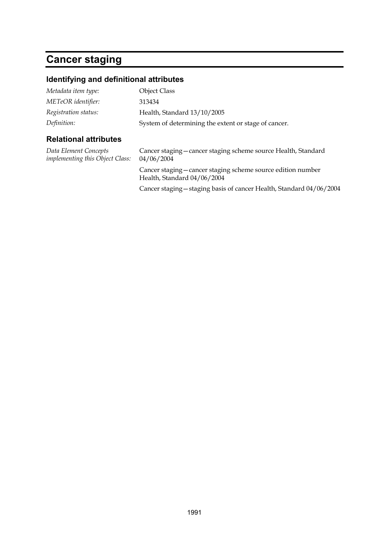# **Cancer staging**

## **Identifying and definitional attributes**

| Definition:          | System of determining the extent or stage of cancer. |
|----------------------|------------------------------------------------------|
| Registration status: | Health, Standard 13/10/2005                          |
| METeOR identifier:   | 313434                                               |
| Metadata item type:  | <b>Object Class</b>                                  |

| Data Element Concepts<br><i>implementing this Object Class:</i> | Cancer staging - cancer staging scheme source Health, Standard<br>04/06/2004                |
|-----------------------------------------------------------------|---------------------------------------------------------------------------------------------|
|                                                                 | Cancer staging – cancer staging scheme source edition number<br>Health, Standard 04/06/2004 |
|                                                                 | Cancer staging – staging basis of cancer Health, Standard 04/06/2004                        |
|                                                                 |                                                                                             |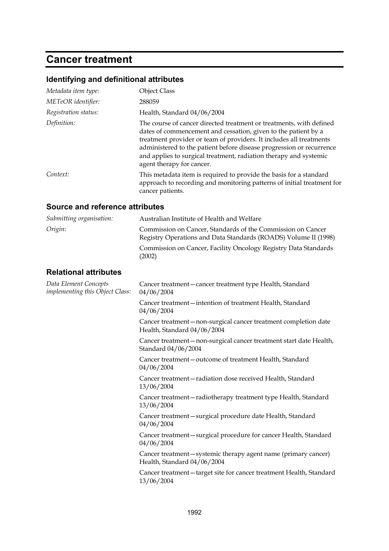## **Cancer treatment**

## **Identifying and definitional attributes**

| Metadata item type:                                             | <b>Object Class</b>                                                                                                                                                                                                                                                                                                                                                                    |
|-----------------------------------------------------------------|----------------------------------------------------------------------------------------------------------------------------------------------------------------------------------------------------------------------------------------------------------------------------------------------------------------------------------------------------------------------------------------|
| METeOR identifier:                                              | 288059                                                                                                                                                                                                                                                                                                                                                                                 |
| Registration status:                                            | Health, Standard 04/06/2004                                                                                                                                                                                                                                                                                                                                                            |
| Definition:                                                     | The course of cancer directed treatment or treatments, with defined<br>dates of commencement and cessation, given to the patient by a<br>treatment provider or team of providers. It includes all treatments<br>administered to the patient before disease progression or recurrence<br>and applies to surgical treatment, radiation therapy and systemic<br>agent therapy for cancer. |
| Context:                                                        | This metadata item is required to provide the basis for a standard<br>approach to recording and monitoring patterns of initial treatment for<br>cancer patients.                                                                                                                                                                                                                       |
| <b>Source and reference attributes</b>                          |                                                                                                                                                                                                                                                                                                                                                                                        |
| Submitting organisation:                                        | Australian Institute of Health and Welfare                                                                                                                                                                                                                                                                                                                                             |
| Origin:                                                         | Commission on Cancer, Standards of the Commission on Cancer<br>Registry Operations and Data Standards (ROADS) Volume II (1998)                                                                                                                                                                                                                                                         |
|                                                                 | Commission on Cancer, Facility Oncology Registry Data Standards<br>(2002)                                                                                                                                                                                                                                                                                                              |
| <b>Relational attributes</b>                                    |                                                                                                                                                                                                                                                                                                                                                                                        |
| Data Element Concepts<br><i>implementing this Object Class:</i> | Cancer treatment - cancer treatment type Health, Standard<br>04/06/2004                                                                                                                                                                                                                                                                                                                |
|                                                                 | Cancer treatment - intention of treatment Health, Standard<br>04/06/2004                                                                                                                                                                                                                                                                                                               |
|                                                                 | Cancer treatment – non-surgical cancer treatment completion date<br>Health, Standard 04/06/2004                                                                                                                                                                                                                                                                                        |
|                                                                 | Cancer treatment-non-surgical cancer treatment start date Health,<br>Standard 04/06/2004                                                                                                                                                                                                                                                                                               |
|                                                                 | Cancer treatment - outcome of treatment Health, Standard<br>04/06/2004                                                                                                                                                                                                                                                                                                                 |
|                                                                 | Cancer treatment-radiation dose received Health, Standard<br>13/06/2004                                                                                                                                                                                                                                                                                                                |
|                                                                 | Cancer treatment - radiotherapy treatment type Health, Standard<br>13/06/2004                                                                                                                                                                                                                                                                                                          |
|                                                                 | Cancer treatment - surgical procedure date Health, Standard<br>04/06/2004                                                                                                                                                                                                                                                                                                              |
|                                                                 | Cancer treatment - surgical procedure for cancer Health, Standard<br>04/06/2004                                                                                                                                                                                                                                                                                                        |
|                                                                 | Cancer treatment - systemic therapy agent name (primary cancer)<br>Health, Standard 04/06/2004                                                                                                                                                                                                                                                                                         |
|                                                                 | Cancer treatment - target site for cancer treatment Health, Standard<br>13/06/2004                                                                                                                                                                                                                                                                                                     |
|                                                                 |                                                                                                                                                                                                                                                                                                                                                                                        |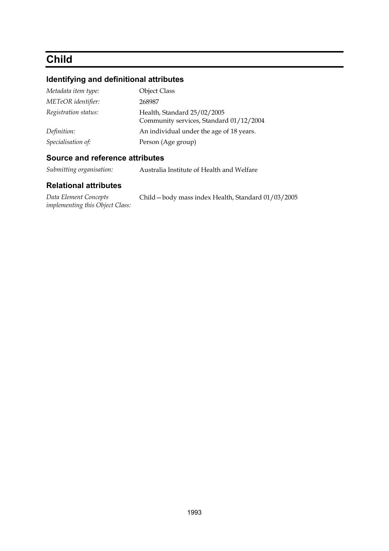# **Child**

## **Identifying and definitional attributes**

| Metadata item type:  | <b>Object Class</b>                                                    |
|----------------------|------------------------------------------------------------------------|
| METeOR identifier:   | 268987                                                                 |
| Registration status: | Health, Standard 25/02/2005<br>Community services, Standard 01/12/2004 |
| Definition:          | An individual under the age of 18 years.                               |
| Specialisation of:   | Person (Age group)                                                     |

### **Source and reference attributes**

*Submitting organisation:* Australia Institute of Health and Welfare

| Data Element Concepts           | Child - body mass index Health, Standard 01/03/2005 |
|---------------------------------|-----------------------------------------------------|
| implementing this Object Class: |                                                     |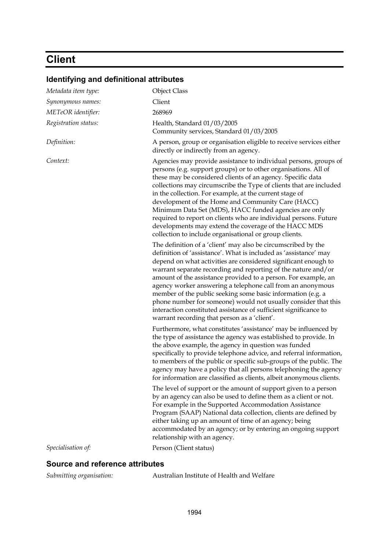# **Client**

| Identifying and definitional attributes |                                                                                                                                                                                                                                                                                                                                                                                                                                                                                                                                                                                                                                                           |
|-----------------------------------------|-----------------------------------------------------------------------------------------------------------------------------------------------------------------------------------------------------------------------------------------------------------------------------------------------------------------------------------------------------------------------------------------------------------------------------------------------------------------------------------------------------------------------------------------------------------------------------------------------------------------------------------------------------------|
| Metadata item type:                     | <b>Object Class</b>                                                                                                                                                                                                                                                                                                                                                                                                                                                                                                                                                                                                                                       |
| Synonymous names:                       | Client                                                                                                                                                                                                                                                                                                                                                                                                                                                                                                                                                                                                                                                    |
| METeOR identifier:                      | 268969                                                                                                                                                                                                                                                                                                                                                                                                                                                                                                                                                                                                                                                    |
| Registration status:                    | Health, Standard 01/03/2005<br>Community services, Standard 01/03/2005                                                                                                                                                                                                                                                                                                                                                                                                                                                                                                                                                                                    |
| Definition:                             | A person, group or organisation eligible to receive services either<br>directly or indirectly from an agency.                                                                                                                                                                                                                                                                                                                                                                                                                                                                                                                                             |
| Context:                                | Agencies may provide assistance to individual persons, groups of<br>persons (e.g. support groups) or to other organisations. All of<br>these may be considered clients of an agency. Specific data<br>collections may circumscribe the Type of clients that are included<br>in the collection. For example, at the current stage of<br>development of the Home and Community Care (HACC)<br>Minimum Data Set (MDS), HACC funded agencies are only<br>required to report on clients who are individual persons. Future<br>developments may extend the coverage of the HACC MDS<br>collection to include organisational or group clients.                   |
|                                         | The definition of a 'client' may also be circumscribed by the<br>definition of 'assistance'. What is included as 'assistance' may<br>depend on what activities are considered significant enough to<br>warrant separate recording and reporting of the nature and/or<br>amount of the assistance provided to a person. For example, an<br>agency worker answering a telephone call from an anonymous<br>member of the public seeking some basic information (e.g. a<br>phone number for someone) would not usually consider that this<br>interaction constituted assistance of sufficient significance to<br>warrant recording that person as a 'client'. |
|                                         | Furthermore, what constitutes 'assistance' may be influenced by<br>the type of assistance the agency was established to provide. In<br>the above example, the agency in question was funded<br>specifically to provide telephone advice, and referral information,<br>to members of the public or specific sub-groups of the public. The<br>agency may have a policy that all persons telephoning the agency<br>for information are classified as clients, albeit anonymous clients.                                                                                                                                                                      |
|                                         | The level of support or the amount of support given to a person<br>by an agency can also be used to define them as a client or not.<br>For example in the Supported Accommodation Assistance<br>Program (SAAP) National data collection, clients are defined by<br>either taking up an amount of time of an agency; being<br>accommodated by an agency; or by entering an ongoing support<br>relationship with an agency.                                                                                                                                                                                                                                 |
| Specialisation of:                      | Person (Client status)                                                                                                                                                                                                                                                                                                                                                                                                                                                                                                                                                                                                                                    |
|                                         |                                                                                                                                                                                                                                                                                                                                                                                                                                                                                                                                                                                                                                                           |

## **Identifying and definitional attributes**

**Source and reference attributes** 

| Submitting organisation: | Australian Institute of Health and Welfare |
|--------------------------|--------------------------------------------|
|--------------------------|--------------------------------------------|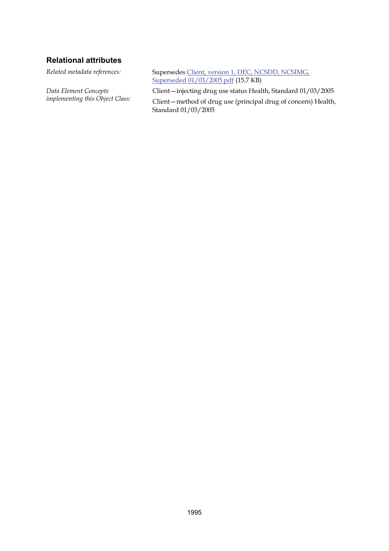#### **Relational attributes**

*Data Element Concepts implementing this Object Class:*

*Related metadata references:* Supersedes [Client, version 1, DEC, NCSDD, NCSIMG,](http://meteor.aihw.gov.au/content/item.phtml?itemId=273482&nodeId=file41fd72d0e82e4&fn=Client,%20version%201,%20DEC,%20NCSDD,%20NCSIMG,%20Superseded%2001/03/2005.pdf)  [Superseded 01/03/2005.pdf](http://meteor.aihw.gov.au/content/item.phtml?itemId=273482&nodeId=file41fd72d0e82e4&fn=Client,%20version%201,%20DEC,%20NCSDD,%20NCSIMG,%20Superseded%2001/03/2005.pdf) (15.7 KB)

Client—injecting drug use status Health, Standard 01/03/2005

Client—method of drug use (principal drug of concern) Health, Standard 01/03/2005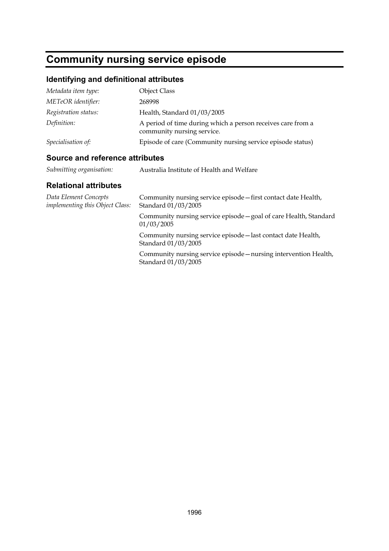# **Community nursing service episode**

## **Identifying and definitional attributes**

| Metadata item type:  | <b>Object Class</b>                                                                       |
|----------------------|-------------------------------------------------------------------------------------------|
| METeOR identifier:   | 268998                                                                                    |
| Registration status: | Health, Standard 01/03/2005                                                               |
| Definition:          | A period of time during which a person receives care from a<br>community nursing service. |
| Specialisation of:   | Episode of care (Community nursing service episode status)                                |

### **Source and reference attributes**

| Submitting organisation: | Australia Institute of Health and Welfare |
|--------------------------|-------------------------------------------|
|--------------------------|-------------------------------------------|

| Data Element Concepts<br><i>implementing this Object Class:</i> | Community nursing service episode - first contact date Health,<br>Standard 01/03/2005   |
|-----------------------------------------------------------------|-----------------------------------------------------------------------------------------|
|                                                                 | Community nursing service episode - goal of care Health, Standard<br>01/03/2005         |
|                                                                 | Community nursing service episode—last contact date Health,<br>Standard 01/03/2005      |
|                                                                 | Community nursing service episode – nursing intervention Health,<br>Standard 01/03/2005 |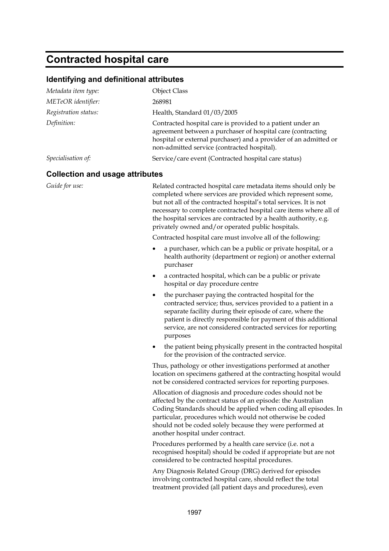## **Contracted hospital care**

#### **Identifying and definitional attributes**

| Metadata item type:  | <b>Object Class</b>                                                                                                                                                                                                                          |
|----------------------|----------------------------------------------------------------------------------------------------------------------------------------------------------------------------------------------------------------------------------------------|
| METeOR identifier:   | 268981                                                                                                                                                                                                                                       |
| Registration status: | Health, Standard 01/03/2005                                                                                                                                                                                                                  |
| Definition:          | Contracted hospital care is provided to a patient under an<br>agreement between a purchaser of hospital care (contracting<br>hospital or external purchaser) and a provider of an admitted or<br>non-admitted service (contracted hospital). |
| Specialisation of:   | Service/care event (Contracted hospital care status)                                                                                                                                                                                         |

#### **Collection and usage attributes**

Guide for use: Related contracted hospital care metadata items should only be completed where services are provided which represent some, but not all of the contracted hospital's total services. It is not necessary to complete contracted hospital care items where all of the hospital services are contracted by a health authority, e.g. privately owned and/or operated public hospitals.

Contracted hospital care must involve all of the following:

- a purchaser, which can be a public or private hospital, or a health authority (department or region) or another external purchaser
- a contracted hospital, which can be a public or private hospital or day procedure centre
- the purchaser paying the contracted hospital for the contracted service; thus, services provided to a patient in a separate facility during their episode of care, where the patient is directly responsible for payment of this additional service, are not considered contracted services for reporting purposes
- the patient being physically present in the contracted hospital for the provision of the contracted service.

Thus, pathology or other investigations performed at another location on specimens gathered at the contracting hospital would not be considered contracted services for reporting purposes.

Allocation of diagnosis and procedure codes should not be affected by the contract status of an episode: the Australian Coding Standards should be applied when coding all episodes. In particular, procedures which would not otherwise be coded should not be coded solely because they were performed at another hospital under contract.

Procedures performed by a health care service (i.e. not a recognised hospital) should be coded if appropriate but are not considered to be contracted hospital procedures.

Any Diagnosis Related Group (DRG) derived for episodes involving contracted hospital care, should reflect the total treatment provided (all patient days and procedures), even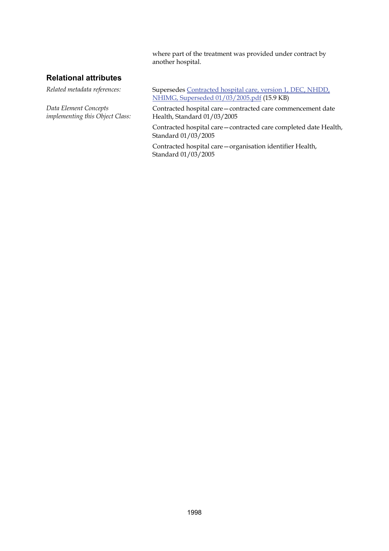where part of the treatment was provided under contract by another hospital.

#### **Relational attributes**

*Data Element Concepts implementing this Object Class:*

*Related metadata references:* Supersedes [Contracted hospital care, version 1, DEC, NHDD,](http://meteor.aihw.gov.au/content/item.phtml?itemId=273255&nodeId=file41fd72ae62409&fn=Contracted%20hospital%20care,%20version%201,%20DEC,%20NHDD,%20NHIMG,%20Superseded%2001/03/2005.pdf)  [NHIMG, Superseded 01/03/2005.pdf](http://meteor.aihw.gov.au/content/item.phtml?itemId=273255&nodeId=file41fd72ae62409&fn=Contracted%20hospital%20care,%20version%201,%20DEC,%20NHDD,%20NHIMG,%20Superseded%2001/03/2005.pdf) (15.9 KB)

> Contracted hospital care—contracted care commencement date Health, Standard 01/03/2005

Contracted hospital care—contracted care completed date Health, Standard 01/03/2005

Contracted hospital care—organisation identifier Health, Standard 01/03/2005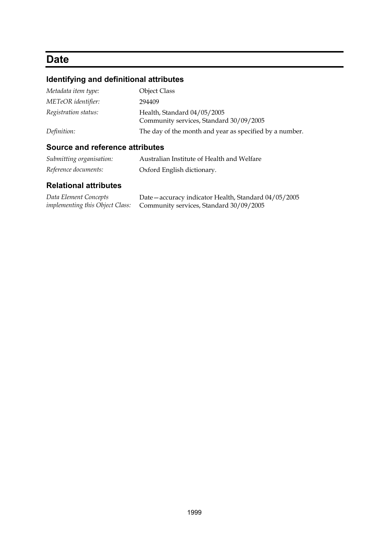## **Date**

## **Identifying and definitional attributes**

| Metadata item type:  | <b>Object Class</b>                                                    |
|----------------------|------------------------------------------------------------------------|
| METeOR identifier:   | 294409                                                                 |
| Registration status: | Health, Standard 04/05/2005<br>Community services, Standard 30/09/2005 |
| Definition:          | The day of the month and year as specified by a number.                |

### **Source and reference attributes**

| Submitting organisation: | Australian Institute of Health and Welfare |
|--------------------------|--------------------------------------------|
| Reference documents:     | Oxford English dictionary.                 |

| Data Element Concepts                  | Date – accuracy indicator Health, Standard 04/05/2005 |
|----------------------------------------|-------------------------------------------------------|
| <i>implementing this Object Class:</i> | Community services, Standard 30/09/2005               |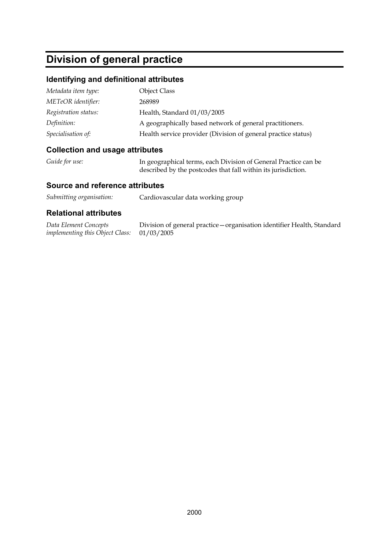# **Division of general practice**

#### **Identifying and definitional attributes**

| Metadata item type:  | <b>Object Class</b>                                           |
|----------------------|---------------------------------------------------------------|
| METeOR identifier:   | 268989                                                        |
| Registration status: | Health, Standard 01/03/2005                                   |
| Definition:          | A geographically based network of general practitioners.      |
| Specialisation of:   | Health service provider (Division of general practice status) |

#### **Collection and usage attributes**

| Guide for use: | In geographical terms, each Division of General Practice can be |
|----------------|-----------------------------------------------------------------|
|                | described by the postcodes that fall within its jurisdiction.   |

#### **Source and reference attributes**

| Submitting organisation: | Cardiovascular data working group |
|--------------------------|-----------------------------------|
|--------------------------|-----------------------------------|

#### **Relational attributes**

*Data Element Concepts implementing this Object Class:* Division of general practice—organisation identifier Health, Standard 01/03/2005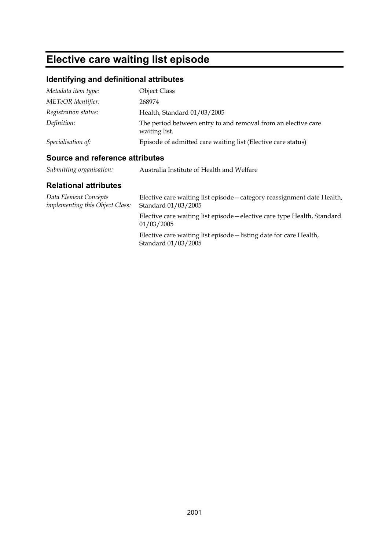# **Elective care waiting list episode**

### **Identifying and definitional attributes**

| Metadata item type:  | <b>Object Class</b>                                                            |
|----------------------|--------------------------------------------------------------------------------|
| METeOR identifier:   | 268974                                                                         |
| Registration status: | Health, Standard 01/03/2005                                                    |
| Definition:          | The period between entry to and removal from an elective care<br>waiting list. |
| Specialisation of:   | Episode of admitted care waiting list (Elective care status)                   |

### **Source and reference attributes**

| Submitting organisation: | Australia Institute of Health and Welfare |
|--------------------------|-------------------------------------------|
|--------------------------|-------------------------------------------|

| Data Element Concepts<br><i>implementing this Object Class:</i> | Elective care waiting list episode – category reassignment date Health,<br>Standard 01/03/2005 |
|-----------------------------------------------------------------|------------------------------------------------------------------------------------------------|
|                                                                 | Elective care waiting list episode—elective care type Health, Standard<br>01/03/2005           |
|                                                                 | Elective care waiting list episode—listing date for care Health,<br>Standard 01/03/2005        |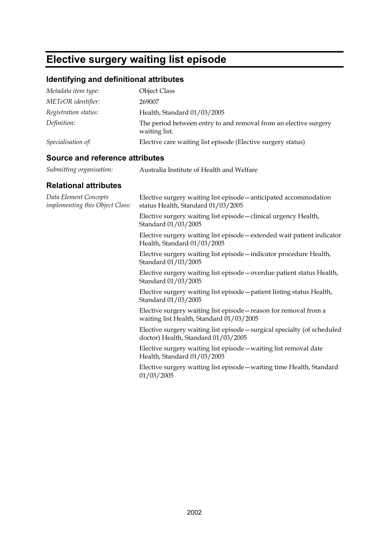# **Elective surgery waiting list episode**

## **Identifying and definitional attributes**

| Metadata item type:  | <b>Object Class</b>                                                               |
|----------------------|-----------------------------------------------------------------------------------|
| METeOR identifier:   | 269007                                                                            |
| Registration status: | Health, Standard 01/03/2005                                                       |
| Definition:          | The period between entry to and removal from an elective surgery<br>waiting list. |
| Specialisation of:   | Elective care waiting list episode (Elective surgery status)                      |

### **Source and reference attributes**

| Submitting organisation: | Australia Institute of Health and Welfare |
|--------------------------|-------------------------------------------|
|                          |                                           |

| Data Element Concepts<br>implementing this Object Class: | Elective surgery waiting list episode – anticipated accommodation<br>status Health, Standard 01/03/2005         |
|----------------------------------------------------------|-----------------------------------------------------------------------------------------------------------------|
|                                                          | Elective surgery waiting list episode - clinical urgency Health,<br>Standard 01/03/2005                         |
|                                                          | Elective surgery waiting list episode – extended wait patient indicator<br>Health, Standard 01/03/2005          |
|                                                          | Elective surgery waiting list episode - indicator procedure Health,<br>Standard 01/03/2005                      |
|                                                          | Elective surgery waiting list episode – overdue patient status Health,<br>Standard 01/03/2005                   |
|                                                          | Elective surgery waiting list episode - patient listing status Health,<br>Standard 01/03/2005                   |
|                                                          | Elective surgery waiting list episode – reason for removal from a<br>waiting list Health, Standard 01/03/2005   |
|                                                          | Elective surgery waiting list episode - surgical specialty (of scheduled<br>doctor) Health, Standard 01/03/2005 |
|                                                          | Elective surgery waiting list episode - waiting list removal date<br>Health, Standard 01/03/2005                |
|                                                          | Elective surgery waiting list episode – waiting time Health, Standard<br>01/03/2005                             |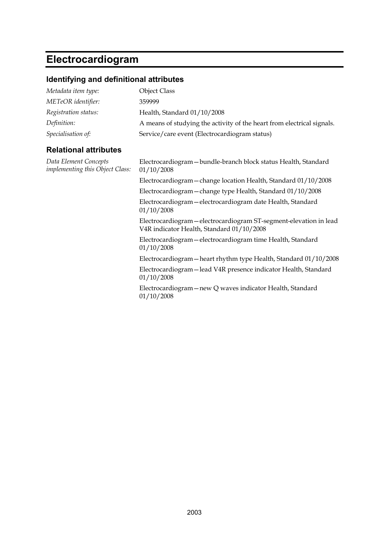# **Electrocardiogram**

## **Identifying and definitional attributes**

| Metadata item type:  | <b>Object Class</b>                                                    |
|----------------------|------------------------------------------------------------------------|
| METeOR identifier:   | 359999                                                                 |
| Registration status: | Health, Standard 01/10/2008                                            |
| Definition:          | A means of studying the activity of the heart from electrical signals. |
| Specialisation of:   | Service/care event (Electrocardiogram status)                          |

| Data Element Concepts<br>implementing this Object Class: | Electrocardiogram – bundle-branch block status Health, Standard<br>01/10/2008                                   |
|----------------------------------------------------------|-----------------------------------------------------------------------------------------------------------------|
|                                                          | Electrocardiogram - change location Health, Standard 01/10/2008                                                 |
|                                                          | Electrocardiogram - change type Health, Standard 01/10/2008                                                     |
|                                                          | Electrocardiogram - electrocardiogram date Health, Standard<br>01/10/2008                                       |
|                                                          | Electrocardiogram - electrocardiogram ST-segment-elevation in lead<br>V4R indicator Health, Standard 01/10/2008 |
|                                                          | Electrocardiogram - electrocardiogram time Health, Standard<br>01/10/2008                                       |
|                                                          | Electrocardiogram - heart rhythm type Health, Standard 01/10/2008                                               |
|                                                          | Electrocardiogram - lead V4R presence indicator Health, Standard<br>01/10/2008                                  |
|                                                          | Electrocardiogram – new Q waves indicator Health, Standard<br>01/10/2008                                        |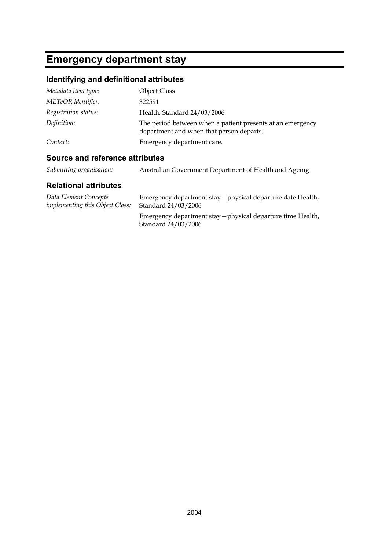# **Emergency department stay**

### **Identifying and definitional attributes**

| Metadata item type:  | <b>Object Class</b>                                                                                    |
|----------------------|--------------------------------------------------------------------------------------------------------|
| METeOR identifier:   | 322591                                                                                                 |
| Registration status: | Health, Standard 24/03/2006                                                                            |
| Definition:          | The period between when a patient presents at an emergency<br>department and when that person departs. |
| Context:             | Emergency department care.                                                                             |

### **Source and reference attributes**

| Submitting organisation: | Australian Government Department of Health and Ageing |
|--------------------------|-------------------------------------------------------|
|--------------------------|-------------------------------------------------------|

| Data Element Concepts                  | Emergency department stay – physical departure date Health,                        |
|----------------------------------------|------------------------------------------------------------------------------------|
| <i>implementing this Object Class:</i> | Standard 24/03/2006                                                                |
|                                        | Emergency department stay – physical departure time Health,<br>Standard 24/03/2006 |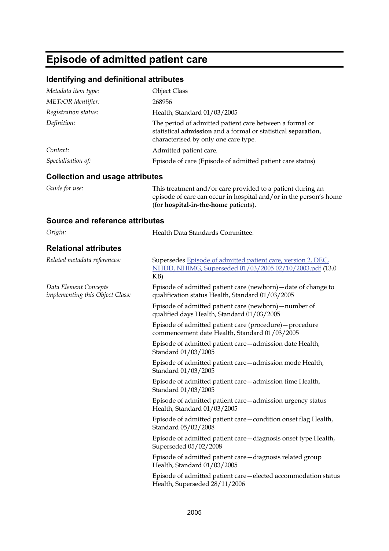## **Episode of admitted patient care**

#### **Identifying and definitional attributes**

| Metadata item type:                                             | <b>Object Class</b>                                                                                                                                                     |
|-----------------------------------------------------------------|-------------------------------------------------------------------------------------------------------------------------------------------------------------------------|
| METeOR identifier:                                              | 268956                                                                                                                                                                  |
| Registration status:                                            | Health, Standard 01/03/2005                                                                                                                                             |
| Definition:                                                     | The period of admitted patient care between a formal or<br>statistical admission and a formal or statistical separation,<br>characterised by only one care type.        |
| Context:                                                        | Admitted patient care.                                                                                                                                                  |
| Specialisation of:                                              | Episode of care (Episode of admitted patient care status)                                                                                                               |
| <b>Collection and usage attributes</b>                          |                                                                                                                                                                         |
| Guide for use:                                                  | This treatment and/or care provided to a patient during an<br>episode of care can occur in hospital and/or in the person's home<br>(for hospital-in-the-home patients). |
| <b>Source and reference attributes</b>                          |                                                                                                                                                                         |
| Origin:                                                         | Health Data Standards Committee.                                                                                                                                        |
| <b>Relational attributes</b>                                    |                                                                                                                                                                         |
| Related metadata references:                                    | Supersedes Episode of admitted patient care, version 2, DEC,<br>NHDD, NHIMG, Superseded 01/03/2005 02/10/2003.pdf (13.0<br>KB)                                          |
| Data Element Concepts<br><i>implementing this Object Class:</i> | Episode of admitted patient care (newborn) - date of change to<br>qualification status Health, Standard 01/03/2005                                                      |
|                                                                 | Episode of admitted patient care (newborn) – number of<br>qualified days Health, Standard 01/03/2005                                                                    |
|                                                                 | Episode of admitted patient care (procedure) – procedure<br>commencement date Health, Standard 01/03/2005                                                               |
|                                                                 | Episode of admitted patient care - admission date Health,<br>Standard 01/03/2005                                                                                        |
|                                                                 | Episode of admitted patient care - admission mode Health,<br>Standard 01/03/2005                                                                                        |
|                                                                 |                                                                                                                                                                         |

Episode of admitted patient care—admission time Health, Standard 01/03/2005

Episode of admitted patient care—admission urgency status Health, Standard 01/03/2005

Episode of admitted patient care—condition onset flag Health, Standard 05/02/2008

Episode of admitted patient care—diagnosis onset type Health, Superseded 05/02/2008

Episode of admitted patient care—diagnosis related group Health, Standard 01/03/2005

Episode of admitted patient care—elected accommodation status Health, Superseded 28/11/2006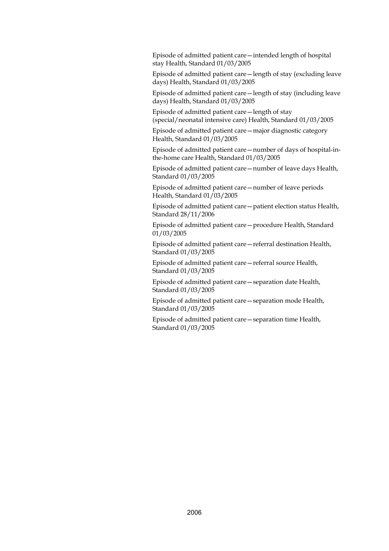Episode of admitted patient care—intended length of hospital stay Health, Standard 01/03/2005

Episode of admitted patient care—length of stay (excluding leave days) Health, Standard 01/03/2005

Episode of admitted patient care—length of stay (including leave days) Health, Standard 01/03/2005

Episode of admitted patient care—length of stay (special/neonatal intensive care) Health, Standard 01/03/2005

Episode of admitted patient care—major diagnostic category Health, Standard 01/03/2005

Episode of admitted patient care—number of days of hospital-inthe-home care Health, Standard 01/03/2005

Episode of admitted patient care—number of leave days Health, Standard 01/03/2005

Episode of admitted patient care—number of leave periods Health, Standard 01/03/2005

Episode of admitted patient care—patient election status Health, Standard 28/11/2006

Episode of admitted patient care—procedure Health, Standard 01/03/2005

Episode of admitted patient care—referral destination Health, Standard 01/03/2005

Episode of admitted patient care—referral source Health, Standard 01/03/2005

Episode of admitted patient care—separation date Health, Standard 01/03/2005

Episode of admitted patient care—separation mode Health, Standard 01/03/2005

Episode of admitted patient care—separation time Health, Standard 01/03/2005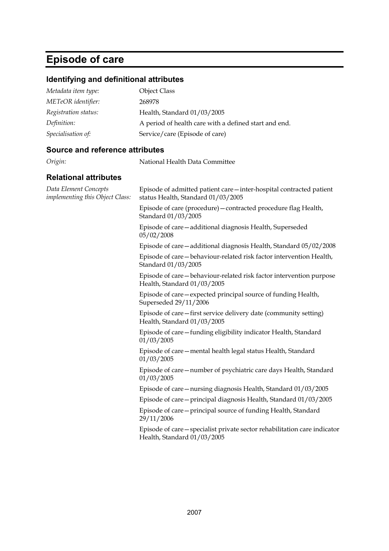# **Episode of care**

### **Identifying and definitional attributes**

| Metadata item type:  | <b>Object Class</b>                                   |
|----------------------|-------------------------------------------------------|
| METeOR identifier:   | 268978                                                |
| Registration status: | Health, Standard 01/03/2005                           |
| Definition:          | A period of health care with a defined start and end. |
| Specialisation of:   | Service/care (Episode of care)                        |

*Origin:* National Health Data Committee

#### **Source and reference attributes**

| Episode of admitted patient care - inter-hospital contracted patient<br>status Health, Standard 01/03/2005 |
|------------------------------------------------------------------------------------------------------------|
| Episode of care (procedure) - contracted procedure flag Health,<br>Standard 01/03/2005                     |
| Episode of care-additional diagnosis Health, Superseded<br>05/02/2008                                      |
| Episode of care - additional diagnosis Health, Standard 05/02/2008                                         |
| Episode of care-behaviour-related risk factor intervention Health,<br>Standard 01/03/2005                  |
| Episode of care-behaviour-related risk factor intervention purpose<br>Health, Standard 01/03/2005          |
| Episode of care – expected principal source of funding Health,<br>Superseded 29/11/2006                    |
| Episode of care—first service delivery date (community setting)<br>Health, Standard 01/03/2005             |
| Episode of care-funding eligibility indicator Health, Standard<br>01/03/2005                               |
| Episode of care – mental health legal status Health, Standard<br>01/03/2005                                |
| Episode of care - number of psychiatric care days Health, Standard<br>01/03/2005                           |
| Episode of care—nursing diagnosis Health, Standard 01/03/2005                                              |
| Episode of care - principal diagnosis Health, Standard 01/03/2005                                          |
| Episode of care – principal source of funding Health, Standard<br>29/11/2006                               |
| Episode of care - specialist private sector rehabilitation care indicator<br>Health, Standard 01/03/2005   |
|                                                                                                            |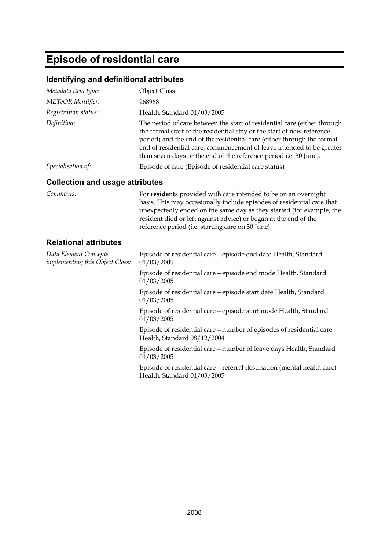# **Episode of residential care**

### **Identifying and definitional attributes**

| <b>Object Class</b><br>268968<br>Health, Standard 01/03/2005<br>The period of care between the start of residential care (either through<br>the formal start of the residential stay or the start of new reference<br>period) and the end of the residential care (either through the formal<br>end of residential care, commencement of leave intended to be greater<br>than seven days or the end of the reference period i.e. 30 June).<br>Episode of care (Episode of residential care status) |
|----------------------------------------------------------------------------------------------------------------------------------------------------------------------------------------------------------------------------------------------------------------------------------------------------------------------------------------------------------------------------------------------------------------------------------------------------------------------------------------------------|
|                                                                                                                                                                                                                                                                                                                                                                                                                                                                                                    |
|                                                                                                                                                                                                                                                                                                                                                                                                                                                                                                    |
|                                                                                                                                                                                                                                                                                                                                                                                                                                                                                                    |
|                                                                                                                                                                                                                                                                                                                                                                                                                                                                                                    |
|                                                                                                                                                                                                                                                                                                                                                                                                                                                                                                    |
| <b>Collection and usage attributes</b>                                                                                                                                                                                                                                                                                                                                                                                                                                                             |
| For residents provided with care intended to be on an overnight<br>basis. This may occasionally include episodes of residential care that<br>unexpectedly ended on the same day as they started (for example, the<br>resident died or left against advice) or began at the end of the<br>reference period (i.e. starting care on 30 June).                                                                                                                                                         |
|                                                                                                                                                                                                                                                                                                                                                                                                                                                                                                    |
| Episode of residential care - episode end date Health, Standard<br>01/03/2005                                                                                                                                                                                                                                                                                                                                                                                                                      |
| Episode of residential care - episode end mode Health, Standard<br>01/03/2005                                                                                                                                                                                                                                                                                                                                                                                                                      |
| Episode of residential care - episode start date Health, Standard<br>01/03/2005                                                                                                                                                                                                                                                                                                                                                                                                                    |
| Episode of residential care - episode start mode Health, Standard<br>01/03/2005                                                                                                                                                                                                                                                                                                                                                                                                                    |
| Episode of residential care—number of episodes of residential care<br>Health, Standard 08/12/2004                                                                                                                                                                                                                                                                                                                                                                                                  |
| Episode of residential care – number of leave days Health, Standard<br>01/03/2005                                                                                                                                                                                                                                                                                                                                                                                                                  |
| Episode of residential care - referral destination (mental health care)                                                                                                                                                                                                                                                                                                                                                                                                                            |
|                                                                                                                                                                                                                                                                                                                                                                                                                                                                                                    |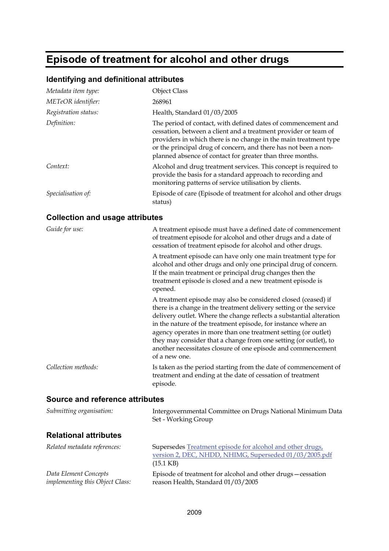# **Episode of treatment for alcohol and other drugs**

### **Identifying and definitional attributes**

| Metadata item type:  | <b>Object Class</b>                                                                                                                                                                                                                                                                                                                  |
|----------------------|--------------------------------------------------------------------------------------------------------------------------------------------------------------------------------------------------------------------------------------------------------------------------------------------------------------------------------------|
| METeOR identifier:   | 268961                                                                                                                                                                                                                                                                                                                               |
| Registration status: | Health, Standard 01/03/2005                                                                                                                                                                                                                                                                                                          |
| Definition:          | The period of contact, with defined dates of commencement and<br>cessation, between a client and a treatment provider or team of<br>providers in which there is no change in the main treatment type<br>or the principal drug of concern, and there has not been a non-<br>planned absence of contact for greater than three months. |
| Context:             | Alcohol and drug treatment services. This concept is required to<br>provide the basis for a standard approach to recording and<br>monitoring patterns of service utilisation by clients.                                                                                                                                             |
| Specialisation of:   | Episode of care (Episode of treatment for alcohol and other drugs<br>status)                                                                                                                                                                                                                                                         |

### **Collection and usage attributes**

| Guide for use:      | A treatment episode must have a defined date of commencement<br>of treatment episode for alcohol and other drugs and a date of<br>cessation of treatment episode for alcohol and other drugs.                                                                                                                                                                                                                                                                                                      |
|---------------------|----------------------------------------------------------------------------------------------------------------------------------------------------------------------------------------------------------------------------------------------------------------------------------------------------------------------------------------------------------------------------------------------------------------------------------------------------------------------------------------------------|
|                     | A treatment episode can have only one main treatment type for<br>alcohol and other drugs and only one principal drug of concern.<br>If the main treatment or principal drug changes then the<br>treatment episode is closed and a new treatment episode is<br>opened.                                                                                                                                                                                                                              |
|                     | A treatment episode may also be considered closed (ceased) if<br>there is a change in the treatment delivery setting or the service<br>delivery outlet. Where the change reflects a substantial alteration<br>in the nature of the treatment episode, for instance where an<br>agency operates in more than one treatment setting (or outlet)<br>they may consider that a change from one setting (or outlet), to<br>another necessitates closure of one episode and commencement<br>of a new one. |
| Collection methods: | Is taken as the period starting from the date of commencement of<br>treatment and ending at the date of cessation of treatment<br>episode.                                                                                                                                                                                                                                                                                                                                                         |
|                     |                                                                                                                                                                                                                                                                                                                                                                                                                                                                                                    |

#### **Source and reference attributes**

| Submitting organisation:                                 | Intergovernmental Committee on Drugs National Minimum Data<br>Set - Working Group                                                          |
|----------------------------------------------------------|--------------------------------------------------------------------------------------------------------------------------------------------|
| <b>Relational attributes</b>                             |                                                                                                                                            |
| Related metadata references:                             | Supersedes Treatment episode for alcohol and other drugs,<br>version 2, DEC, NHDD, NHIMG, Superseded 01/03/2005.pdf<br>$(15.1 \text{ KB})$ |
| Data Element Concepts<br>implementing this Object Class: | Episode of treatment for alcohol and other drugs – cessation<br>reason Health, Standard 01/03/2005                                         |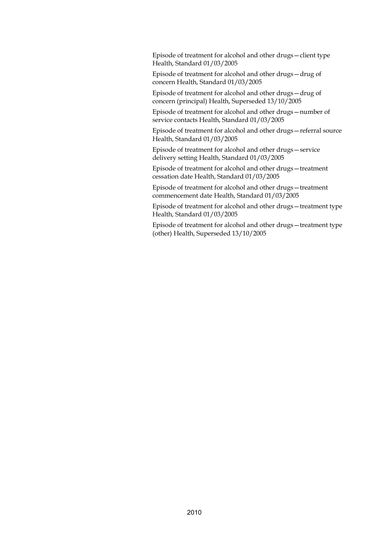Episode of treatment for alcohol and other drugs—client type Health, Standard 01/03/2005

Episode of treatment for alcohol and other drugs—drug of concern Health, Standard 01/03/2005

Episode of treatment for alcohol and other drugs—drug of concern (principal) Health, Superseded 13/10/2005

Episode of treatment for alcohol and other drugs—number of service contacts Health, Standard 01/03/2005

Episode of treatment for alcohol and other drugs—referral source Health, Standard 01/03/2005

Episode of treatment for alcohol and other drugs—service delivery setting Health, Standard 01/03/2005

Episode of treatment for alcohol and other drugs—treatment cessation date Health, Standard 01/03/2005

Episode of treatment for alcohol and other drugs—treatment commencement date Health, Standard 01/03/2005

Episode of treatment for alcohol and other drugs—treatment type Health, Standard 01/03/2005

Episode of treatment for alcohol and other drugs—treatment type (other) Health, Superseded 13/10/2005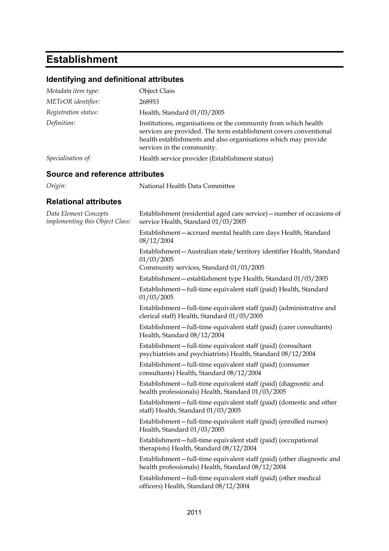# **Establishment**

## **Identifying and definitional attributes**

| Metadata item type:                                      | <b>Object Class</b>                                                                                                                                                                                                                 |  |
|----------------------------------------------------------|-------------------------------------------------------------------------------------------------------------------------------------------------------------------------------------------------------------------------------------|--|
| METeOR identifier:                                       | 268953                                                                                                                                                                                                                              |  |
| Registration status:                                     | Health, Standard 01/03/2005                                                                                                                                                                                                         |  |
| Definition:                                              | Institutions, organisations or the community from which health<br>services are provided. The term establishment covers conventional<br>health establishments and also organisations which may provide<br>services in the community. |  |
| Specialisation of:                                       | Health service provider (Establishment status)                                                                                                                                                                                      |  |
| <b>Source and reference attributes</b>                   |                                                                                                                                                                                                                                     |  |
| Origin:                                                  | National Health Data Committee                                                                                                                                                                                                      |  |
| <b>Relational attributes</b>                             |                                                                                                                                                                                                                                     |  |
| Data Element Concepts<br>implementing this Object Class: | Establishment (residential aged care service) - number of occasions of<br>service Health, Standard 01/03/2005                                                                                                                       |  |
|                                                          | Establishment-accrued mental health care days Health, Standard<br>08/12/2004                                                                                                                                                        |  |
|                                                          | Establishment - Australian state/territory identifier Health, Standard<br>01/03/2005<br>Community services, Standard 01/03/2005                                                                                                     |  |
|                                                          | Establishment - establishment type Health, Standard 01/03/2005                                                                                                                                                                      |  |
|                                                          | Establishment-full-time equivalent staff (paid) Health, Standard<br>01/03/2005                                                                                                                                                      |  |
|                                                          | Establishment – full-time equivalent staff (paid) (administrative and<br>clerical staff) Health, Standard 01/03/2005                                                                                                                |  |
|                                                          | Establishment-full-time equivalent staff (paid) (carer consultants)<br>Health, Standard 08/12/2004                                                                                                                                  |  |
|                                                          | Establishment-full-time equivalent staff (paid) (consultant<br>psychiatrists and psychiatrists) Health, Standard 08/12/2004                                                                                                         |  |
|                                                          | Establishment-full-time equivalent staff (paid) (consumer<br>consultants) Health, Standard 08/12/2004                                                                                                                               |  |
|                                                          | Establishment-full-time equivalent staff (paid) (diagnostic and<br>health professionals) Health, Standard 01/03/2005                                                                                                                |  |
|                                                          | Establishment – full-time equivalent staff (paid) (domestic and other<br>staff) Health, Standard 01/03/2005                                                                                                                         |  |
|                                                          | Establishment-full-time equivalent staff (paid) (enrolled nurses)<br>Health, Standard 01/03/2005                                                                                                                                    |  |
|                                                          | Establishment-full-time equivalent staff (paid) (occupational<br>therapists) Health, Standard 08/12/2004                                                                                                                            |  |
|                                                          | Establishment-full-time equivalent staff (paid) (other diagnostic and<br>health professionals) Health, Standard 08/12/2004                                                                                                          |  |
|                                                          | Establishment – full-time equivalent staff (paid) (other medical<br>officers) Health, Standard 08/12/2004                                                                                                                           |  |
|                                                          |                                                                                                                                                                                                                                     |  |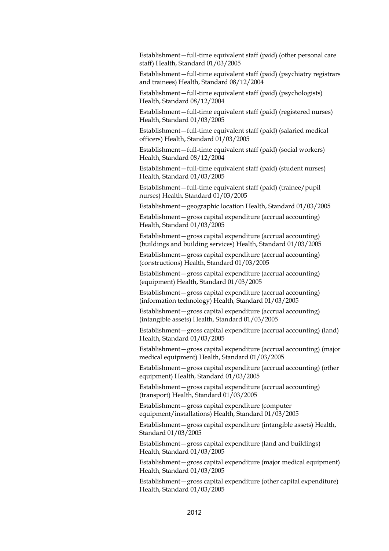Establishment—full-time equivalent staff (paid) (other personal care staff) Health, Standard 01/03/2005

Establishment—full-time equivalent staff (paid) (psychiatry registrars and trainees) Health, Standard 08/12/2004

Establishment—full-time equivalent staff (paid) (psychologists) Health, Standard 08/12/2004

Establishment—full-time equivalent staff (paid) (registered nurses) Health, Standard 01/03/2005

Establishment—full-time equivalent staff (paid) (salaried medical officers) Health, Standard 01/03/2005

Establishment—full-time equivalent staff (paid) (social workers) Health, Standard 08/12/2004

Establishment—full-time equivalent staff (paid) (student nurses) Health, Standard 01/03/2005

Establishment—full-time equivalent staff (paid) (trainee/pupil nurses) Health, Standard 01/03/2005

Establishment—geographic location Health, Standard 01/03/2005

Establishment—gross capital expenditure (accrual accounting) Health, Standard 01/03/2005

Establishment—gross capital expenditure (accrual accounting) (buildings and building services) Health, Standard 01/03/2005

Establishment—gross capital expenditure (accrual accounting) (constructions) Health, Standard 01/03/2005

Establishment—gross capital expenditure (accrual accounting) (equipment) Health, Standard 01/03/2005

Establishment—gross capital expenditure (accrual accounting) (information technology) Health, Standard 01/03/2005

Establishment—gross capital expenditure (accrual accounting) (intangible assets) Health, Standard 01/03/2005

Establishment—gross capital expenditure (accrual accounting) (land) Health, Standard 01/03/2005

Establishment—gross capital expenditure (accrual accounting) (major medical equipment) Health, Standard 01/03/2005

Establishment—gross capital expenditure (accrual accounting) (other equipment) Health, Standard 01/03/2005

Establishment—gross capital expenditure (accrual accounting) (transport) Health, Standard 01/03/2005

Establishment—gross capital expenditure (computer equipment/installations) Health, Standard 01/03/2005

Establishment—gross capital expenditure (intangible assets) Health, Standard 01/03/2005

Establishment—gross capital expenditure (land and buildings) Health, Standard 01/03/2005

Establishment—gross capital expenditure (major medical equipment) Health, Standard 01/03/2005

Establishment—gross capital expenditure (other capital expenditure) Health, Standard 01/03/2005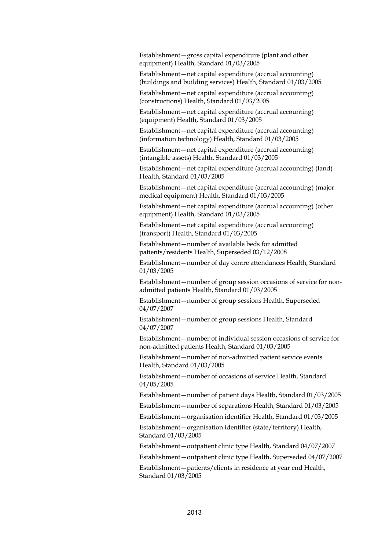Establishment—gross capital expenditure (plant and other equipment) Health, Standard 01/03/2005

Establishment—net capital expenditure (accrual accounting) (buildings and building services) Health, Standard 01/03/2005

Establishment—net capital expenditure (accrual accounting) (constructions) Health, Standard 01/03/2005

Establishment—net capital expenditure (accrual accounting) (equipment) Health, Standard 01/03/2005

Establishment—net capital expenditure (accrual accounting) (information technology) Health, Standard 01/03/2005

Establishment—net capital expenditure (accrual accounting) (intangible assets) Health, Standard 01/03/2005

Establishment—net capital expenditure (accrual accounting) (land) Health, Standard 01/03/2005

Establishment—net capital expenditure (accrual accounting) (major medical equipment) Health, Standard 01/03/2005

Establishment—net capital expenditure (accrual accounting) (other equipment) Health, Standard 01/03/2005

Establishment—net capital expenditure (accrual accounting) (transport) Health, Standard 01/03/2005

Establishment—number of available beds for admitted patients/residents Health, Superseded 03/12/2008

Establishment—number of day centre attendances Health, Standard 01/03/2005

Establishment—number of group session occasions of service for nonadmitted patients Health, Standard 01/03/2005

Establishment—number of group sessions Health, Superseded 04/07/2007

Establishment—number of group sessions Health, Standard 04/07/2007

Establishment—number of individual session occasions of service for non-admitted patients Health, Standard 01/03/2005

Establishment—number of non-admitted patient service events Health, Standard 01/03/2005

Establishment—number of occasions of service Health, Standard 04/05/2005

Establishment—number of patient days Health, Standard 01/03/2005

Establishment—number of separations Health, Standard 01/03/2005

Establishment—organisation identifier Health, Standard 01/03/2005

Establishment—organisation identifier (state/territory) Health, Standard 01/03/2005

Establishment—outpatient clinic type Health, Standard 04/07/2007

Establishment—outpatient clinic type Health, Superseded 04/07/2007

Establishment—patients/clients in residence at year end Health, Standard 01/03/2005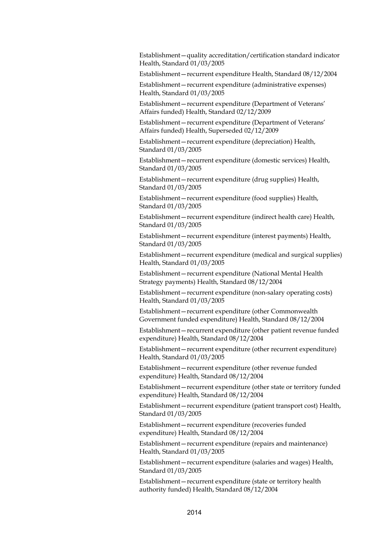Establishment—quality accreditation/certification standard indicator Health, Standard 01/03/2005

Establishment—recurrent expenditure Health, Standard 08/12/2004

Establishment—recurrent expenditure (administrative expenses) Health, Standard 01/03/2005

Establishment—recurrent expenditure (Department of Veterans' Affairs funded) Health, Standard 02/12/2009

Establishment—recurrent expenditure (Department of Veterans' Affairs funded) Health, Superseded 02/12/2009

Establishment—recurrent expenditure (depreciation) Health, Standard 01/03/2005

Establishment—recurrent expenditure (domestic services) Health, Standard 01/03/2005

Establishment—recurrent expenditure (drug supplies) Health, Standard 01/03/2005

Establishment—recurrent expenditure (food supplies) Health, Standard 01/03/2005

Establishment—recurrent expenditure (indirect health care) Health, Standard 01/03/2005

Establishment—recurrent expenditure (interest payments) Health, Standard 01/03/2005

Establishment—recurrent expenditure (medical and surgical supplies) Health, Standard 01/03/2005

Establishment—recurrent expenditure (National Mental Health Strategy payments) Health, Standard 08/12/2004

Establishment—recurrent expenditure (non-salary operating costs) Health, Standard 01/03/2005

Establishment—recurrent expenditure (other Commonwealth Government funded expenditure) Health, Standard 08/12/2004

Establishment—recurrent expenditure (other patient revenue funded expenditure) Health, Standard 08/12/2004

Establishment—recurrent expenditure (other recurrent expenditure) Health, Standard 01/03/2005

Establishment—recurrent expenditure (other revenue funded expenditure) Health, Standard 08/12/2004

Establishment—recurrent expenditure (other state or territory funded expenditure) Health, Standard 08/12/2004

Establishment—recurrent expenditure (patient transport cost) Health, Standard 01/03/2005

Establishment—recurrent expenditure (recoveries funded expenditure) Health, Standard 08/12/2004

Establishment—recurrent expenditure (repairs and maintenance) Health, Standard 01/03/2005

Establishment—recurrent expenditure (salaries and wages) Health, Standard 01/03/2005

Establishment—recurrent expenditure (state or territory health authority funded) Health, Standard 08/12/2004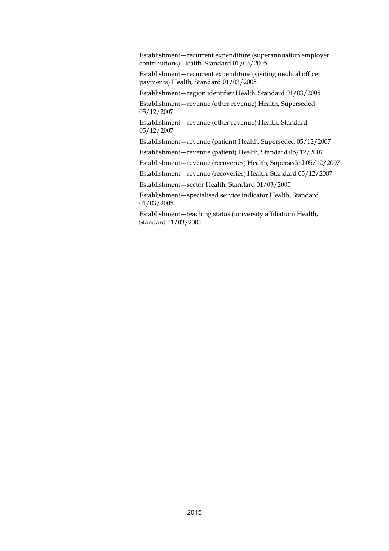Establishment—recurrent expenditure (superannuation employer contributions) Health, Standard 01/03/2005

Establishment—recurrent expenditure (visiting medical officer payments) Health, Standard 01/03/2005

Establishment—region identifier Health, Standard 01/03/2005

Establishment—revenue (other revenue) Health, Superseded 05/12/2007

Establishment—revenue (other revenue) Health, Standard 05/12/2007

Establishment—revenue (patient) Health, Superseded 05/12/2007

Establishment—revenue (patient) Health, Standard 05/12/2007

Establishment—revenue (recoveries) Health, Superseded 05/12/2007

Establishment—revenue (recoveries) Health, Standard 05/12/2007

Establishment—sector Health, Standard 01/03/2005

Establishment—specialised service indicator Health, Standard 01/03/2005

Establishment—teaching status (university affiliation) Health, Standard 01/03/2005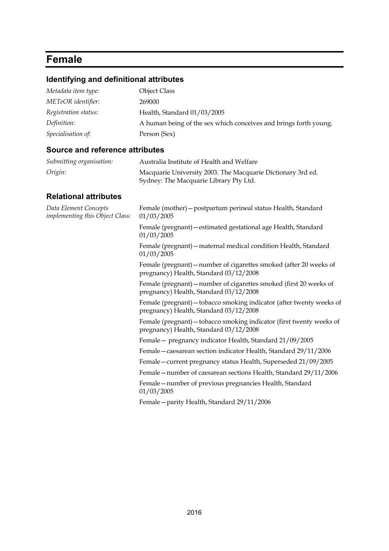## **Female**

## **Identifying and definitional attributes**

| Metadata item type:  | <b>Object Class</b>                                              |
|----------------------|------------------------------------------------------------------|
| METeOR identifier:   | 269000                                                           |
| Registration status: | Health, Standard 01/03/2005                                      |
| Definition:          | A human being of the sex which conceives and brings forth young. |
| Specialisation of:   | Person (Sex)                                                     |

### **Source and reference attributes**

| Submitting organisation: | Australia Institute of Health and Welfare                                                             |
|--------------------------|-------------------------------------------------------------------------------------------------------|
| Origin:                  | Macquarie University 2003. The Macquarie Dictionary 3rd ed.<br>Sydney: The Macquarie Library Pty Ltd. |

| Data Element Concepts<br>implementing this Object Class: | Female (mother) - postpartum perineal status Health, Standard<br>01/03/2005                                    |
|----------------------------------------------------------|----------------------------------------------------------------------------------------------------------------|
|                                                          | Female (pregnant) – estimated gestational age Health, Standard<br>01/03/2005                                   |
|                                                          | Female (pregnant) - maternal medical condition Health, Standard<br>01/03/2005                                  |
|                                                          | Female (pregnant) – number of cigarettes smoked (after 20 weeks of<br>pregnancy) Health, Standard 03/12/2008   |
|                                                          | Female (pregnant) – number of cigarettes smoked (first 20 weeks of<br>pregnancy) Health, Standard 03/12/2008   |
|                                                          | Female (pregnant) - tobacco smoking indicator (after twenty weeks of<br>pregnancy) Health, Standard 03/12/2008 |
|                                                          | Female (pregnant) – tobacco smoking indicator (first twenty weeks of<br>pregnancy) Health, Standard 03/12/2008 |
|                                                          | Female - pregnancy indicator Health, Standard 21/09/2005                                                       |
|                                                          | Female - caesarean section indicator Health, Standard 29/11/2006                                               |
|                                                          | Female – current pregnancy status Health, Superseded 21/09/2005                                                |
|                                                          | Female - number of caesarean sections Health, Standard 29/11/2006                                              |
|                                                          | Female – number of previous pregnancies Health, Standard<br>01/03/2005                                         |
|                                                          | Female - parity Health, Standard 29/11/2006                                                                    |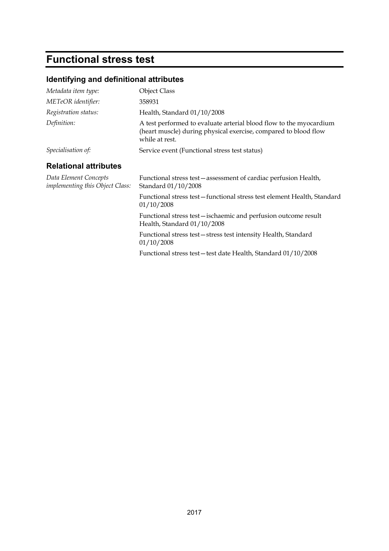# **Functional stress test**

## **Identifying and definitional attributes**

| Metadata item type:                                      | <b>Object Class</b>                                                                                                                                     |  |
|----------------------------------------------------------|---------------------------------------------------------------------------------------------------------------------------------------------------------|--|
|                                                          |                                                                                                                                                         |  |
| <b>METeOR</b> identifier:                                | 358931                                                                                                                                                  |  |
| Registration status:                                     | Health, Standard 01/10/2008                                                                                                                             |  |
| Definition:                                              | A test performed to evaluate arterial blood flow to the myocardium<br>(heart muscle) during physical exercise, compared to blood flow<br>while at rest. |  |
| Specialisation of:                                       | Service event (Functional stress test status)                                                                                                           |  |
| <b>Relational attributes</b>                             |                                                                                                                                                         |  |
| Data Element Concepts<br>implementing this Object Class: | Functional stress test – assessment of cardiac perfusion Health,<br>Standard 01/10/2008                                                                 |  |
|                                                          | Functional stress test-functional stress test element Health, Standard<br>01/10/2008                                                                    |  |
|                                                          | Functional stress test – ischaemic and perfusion outcome result<br>Health, Standard 01/10/2008                                                          |  |
|                                                          | Functional stress test – stress test intensity Health, Standard<br>01/10/2008                                                                           |  |
|                                                          | Functional stress test-test date Health, Standard 01/10/2008                                                                                            |  |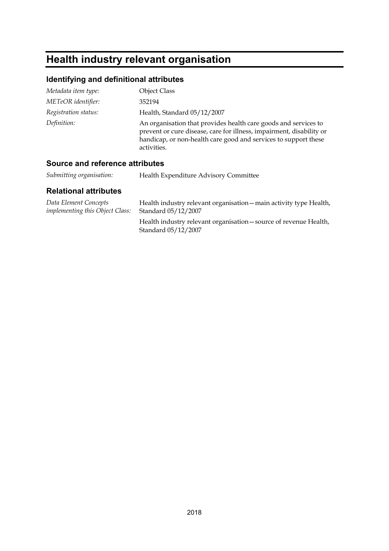# **Health industry relevant organisation**

## **Identifying and definitional attributes**

| Metadata item type:  | <b>Object Class</b>                                                                                                                                                                                                       |
|----------------------|---------------------------------------------------------------------------------------------------------------------------------------------------------------------------------------------------------------------------|
| METeOR identifier:   | 352194                                                                                                                                                                                                                    |
| Registration status: | Health, Standard 05/12/2007                                                                                                                                                                                               |
| Definition:          | An organisation that provides health care goods and services to<br>prevent or cure disease, care for illness, impairment, disability or<br>handicap, or non-health care good and services to support these<br>activities. |

## **Source and reference attributes**

| Submitting organisation: | Health Expenditure Advisory Committee |
|--------------------------|---------------------------------------|
|                          |                                       |

| Data Element Concepts                  | Health industry relevant organisation - main activity type Health,                       |
|----------------------------------------|------------------------------------------------------------------------------------------|
| <i>implementing this Object Class:</i> | Standard 05/12/2007                                                                      |
|                                        | Health industry relevant organisation – source of revenue Health,<br>Standard 05/12/2007 |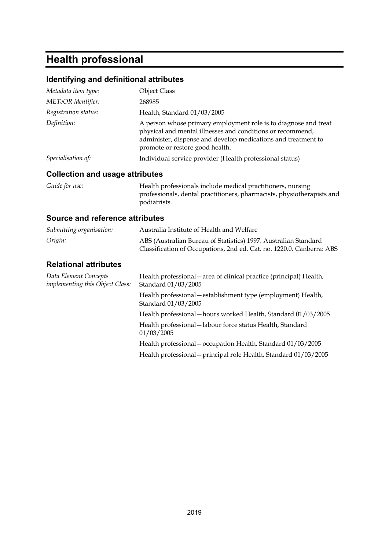## **Health professional**

#### **Identifying and definitional attributes**

| Metadata item type:                    | <b>Object Class</b>                                                                                                                                                                                                               |
|----------------------------------------|-----------------------------------------------------------------------------------------------------------------------------------------------------------------------------------------------------------------------------------|
| METeOR identifier:                     | 268985                                                                                                                                                                                                                            |
| Registration status:                   | Health, Standard 01/03/2005                                                                                                                                                                                                       |
| Definition:                            | A person whose primary employment role is to diagnose and treat<br>physical and mental illnesses and conditions or recommend,<br>administer, dispense and develop medications and treatment to<br>promote or restore good health. |
| Specialisation of:                     | Individual service provider (Health professional status)                                                                                                                                                                          |
| <b>Collection and usage attributes</b> |                                                                                                                                                                                                                                   |

*Guide for use:* Health professionals include medical practitioners, nursing professionals, dental practitioners, pharmacists, physiotherapists and podiatrists.

#### **Source and reference attributes**

| Submitting organisation:                                 | Australia Institute of Health and Welfare                                                                                                |
|----------------------------------------------------------|------------------------------------------------------------------------------------------------------------------------------------------|
| Origin:                                                  | ABS (Australian Bureau of Statistics) 1997. Australian Standard<br>Classification of Occupations, 2nd ed. Cat. no. 1220.0. Canberra: ABS |
| <b>Relational attributes</b>                             |                                                                                                                                          |
| Data Element Concepts<br>implementing this Object Class: | Health professional – area of clinical practice (principal) Health,<br>Standard 01/03/2005                                               |
|                                                          | Health professional – establishment type (employment) Health,<br>Standard 01/03/2005                                                     |
|                                                          | Health professional - hours worked Health, Standard 01/03/2005                                                                           |
|                                                          | Health professional - labour force status Health, Standard<br>01/03/2005                                                                 |
|                                                          | Health professional – occupation Health, Standard 01/03/2005                                                                             |
|                                                          | Health professional – principal role Health, Standard 01/03/2005                                                                         |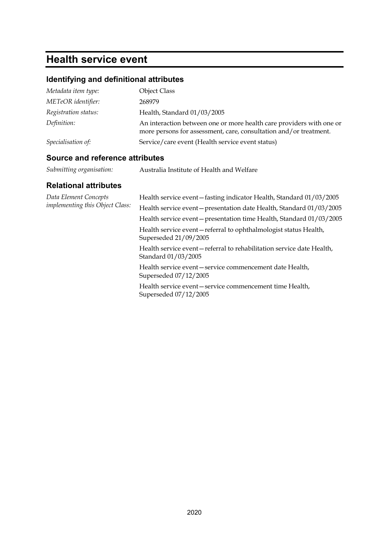## **Health service event**

## **Identifying and definitional attributes**

| Metadata item type:  | <b>Object Class</b>                                                                                                                       |
|----------------------|-------------------------------------------------------------------------------------------------------------------------------------------|
| METeOR identifier:   | 268979                                                                                                                                    |
| Registration status: | Health, Standard 01/03/2005                                                                                                               |
| Definition:          | An interaction between one or more health care providers with one or<br>more persons for assessment, care, consultation and/or treatment. |
| Specialisation of:   | Service/care event (Health service event status)                                                                                          |

### **Source and reference attributes**

| Submitting organisation: | Australia Institute of Health and Welfare |
|--------------------------|-------------------------------------------|
|                          |                                           |

| Data Element Concepts<br>implementing this Object Class: | Health service event-fasting indicator Health, Standard 01/03/2005                          |
|----------------------------------------------------------|---------------------------------------------------------------------------------------------|
|                                                          | Health service event - presentation date Health, Standard 01/03/2005                        |
|                                                          | Health service event – presentation time Health, Standard 01/03/2005                        |
|                                                          | Health service event-referral to ophthalmologist status Health,<br>Superseded 21/09/2005    |
|                                                          | Health service event-referral to rehabilitation service date Health,<br>Standard 01/03/2005 |
|                                                          | Health service event – service commencement date Health,<br>Superseded 07/12/2005           |
|                                                          | Health service event - service commencement time Health,<br>Superseded 07/12/2005           |
|                                                          |                                                                                             |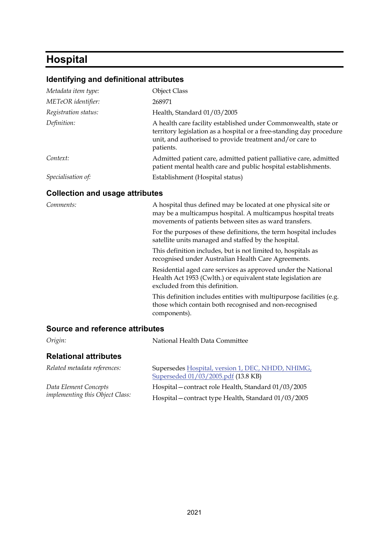## **Hospital**

#### **Identifying and definitional attributes**

| Metadata item type:                    | <b>Object Class</b>                                                                                                                                                                                              |
|----------------------------------------|------------------------------------------------------------------------------------------------------------------------------------------------------------------------------------------------------------------|
| METeOR identifier:                     | 268971                                                                                                                                                                                                           |
| Registration status:                   | Health, Standard 01/03/2005                                                                                                                                                                                      |
| Definition:                            | A health care facility established under Commonwealth, state or<br>territory legislation as a hospital or a free-standing day procedure<br>unit, and authorised to provide treatment and/or care to<br>patients. |
| Context:                               | Admitted patient care, admitted patient palliative care, admitted<br>patient mental health care and public hospital establishments.                                                                              |
| Specialisation of:                     | Establishment (Hospital status)                                                                                                                                                                                  |
| <b>Collection and usage attributes</b> |                                                                                                                                                                                                                  |
| Comments:                              | A hospital thus defined may be located at one physical site or<br>may be a multicampus hospital. A multicampus hospital treats<br>movements of patients between sites as ward transfers.                         |
|                                        | For the purposes of these definitions, the term hospital includes<br>satellite units managed and staffed by the hospital.                                                                                        |

This definition includes, but is not limited to, hospitals as recognised under Australian Health Care Agreements.

Residential aged care services as approved under the National Health Act 1953 (Cwlth.) or equivalent state legislation are excluded from this definition.

This definition includes entities with multipurpose facilities (e.g. those which contain both recognised and non-recognised components).

#### **Source and reference attributes**

| Origin:                                | National Health Data Committee                                                           |
|----------------------------------------|------------------------------------------------------------------------------------------|
| <b>Relational attributes</b>           |                                                                                          |
| Related metadata references:           | Supersedes Hospital, version 1, DEC, NHDD, NHIMG,<br>Superseded 01/03/2005.pdf (13.8 KB) |
| Data Element Concepts                  | Hospital – contract role Health, Standard 01/03/2005                                     |
| <i>implementing this Object Class:</i> | Hospital – contract type Health, Standard 01/03/2005                                     |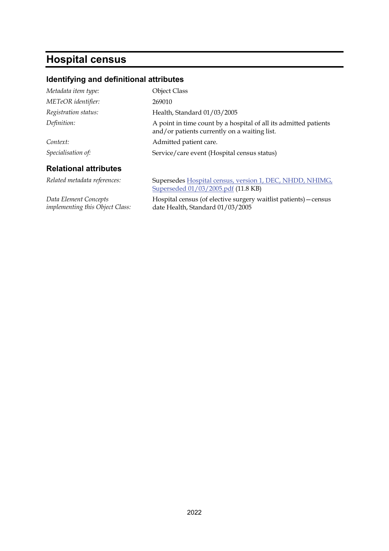# **Hospital census**

## **Identifying and definitional attributes**

| Metadata item type:                                             | <b>Object Class</b>                                                                                              |
|-----------------------------------------------------------------|------------------------------------------------------------------------------------------------------------------|
| METeOR identifier:                                              | 269010                                                                                                           |
| Registration status:                                            | Health, Standard 01/03/2005                                                                                      |
| Definition:                                                     | A point in time count by a hospital of all its admitted patients<br>and/or patients currently on a waiting list. |
| Context:                                                        | Admitted patient care.                                                                                           |
| Specialisation of:                                              | Service/care event (Hospital census status)                                                                      |
| <b>Relational attributes</b>                                    |                                                                                                                  |
| Related metadata references:                                    | Supersedes Hospital census, version 1, DEC, NHDD, NHIMG,<br>Superseded 01/03/2005.pdf (11.8 KB)                  |
| Data Element Concepts<br><i>implementing this Object Class:</i> | Hospital census (of elective surgery waitlist patients) – census<br>date Health, Standard 01/03/2005             |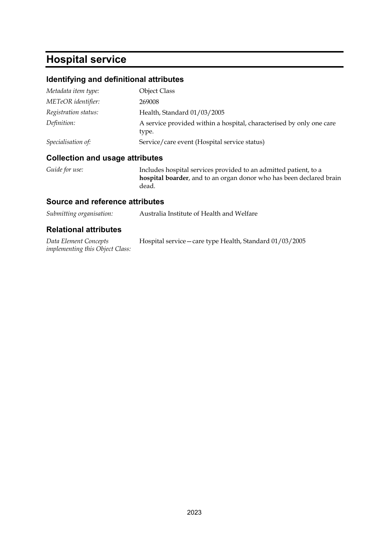# **Hospital service**

### **Identifying and definitional attributes**

| Metadata item type:  | Object Class                                                                  |
|----------------------|-------------------------------------------------------------------------------|
| METeOR identifier:   | 269008                                                                        |
| Registration status: | Health, Standard 01/03/2005                                                   |
| Definition:          | A service provided within a hospital, characterised by only one care<br>type. |
| Specialisation of:   | Service/care event (Hospital service status)                                  |

#### **Collection and usage attributes**

*Guide for use:* Includes hospital services provided to an admitted patient, to a **hospital boarder**, and to an organ donor who has been declared brain dead.

#### **Source and reference attributes**

| Submitting organisation: | Australia Institute of Health and Welfare |
|--------------------------|-------------------------------------------|
|                          |                                           |

| Data Element Concepts                  | Hospital service – care type Health, Standard 01/03/2005 |  |
|----------------------------------------|----------------------------------------------------------|--|
| <i>implementing this Object Class:</i> |                                                          |  |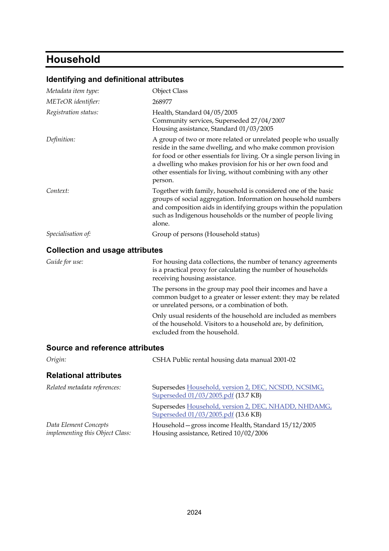# **Household**

### **Identifying and definitional attributes**

| Metadata item type:                    | <b>Object Class</b>                                                                                                                                                                                                                                                                                                                             |
|----------------------------------------|-------------------------------------------------------------------------------------------------------------------------------------------------------------------------------------------------------------------------------------------------------------------------------------------------------------------------------------------------|
| METeOR identifier:                     | 268977                                                                                                                                                                                                                                                                                                                                          |
| Registration status:                   | Health, Standard 04/05/2005<br>Community services, Superseded 27/04/2007<br>Housing assistance, Standard 01/03/2005                                                                                                                                                                                                                             |
| Definition:                            | A group of two or more related or unrelated people who usually<br>reside in the same dwelling, and who make common provision<br>for food or other essentials for living. Or a single person living in<br>a dwelling who makes provision for his or her own food and<br>other essentials for living, without combining with any other<br>person. |
| Context:                               | Together with family, household is considered one of the basic<br>groups of social aggregation. Information on household numbers<br>and composition aids in identifying groups within the population<br>such as Indigenous households or the number of people living<br>alone.                                                                  |
| Specialisation of:                     | Group of persons (Household status)                                                                                                                                                                                                                                                                                                             |
| <b>Collection and usage attributes</b> |                                                                                                                                                                                                                                                                                                                                                 |
| Guide for use:                         | For housing data collections, the number of tenancy agreements<br>is a practical proxy for calculating the number of households<br>receiving housing assistance.                                                                                                                                                                                |
|                                        | The persons in the group may pool their incomes and have a<br>common budget to a greater or lesser extent: they may be related<br>or unrelated persons, or a combination of both.                                                                                                                                                               |
|                                        | Only usual residents of the household are included as members<br>of the household. Visitors to a household are, by definition,<br>excluded from the household.                                                                                                                                                                                  |
| <b>Source and reference attributes</b> |                                                                                                                                                                                                                                                                                                                                                 |
| Origin:                                | CSHA Public rental housing data manual 2001-02                                                                                                                                                                                                                                                                                                  |
| <b>Relational attributes</b>           |                                                                                                                                                                                                                                                                                                                                                 |

| Related metadata references:                                    | Supersedes Household, version 2, DEC, NCSDD, NCSIMG,<br>Superseded 01/03/2005.pdf (13.7 KB)    |
|-----------------------------------------------------------------|------------------------------------------------------------------------------------------------|
|                                                                 | Supersedes Household, version 2, DEC, NHADD, NHDAMG,<br>Superseded 01/03/2005.pdf (13.6 KB)    |
| Data Element Concepts<br><i>implementing this Object Class:</i> | Household – gross income Health, Standard 15/12/2005<br>Housing assistance, Retired 10/02/2006 |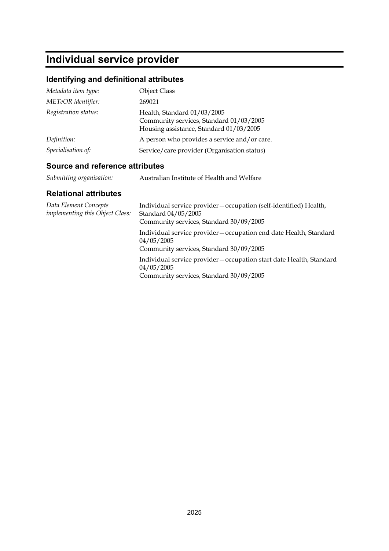# **Individual service provider**

## **Identifying and definitional attributes**

| Metadata item type:  | <b>Object Class</b>                                                                                               |
|----------------------|-------------------------------------------------------------------------------------------------------------------|
| METeOR identifier:   | 269021                                                                                                            |
| Registration status: | Health, Standard 01/03/2005<br>Community services, Standard 01/03/2005<br>Housing assistance, Standard 01/03/2005 |
| Definition:          | A person who provides a service and/or care.                                                                      |
| Specialisation of:   | Service/care provider (Organisation status)                                                                       |

### **Source and reference attributes**

| Submitting organisation: | Australian Institute of Health and Welfare |
|--------------------------|--------------------------------------------|
|                          |                                            |

| Data Element Concepts<br><i>implementing this Object Class:</i> | Individual service provider – occupation (self-identified) Health,<br>Standard 04/05/2005<br>Community services, Standard 30/09/2005 |
|-----------------------------------------------------------------|--------------------------------------------------------------------------------------------------------------------------------------|
|                                                                 | Individual service provider – occupation end date Health, Standard<br>04/05/2005<br>Community services, Standard 30/09/2005          |
|                                                                 | Individual service provider – occupation start date Health, Standard<br>04/05/2005<br>Community services, Standard 30/09/2005        |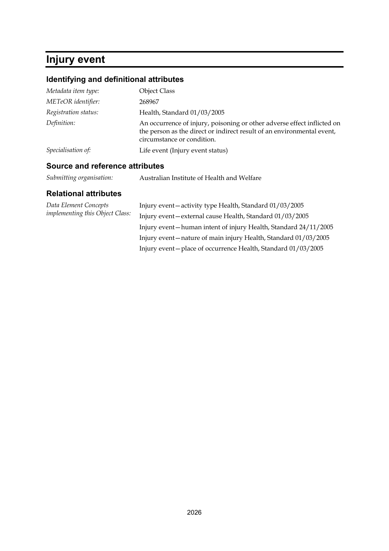## **Injury event**

## **Identifying and definitional attributes**

| Metadata item type:  | <b>Object Class</b>                                                                                                                                                             |
|----------------------|---------------------------------------------------------------------------------------------------------------------------------------------------------------------------------|
| METeOR identifier:   | 268967                                                                                                                                                                          |
| Registration status: | Health, Standard 01/03/2005                                                                                                                                                     |
| Definition:          | An occurrence of injury, poisoning or other adverse effect inflicted on<br>the person as the direct or indirect result of an environmental event,<br>circumstance or condition. |
| Specialisation of:   | Life event (Injury event status)                                                                                                                                                |

### **Source and reference attributes**

| Submitting organisation: | Australian Institute of Health and Welfare |
|--------------------------|--------------------------------------------|
|                          |                                            |

| Data Element Concepts<br><i>implementing this Object Class:</i> | Injury event-activity type Health, Standard 01/03/2005           |
|-----------------------------------------------------------------|------------------------------------------------------------------|
|                                                                 | Injury event-external cause Health, Standard 01/03/2005          |
|                                                                 | Injury event-human intent of injury Health, Standard 24/11/2005  |
|                                                                 | Injury event – nature of main injury Health, Standard 01/03/2005 |
|                                                                 | Injury event-place of occurrence Health, Standard 01/03/2005     |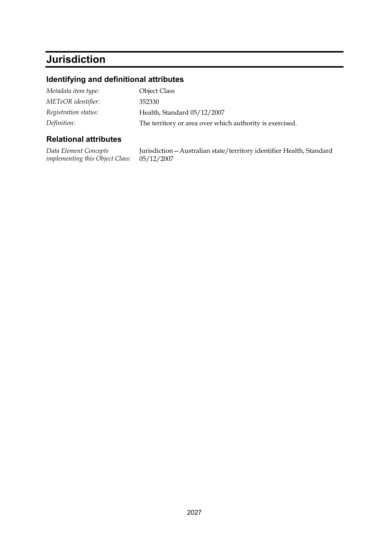# **Jurisdiction**

## **Identifying and definitional attributes**

| Metadata item type:  | <b>Object Class</b>                                      |
|----------------------|----------------------------------------------------------|
| METeOR identifier:   | 352330                                                   |
| Registration status: | Health, Standard 05/12/2007                              |
| Definition:          | The territory or area over which authority is exercised. |

| Data Element Concepts                             | Jurisdiction - Australian state/territory identifier Health, Standard |
|---------------------------------------------------|-----------------------------------------------------------------------|
| <i>implementing this Object Class:</i> 05/12/2007 |                                                                       |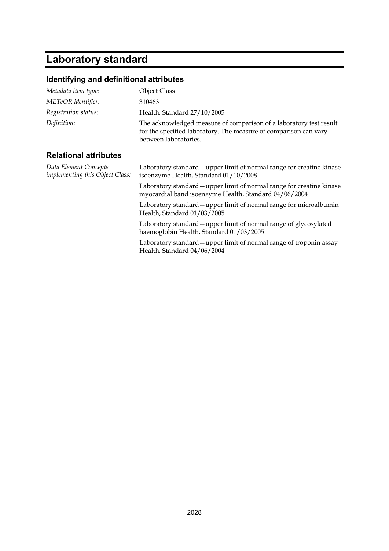# **Laboratory standard**

## **Identifying and definitional attributes**

| Metadata item type:                                      | <b>Object Class</b>                                                                                                                                             |
|----------------------------------------------------------|-----------------------------------------------------------------------------------------------------------------------------------------------------------------|
| METeOR identifier:                                       | 310463                                                                                                                                                          |
| Registration status:                                     | Health, Standard 27/10/2005                                                                                                                                     |
| Definition:                                              | The acknowledged measure of comparison of a laboratory test result<br>for the specified laboratory. The measure of comparison can vary<br>between laboratories. |
| <b>Relational attributes</b>                             |                                                                                                                                                                 |
| Data Element Concepts<br>implementing this Object Class: | Laboratory standard – upper limit of normal range for creatine kinase<br>isoenzyme Health, Standard 01/10/2008                                                  |
|                                                          | Laboratory standard – upper limit of normal range for creatine kinase<br>myocardial band isoenzyme Health, Standard 04/06/2004                                  |
|                                                          | Laboratory standard – upper limit of normal range for microalbumin<br>Health, Standard 01/03/2005                                                               |
|                                                          | Laboratory standard – upper limit of normal range of glycosylated<br>haemoglobin Health, Standard 01/03/2005                                                    |
|                                                          | Laboratory standard – upper limit of normal range of troponin assay<br>Health, Standard 04/06/2004                                                              |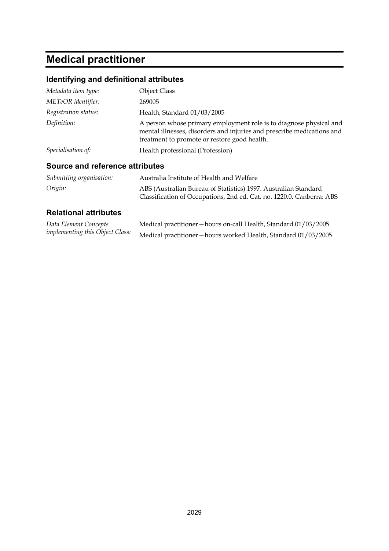# **Medical practitioner**

## **Identifying and definitional attributes**

| Metadata item type:  | <b>Object Class</b>                                                                                                                                                                          |
|----------------------|----------------------------------------------------------------------------------------------------------------------------------------------------------------------------------------------|
| METeOR identifier:   | 269005                                                                                                                                                                                       |
| Registration status: | Health, Standard 01/03/2005                                                                                                                                                                  |
| Definition:          | A person whose primary employment role is to diagnose physical and<br>mental illnesses, disorders and injuries and prescribe medications and<br>treatment to promote or restore good health. |
| Specialisation of:   | Health professional (Profession)                                                                                                                                                             |

### **Source and reference attributes**

| Submitting organisation: | Australia Institute of Health and Welfare                                                                                                |
|--------------------------|------------------------------------------------------------------------------------------------------------------------------------------|
| Origin:                  | ABS (Australian Bureau of Statistics) 1997. Australian Standard<br>Classification of Occupations, 2nd ed. Cat. no. 1220.0. Canberra: ABS |

| Data Element Concepts                  | Medical practitioner – hours on-call Health, Standard 01/03/2005 |
|----------------------------------------|------------------------------------------------------------------|
| <i>implementing this Object Class:</i> | Medical practitioner-hours worked Health, Standard 01/03/2005    |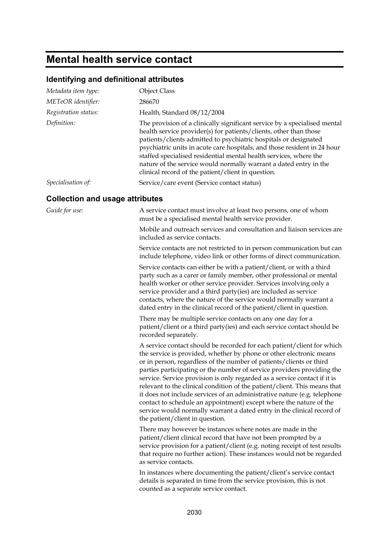## **Mental health service contact**

### **Identifying and definitional attributes**

| Metadata item type:                    | <b>Object Class</b>                                                                                                                                                                                                                                                                                                                                                                                                                                                                                                                                                                                                                                                                                                     |
|----------------------------------------|-------------------------------------------------------------------------------------------------------------------------------------------------------------------------------------------------------------------------------------------------------------------------------------------------------------------------------------------------------------------------------------------------------------------------------------------------------------------------------------------------------------------------------------------------------------------------------------------------------------------------------------------------------------------------------------------------------------------------|
| METeOR identifier:                     | 286670                                                                                                                                                                                                                                                                                                                                                                                                                                                                                                                                                                                                                                                                                                                  |
| Registration status:                   | Health, Standard 08/12/2004                                                                                                                                                                                                                                                                                                                                                                                                                                                                                                                                                                                                                                                                                             |
| Definition:                            | The provision of a clinically significant service by a specialised mental<br>health service provider(s) for patients/clients, other than those<br>patients/clients admitted to psychiatric hospitals or designated<br>psychiatric units in acute care hospitals, and those resident in 24 hour<br>staffed specialised residential mental health services, where the<br>nature of the service would normally warrant a dated entry in the<br>clinical record of the patient/client in question.                                                                                                                                                                                                                          |
| Specialisation of:                     | Service/care event (Service contact status)                                                                                                                                                                                                                                                                                                                                                                                                                                                                                                                                                                                                                                                                             |
| <b>Collection and usage attributes</b> |                                                                                                                                                                                                                                                                                                                                                                                                                                                                                                                                                                                                                                                                                                                         |
| Guide for use:                         | A service contact must involve at least two persons, one of whom<br>must be a specialised mental health service provider.                                                                                                                                                                                                                                                                                                                                                                                                                                                                                                                                                                                               |
|                                        | Mobile and outreach services and consultation and liaison services are<br>included as service contacts.                                                                                                                                                                                                                                                                                                                                                                                                                                                                                                                                                                                                                 |
|                                        | Service contacts are not restricted to in person communication but can<br>include telephone, video link or other forms of direct communication.                                                                                                                                                                                                                                                                                                                                                                                                                                                                                                                                                                         |
|                                        | Service contacts can either be with a patient/client, or with a third<br>party such as a carer or family member, other professional or mental<br>health worker or other service provider. Services involving only a<br>service provider and a third party(ies) are included as service<br>contacts, where the nature of the service would normally warrant a<br>dated entry in the clinical record of the patient/client in question.                                                                                                                                                                                                                                                                                   |
|                                        | There may be multiple service contacts on any one day for a<br>patient/client or a third party(ies) and each service contact should be<br>recorded separately.                                                                                                                                                                                                                                                                                                                                                                                                                                                                                                                                                          |
|                                        | A service contact should be recorded for each patient/client for which<br>the service is provided, whether by phone or other electronic means<br>or in person, regardless of the number of patients/clients or third<br>parties participating or the number of service providers providing the<br>service. Service provision is only regarded as a service contact if it is<br>relevant to the clinical condition of the patient/client. This means that<br>it does not include services of an administrative nature (e.g. telephone<br>contact to schedule an appointment) except where the nature of the<br>service would normally warrant a dated entry in the clinical record of<br>the patient/client in question. |
|                                        | There may however be instances where notes are made in the<br>patient/client clinical record that have not been prompted by a<br>service provision for a patient/client (e.g. noting receipt of test results<br>that require no further action). These instances would not be regarded<br>as service contacts.                                                                                                                                                                                                                                                                                                                                                                                                          |
|                                        | In instances where documenting the patient/client's service contact<br>details is separated in time from the service provision, this is not<br>counted as a separate service contact.                                                                                                                                                                                                                                                                                                                                                                                                                                                                                                                                   |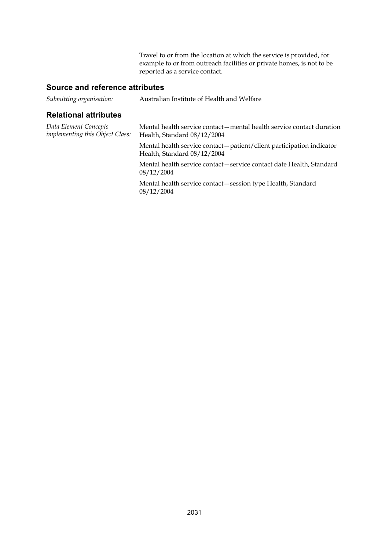Travel to or from the location at which the service is provided, for example to or from outreach facilities or private homes, is not to be reported as a service contact.

#### **Source and reference attributes**

| Submitting organisation: | Australian Institute of Health and Welfare |
|--------------------------|--------------------------------------------|
|--------------------------|--------------------------------------------|

| Mental health service contact - mental health service contact duration<br>Health, Standard 08/12/2004 |
|-------------------------------------------------------------------------------------------------------|
| Mental health service contact - patient/client participation indicator<br>Health, Standard 08/12/2004 |
| Mental health service contact – service contact date Health, Standard<br>08/12/2004                   |
| Mental health service contact - session type Health, Standard<br>08/12/2004                           |
|                                                                                                       |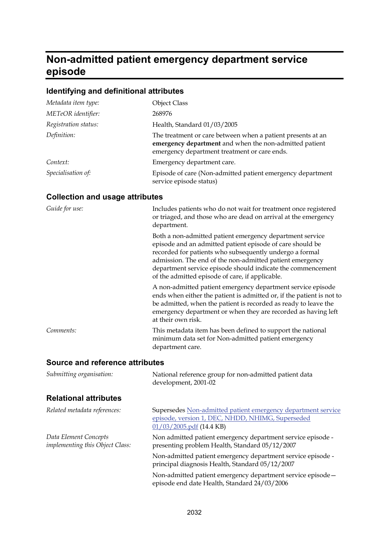#### **Non-admitted patient emergency department service episode**

## **Identifying and definitional attributes**

| Metadata item type:  | <b>Object Class</b>                                                                                                                                                   |
|----------------------|-----------------------------------------------------------------------------------------------------------------------------------------------------------------------|
| METeOR identifier:   | 268976                                                                                                                                                                |
| Registration status: | Health, Standard 01/03/2005                                                                                                                                           |
| Definition:          | The treatment or care between when a patient presents at an<br>emergency department and when the non-admitted patient<br>emergency department treatment or care ends. |
| Context:             | Emergency department care.                                                                                                                                            |
| Specialisation of:   | Episode of care (Non-admitted patient emergency department<br>service episode status)                                                                                 |

#### **Collection and usage attributes**

| Guide for use: | Includes patients who do not wait for treatment once registered<br>or triaged, and those who are dead on arrival at the emergency<br>department.                                                                                                                                                                                                               |
|----------------|----------------------------------------------------------------------------------------------------------------------------------------------------------------------------------------------------------------------------------------------------------------------------------------------------------------------------------------------------------------|
|                | Both a non-admitted patient emergency department service<br>episode and an admitted patient episode of care should be<br>recorded for patients who subsequently undergo a formal<br>admission. The end of the non-admitted patient emergency<br>department service episode should indicate the commencement<br>of the admitted episode of care, if applicable. |
|                | A non-admitted patient emergency department service episode<br>ends when either the patient is admitted or, if the patient is not to<br>be admitted, when the patient is recorded as ready to leave the<br>emergency department or when they are recorded as having left<br>at their own risk.                                                                 |
| Comments:      | This metadata item has been defined to support the national<br>minimum data set for Non-admitted patient emergency<br>department care.                                                                                                                                                                                                                         |

#### **Source and reference attributes**

| Submitting organisation:                                 | National reference group for non-admitted patient data<br>development, 2001-02                                                                  |
|----------------------------------------------------------|-------------------------------------------------------------------------------------------------------------------------------------------------|
| <b>Relational attributes</b>                             |                                                                                                                                                 |
| Related metadata references:                             | Supersedes Non-admitted patient emergency department service<br>episode, version 1, DEC, NHDD, NHIMG, Superseded<br>$01/03/2005$ .pdf (14.4 KB) |
| Data Element Concepts<br>implementing this Object Class: | Non admitted patient emergency department service episode -<br>presenting problem Health, Standard 05/12/2007                                   |
|                                                          | Non-admitted patient emergency department service episode -<br>principal diagnosis Health, Standard 05/12/2007                                  |
|                                                          | Non-admitted patient emergency department service episode-<br>episode end date Health, Standard 24/03/2006                                      |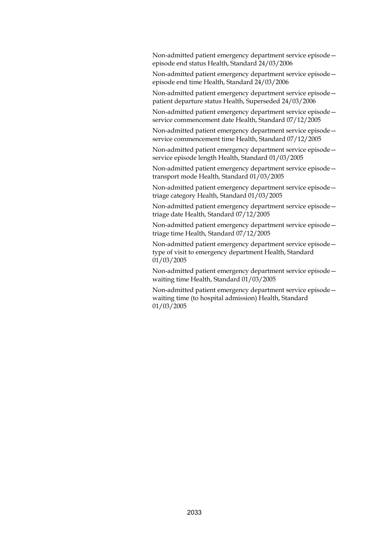Non-admitted patient emergency department service episode episode end status Health, Standard 24/03/2006

Non-admitted patient emergency department service episode episode end time Health, Standard 24/03/2006

Non-admitted patient emergency department service episode patient departure status Health, Superseded 24/03/2006

Non-admitted patient emergency department service episode service commencement date Health, Standard 07/12/2005

Non-admitted patient emergency department service episode service commencement time Health, Standard 07/12/2005

Non-admitted patient emergency department service episode service episode length Health, Standard 01/03/2005

Non-admitted patient emergency department service episode transport mode Health, Standard 01/03/2005

Non-admitted patient emergency department service episode triage category Health, Standard 01/03/2005

Non-admitted patient emergency department service episode triage date Health, Standard 07/12/2005

Non-admitted patient emergency department service episode triage time Health, Standard 07/12/2005

Non-admitted patient emergency department service episode type of visit to emergency department Health, Standard 01/03/2005

Non-admitted patient emergency department service episode waiting time Health, Standard 01/03/2005

Non-admitted patient emergency department service episode waiting time (to hospital admission) Health, Standard 01/03/2005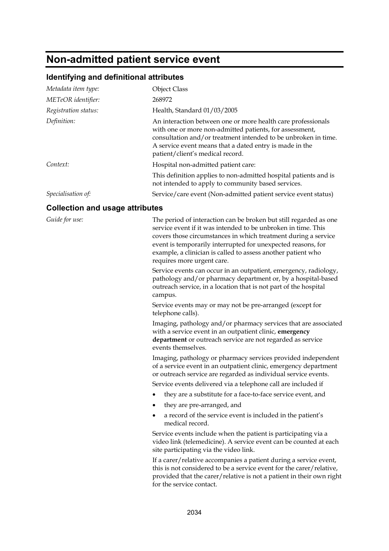## **Non-admitted patient service event**

#### **Identifying and definitional attributes**

| Metadata item type:  | <b>Object Class</b>                                                                                                                                                                                                                                                                      |
|----------------------|------------------------------------------------------------------------------------------------------------------------------------------------------------------------------------------------------------------------------------------------------------------------------------------|
| METeOR identifier:   | 268972                                                                                                                                                                                                                                                                                   |
| Registration status: | Health, Standard 01/03/2005                                                                                                                                                                                                                                                              |
| Definition:          | An interaction between one or more health care professionals<br>with one or more non-admitted patients, for assessment,<br>consultation and/or treatment intended to be unbroken in time.<br>A service event means that a dated entry is made in the<br>patient/client's medical record. |
| Context:             | Hospital non-admitted patient care:                                                                                                                                                                                                                                                      |
|                      | This definition applies to non-admitted hospital patients and is<br>not intended to apply to community based services.                                                                                                                                                                   |
| Specialisation of:   | Service/care event (Non-admitted patient service event status)                                                                                                                                                                                                                           |

#### **Collection and usage attributes**

*Guide for use:* The period of interaction can be broken but still regarded as one service event if it was intended to be unbroken in time. This covers those circumstances in which treatment during a service event is temporarily interrupted for unexpected reasons, for example, a clinician is called to assess another patient who requires more urgent care.

> Service events can occur in an outpatient, emergency, radiology, pathology and/or pharmacy department or, by a hospital-based outreach service, in a location that is not part of the hospital campus.

Service events may or may not be pre-arranged (except for telephone calls).

Imaging, pathology and/or pharmacy services that are associated with a service event in an outpatient clinic, **emergency department** or outreach service are not regarded as service events themselves.

Imaging, pathology or pharmacy services provided independent of a service event in an outpatient clinic, emergency department or outreach service are regarded as individual service events. Service events delivered via a telephone call are included if

- they are a substitute for a face-to-face service event, and
- they are pre-arranged, and
- a record of the service event is included in the patient's medical record.

Service events include when the patient is participating via a video link (telemedicine). A service event can be counted at each site participating via the video link.

If a carer/relative accompanies a patient during a service event, this is not considered to be a service event for the carer/relative, provided that the carer/relative is not a patient in their own right for the service contact.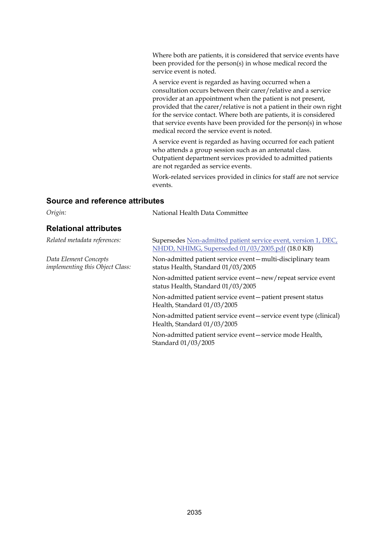Where both are patients, it is considered that service events have been provided for the person(s) in whose medical record the service event is noted.

A service event is regarded as having occurred when a consultation occurs between their carer/relative and a service provider at an appointment when the patient is not present, provided that the carer/relative is not a patient in their own right for the service contact. Where both are patients, it is considered that service events have been provided for the person(s) in whose medical record the service event is noted.

A service event is regarded as having occurred for each patient who attends a group session such as an antenatal class. Outpatient department services provided to admitted patients are not regarded as service events.

Work-related services provided in clinics for staff are not service events.

#### **Source and reference attributes**

| Origin:                                                         | National Health Data Committee                                                                                     |
|-----------------------------------------------------------------|--------------------------------------------------------------------------------------------------------------------|
| <b>Relational attributes</b>                                    |                                                                                                                    |
| Related metadata references:                                    | Supersedes Non-admitted patient service event, version 1, DEC,<br>NHDD, NHIMG, Superseded 01/03/2005.pdf (18.0 KB) |
| Data Element Concepts<br><i>implementing this Object Class:</i> | Non-admitted patient service event - multi-disciplinary team<br>status Health, Standard 01/03/2005                 |
|                                                                 | Non-admitted patient service event – new/repeat service event<br>status Health, Standard 01/03/2005                |
|                                                                 | Non-admitted patient service event-patient present status<br>Health, Standard 01/03/2005                           |
|                                                                 | Non-admitted patient service event – service event type (clinical)<br>Health, Standard 01/03/2005                  |
|                                                                 | Non-admitted patient service event-service mode Health,<br>Standard 01/03/2005                                     |
|                                                                 |                                                                                                                    |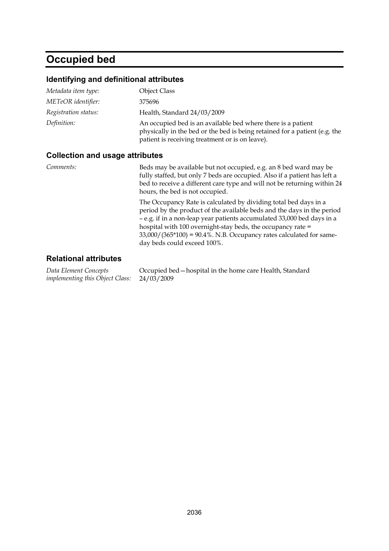# **Occupied bed**

### **Identifying and definitional attributes**

| Metadata item type:                    | <b>Object Class</b>                                                                                                                                                                                                                                                                                                                                                                           |  |
|----------------------------------------|-----------------------------------------------------------------------------------------------------------------------------------------------------------------------------------------------------------------------------------------------------------------------------------------------------------------------------------------------------------------------------------------------|--|
| METeOR identifier:                     | 375696                                                                                                                                                                                                                                                                                                                                                                                        |  |
| Registration status:                   | Health, Standard 24/03/2009                                                                                                                                                                                                                                                                                                                                                                   |  |
| Definition:                            | An occupied bed is an available bed where there is a patient<br>physically in the bed or the bed is being retained for a patient (e.g. the<br>patient is receiving treatment or is on leave).                                                                                                                                                                                                 |  |
| <b>Collection and usage attributes</b> |                                                                                                                                                                                                                                                                                                                                                                                               |  |
| Comments:                              | Beds may be available but not occupied, e.g. an 8 bed ward may be<br>fully staffed, but only 7 beds are occupied. Also if a patient has left a<br>bed to receive a different care type and will not be returning within 24<br>hours, the bed is not occupied.                                                                                                                                 |  |
|                                        | The Occupancy Rate is calculated by dividing total bed days in a<br>period by the product of the available beds and the days in the period<br>- e.g. if in a non-leap year patients accumulated 33,000 bed days in a<br>hospital with 100 overnight-stay beds, the occupancy rate =<br>$33,000/(365*100) = 90.4\%$ . N.B. Occupancy rates calculated for same-<br>day beds could exceed 100%. |  |

### **Relational attributes**

*Data Element Concepts implementing this Object Class:* Occupied bed—hospital in the home care Health, Standard 24/03/2009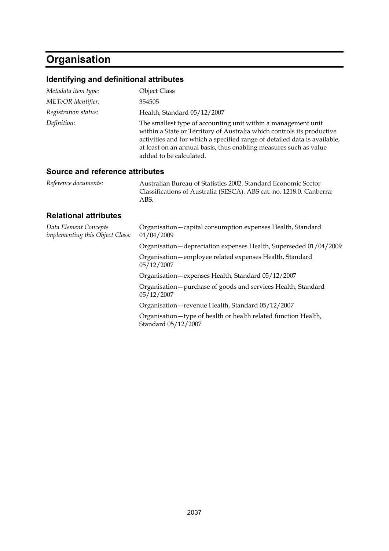# **Organisation**

## **Identifying and definitional attributes**

| Metadata item type:  | <b>Object Class</b>                                                                                                                                                                                                                                                                                                  |
|----------------------|----------------------------------------------------------------------------------------------------------------------------------------------------------------------------------------------------------------------------------------------------------------------------------------------------------------------|
| METeOR identifier:   | 354505                                                                                                                                                                                                                                                                                                               |
| Registration status: | Health, Standard 05/12/2007                                                                                                                                                                                                                                                                                          |
| Definition:          | The smallest type of accounting unit within a management unit<br>within a State or Territory of Australia which controls its productive<br>activities and for which a specified range of detailed data is available,<br>at least on an annual basis, thus enabling measures such as value<br>added to be calculated. |

### **Source and reference attributes**

| Reference documents:                                     | Australian Bureau of Statistics 2002. Standard Economic Sector<br>Classifications of Australia (SESCA). ABS cat. no. 1218.0. Canberra:<br>ABS. |
|----------------------------------------------------------|------------------------------------------------------------------------------------------------------------------------------------------------|
| <b>Relational attributes</b>                             |                                                                                                                                                |
| Data Element Concepts<br>implementing this Object Class: | Organisation-capital consumption expenses Health, Standard<br>01/04/2009                                                                       |
|                                                          | Organisation - depreciation expenses Health, Superseded 01/04/2009                                                                             |
|                                                          | Organisation - employee related expenses Health, Standard<br>05/12/2007                                                                        |
|                                                          | Organisation - expenses Health, Standard 05/12/2007                                                                                            |
|                                                          | Organisation - purchase of goods and services Health, Standard<br>05/12/2007                                                                   |
|                                                          | Organisation - revenue Health, Standard 05/12/2007                                                                                             |
|                                                          | Organisation - type of health or health related function Health,<br>Standard 05/12/2007                                                        |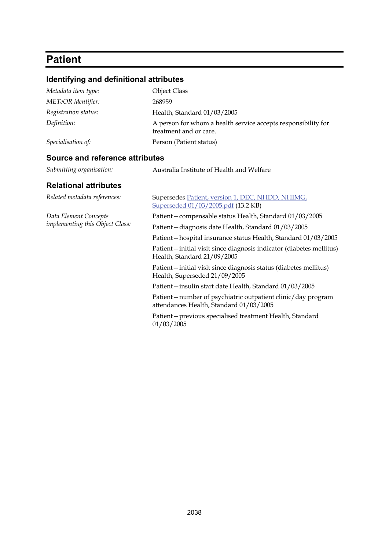## **Patient**

## **Identifying and definitional attributes**  *Metadata item type:* Object Class *METeOR identifier:* 268959 *Registration status:* Health, Standard 01/03/2005 *Definition:* A person for whom a health service accepts responsibility for treatment and or care. *Specialisation of:* Person (Patient status) **Source and reference attributes**  *Submitting organisation:* Australia Institute of Health and Welfare **Relational attributes**  *Related metadata references:* Supersedes [Patient, version 1, DEC, NHDD, NHIMG,](http://meteor.aihw.gov.au/content/item.phtml?itemId=273080&nodeId=file421938ec62ef7&fn=Patient,%20version%201,%20DEC,%20NHDD,%20NHIMG,%20Superseded%2001/03/2005.pdf)  [Superseded 01/03/2005.pdf](http://meteor.aihw.gov.au/content/item.phtml?itemId=273080&nodeId=file421938ec62ef7&fn=Patient,%20version%201,%20DEC,%20NHDD,%20NHIMG,%20Superseded%2001/03/2005.pdf) (13.2 KB)

*Data Element Concepts implementing this Object Class:*

Patient—compensable status Health, Standard 01/03/2005 Patient—diagnosis date Health, Standard 01/03/2005 Patient—hospital insurance status Health, Standard 01/03/2005 Patient—initial visit since diagnosis indicator (diabetes mellitus) Health, Standard 21/09/2005 Patient—initial visit since diagnosis status (diabetes mellitus) Health, Superseded 21/09/2005 Patient—insulin start date Health, Standard 01/03/2005 Patient—number of psychiatric outpatient clinic/day program attendances Health, Standard 01/03/2005

Patient—previous specialised treatment Health, Standard 01/03/2005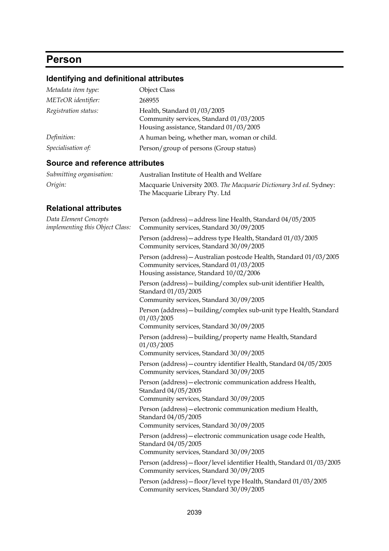## **Person**

## **Identifying and definitional attributes**

| Metadata item type:                                      | <b>Object Class</b>                                                                                                                                      |
|----------------------------------------------------------|----------------------------------------------------------------------------------------------------------------------------------------------------------|
| METeOR identifier:                                       | 268955                                                                                                                                                   |
| Registration status:                                     | Health, Standard 01/03/2005<br>Community services, Standard 01/03/2005<br>Housing assistance, Standard 01/03/2005                                        |
| Definition:                                              | A human being, whether man, woman or child.                                                                                                              |
| Specialisation of:                                       | Person/group of persons (Group status)                                                                                                                   |
| <b>Source and reference attributes</b>                   |                                                                                                                                                          |
| Submitting organisation:                                 | Australian Institute of Health and Welfare                                                                                                               |
| Origin:                                                  | Macquarie University 2003. The Macquarie Dictionary 3rd ed. Sydney:<br>The Macquarie Library Pty. Ltd                                                    |
| <b>Relational attributes</b>                             |                                                                                                                                                          |
| Data Element Concepts<br>implementing this Object Class: | Person (address) - address line Health, Standard 04/05/2005<br>Community services, Standard 30/09/2005                                                   |
|                                                          | Person (address) - address type Health, Standard 01/03/2005<br>Community services, Standard 30/09/2005                                                   |
|                                                          | Person (address) - Australian postcode Health, Standard 01/03/2005<br>Community services, Standard 01/03/2005<br>Housing assistance, Standard 10/02/2006 |
|                                                          | Person (address) - building/complex sub-unit identifier Health,<br>Standard 01/03/2005<br>Community services, Standard 30/09/2005                        |
|                                                          | Person (address) - building/complex sub-unit type Health, Standard                                                                                       |
|                                                          | 01/03/2005<br>Community services, Standard 30/09/2005                                                                                                    |
|                                                          | Person (address) - building/property name Health, Standard<br>01/03/2005<br>Community services, Standard 30/09/2005                                      |
|                                                          | Person (address) - country identifier Health, Standard 04/05/2005<br>Community services, Standard 30/09/2005                                             |
|                                                          | Person (address) - electronic communication address Health,<br>Standard 04/05/2005<br>Community services, Standard 30/09/2005                            |
|                                                          | Person (address) - electronic communication medium Health,<br>Standard 04/05/2005<br>Community services, Standard 30/09/2005                             |
|                                                          | Person (address) - electronic communication usage code Health,<br>Standard 04/05/2005<br>Community services, Standard 30/09/2005                         |
|                                                          | Person (address) - floor/level identifier Health, Standard 01/03/2005<br>Community services, Standard 30/09/2005                                         |
|                                                          | Person (address) - floor/level type Health, Standard 01/03/2005<br>Community services, Standard 30/09/2005                                               |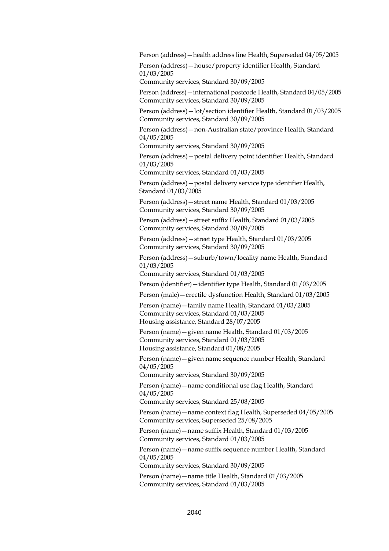Person (address)—health address line Health, Superseded 04/05/2005

Person (address)—house/property identifier Health, Standard 01/03/2005

Community services, Standard 30/09/2005

Person (address)—international postcode Health, Standard 04/05/2005 Community services, Standard 30/09/2005

Person (address)—lot/section identifier Health, Standard 01/03/2005 Community services, Standard 30/09/2005

Person (address)—non-Australian state/province Health, Standard 04/05/2005

Community services, Standard 30/09/2005

Person (address)—postal delivery point identifier Health, Standard 01/03/2005

Community services, Standard 01/03/2005

Person (address)—postal delivery service type identifier Health, Standard 01/03/2005

Person (address)—street name Health, Standard 01/03/2005 Community services, Standard 30/09/2005

Person (address)—street suffix Health, Standard 01/03/2005 Community services, Standard 30/09/2005

Person (address)—street type Health, Standard 01/03/2005 Community services, Standard 30/09/2005

Person (address)—suburb/town/locality name Health, Standard 01/03/2005

Community services, Standard 01/03/2005

Person (identifier)—identifier type Health, Standard 01/03/2005

Person (male)—erectile dysfunction Health, Standard 01/03/2005

Person (name)—family name Health, Standard 01/03/2005 Community services, Standard 01/03/2005 Housing assistance, Standard 28/07/2005

Person (name)—given name Health, Standard 01/03/2005 Community services, Standard 01/03/2005 Housing assistance, Standard 01/08/2005

Person (name)—given name sequence number Health, Standard 04/05/2005

Community services, Standard 30/09/2005

Person (name)—name conditional use flag Health, Standard 04/05/2005

Community services, Standard 25/08/2005

Person (name)—name context flag Health, Superseded 04/05/2005 Community services, Superseded 25/08/2005

Person (name)—name suffix Health, Standard 01/03/2005 Community services, Standard 01/03/2005

Person (name)—name suffix sequence number Health, Standard 04/05/2005

Community services, Standard 30/09/2005

Person (name)—name title Health, Standard 01/03/2005 Community services, Standard 01/03/2005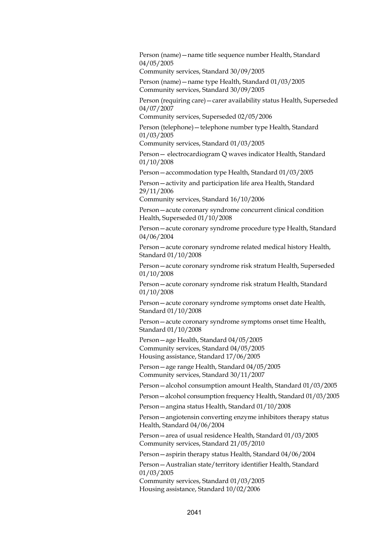Person (name)—name title sequence number Health, Standard 04/05/2005

Community services, Standard 30/09/2005

Person (name)—name type Health, Standard 01/03/2005 Community services, Standard 30/09/2005

Person (requiring care)—carer availability status Health, Superseded 04/07/2007

Community services, Superseded 02/05/2006

Person (telephone)—telephone number type Health, Standard 01/03/2005

Community services, Standard 01/03/2005

Person— electrocardiogram Q waves indicator Health, Standard 01/10/2008

Person—accommodation type Health, Standard 01/03/2005

Person—activity and participation life area Health, Standard 29/11/2006

Community services, Standard 16/10/2006

Person—acute coronary syndrome concurrent clinical condition Health, Superseded 01/10/2008

Person—acute coronary syndrome procedure type Health, Standard 04/06/2004

Person—acute coronary syndrome related medical history Health, Standard 01/10/2008

Person—acute coronary syndrome risk stratum Health, Superseded 01/10/2008

Person—acute coronary syndrome risk stratum Health, Standard 01/10/2008

Person—acute coronary syndrome symptoms onset date Health, Standard 01/10/2008

Person—acute coronary syndrome symptoms onset time Health, Standard 01/10/2008

Person—age Health, Standard 04/05/2005 Community services, Standard 04/05/2005 Housing assistance, Standard 17/06/2005

Person—age range Health, Standard 04/05/2005 Community services, Standard 30/11/2007

Person—alcohol consumption amount Health, Standard 01/03/2005

Person—alcohol consumption frequency Health, Standard 01/03/2005

Person—angina status Health, Standard 01/10/2008

Person—angiotensin converting enzyme inhibitors therapy status Health, Standard 04/06/2004

Person—area of usual residence Health, Standard 01/03/2005 Community services, Standard 21/05/2010

Person—aspirin therapy status Health, Standard 04/06/2004

Person-Australian state/territory identifier Health, Standard 01/03/2005

Community services, Standard 01/03/2005 Housing assistance, Standard 10/02/2006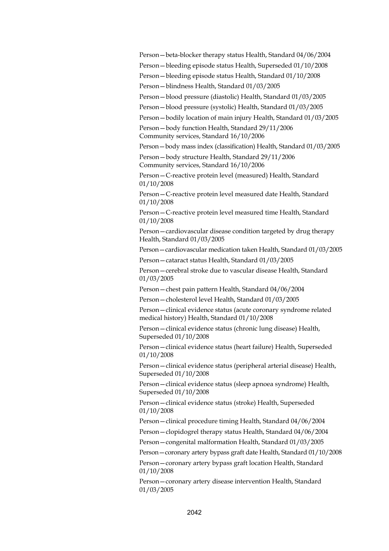Person—beta-blocker therapy status Health, Standard 04/06/2004 Person—bleeding episode status Health, Superseded 01/10/2008 Person—bleeding episode status Health, Standard 01/10/2008

Person—blindness Health, Standard 01/03/2005

Person—blood pressure (diastolic) Health, Standard 01/03/2005

Person—blood pressure (systolic) Health, Standard 01/03/2005

Person—bodily location of main injury Health, Standard 01/03/2005

Person—body function Health, Standard 29/11/2006 Community services, Standard 16/10/2006

Person—body mass index (classification) Health, Standard 01/03/2005

Person—body structure Health, Standard 29/11/2006 Community services, Standard 16/10/2006

Person—C-reactive protein level (measured) Health, Standard 01/10/2008

Person—C-reactive protein level measured date Health, Standard 01/10/2008

Person—C-reactive protein level measured time Health, Standard 01/10/2008

Person—cardiovascular disease condition targeted by drug therapy Health, Standard 01/03/2005

Person—cardiovascular medication taken Health, Standard 01/03/2005

Person—cataract status Health, Standard 01/03/2005

Person—cerebral stroke due to vascular disease Health, Standard 01/03/2005

Person—chest pain pattern Health, Standard 04/06/2004

Person—cholesterol level Health, Standard 01/03/2005

Person—clinical evidence status (acute coronary syndrome related medical history) Health, Standard 01/10/2008

Person—clinical evidence status (chronic lung disease) Health, Superseded 01/10/2008

Person—clinical evidence status (heart failure) Health, Superseded 01/10/2008

Person—clinical evidence status (peripheral arterial disease) Health, Superseded 01/10/2008

Person—clinical evidence status (sleep apnoea syndrome) Health, Superseded 01/10/2008

Person—clinical evidence status (stroke) Health, Superseded 01/10/2008

Person—clinical procedure timing Health, Standard 04/06/2004

Person—clopidogrel therapy status Health, Standard 04/06/2004

Person—congenital malformation Health, Standard 01/03/2005

Person—coronary artery bypass graft date Health, Standard 01/10/2008

Person—coronary artery bypass graft location Health, Standard 01/10/2008

Person—coronary artery disease intervention Health, Standard 01/03/2005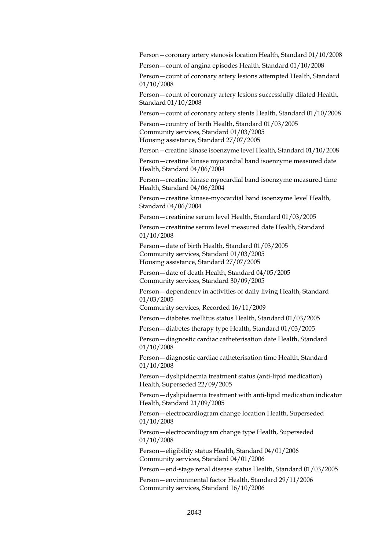Person—coronary artery stenosis location Health, Standard 01/10/2008

Person—count of angina episodes Health, Standard 01/10/2008

Person—count of coronary artery lesions attempted Health, Standard 01/10/2008

Person—count of coronary artery lesions successfully dilated Health, Standard 01/10/2008

Person—count of coronary artery stents Health, Standard 01/10/2008

Person—country of birth Health, Standard 01/03/2005 Community services, Standard 01/03/2005 Housing assistance, Standard 27/07/2005

Person—creatine kinase isoenzyme level Health, Standard 01/10/2008

Person—creatine kinase myocardial band isoenzyme measured date Health, Standard 04/06/2004

Person—creatine kinase myocardial band isoenzyme measured time Health, Standard 04/06/2004

Person—creatine kinase-myocardial band isoenzyme level Health, Standard 04/06/2004

Person—creatinine serum level Health, Standard 01/03/2005

Person—creatinine serum level measured date Health, Standard 01/10/2008

Person—date of birth Health, Standard 01/03/2005 Community services, Standard 01/03/2005 Housing assistance, Standard 27/07/2005

Person—date of death Health, Standard 04/05/2005 Community services, Standard 30/09/2005

Person—dependency in activities of daily living Health, Standard 01/03/2005

Community services, Recorded 16/11/2009

Person—diabetes mellitus status Health, Standard 01/03/2005

Person—diabetes therapy type Health, Standard 01/03/2005

Person—diagnostic cardiac catheterisation date Health, Standard 01/10/2008

Person—diagnostic cardiac catheterisation time Health, Standard 01/10/2008

Person—dyslipidaemia treatment status (anti-lipid medication) Health, Superseded 22/09/2005

Person—dyslipidaemia treatment with anti-lipid medication indicator Health, Standard 21/09/2005

Person—electrocardiogram change location Health, Superseded 01/10/2008

Person—electrocardiogram change type Health, Superseded 01/10/2008

Person—eligibility status Health, Standard 04/01/2006 Community services, Standard 04/01/2006

Person—end-stage renal disease status Health, Standard 01/03/2005

Person—environmental factor Health, Standard 29/11/2006 Community services, Standard 16/10/2006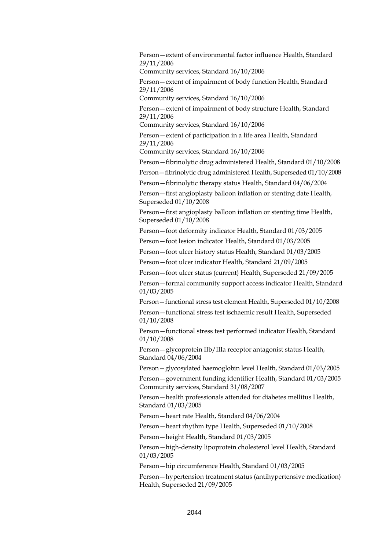Person—extent of environmental factor influence Health, Standard 29/11/2006

Community services, Standard 16/10/2006

Person—extent of impairment of body function Health, Standard 29/11/2006

Community services, Standard 16/10/2006

Person—extent of impairment of body structure Health, Standard 29/11/2006

Community services, Standard 16/10/2006

Person—extent of participation in a life area Health, Standard 29/11/2006

Community services, Standard 16/10/2006

Person—fibrinolytic drug administered Health, Standard 01/10/2008

Person—fibrinolytic drug administered Health, Superseded 01/10/2008

Person—fibrinolytic therapy status Health, Standard 04/06/2004

Person—first angioplasty balloon inflation or stenting date Health, Superseded 01/10/2008

Person—first angioplasty balloon inflation or stenting time Health, Superseded 01/10/2008

Person—foot deformity indicator Health, Standard 01/03/2005

Person—foot lesion indicator Health, Standard 01/03/2005

Person—foot ulcer history status Health, Standard 01/03/2005

Person—foot ulcer indicator Health, Standard 21/09/2005

Person—foot ulcer status (current) Health, Superseded 21/09/2005

Person—formal community support access indicator Health, Standard 01/03/2005

Person—functional stress test element Health, Superseded 01/10/2008

Person—functional stress test ischaemic result Health, Superseded 01/10/2008

Person—functional stress test performed indicator Health, Standard 01/10/2008

Person—glycoprotein IIb/IIIa receptor antagonist status Health, Standard 04/06/2004

Person—glycosylated haemoglobin level Health, Standard 01/03/2005

Person—government funding identifier Health, Standard 01/03/2005 Community services, Standard 31/08/2007

Person—health professionals attended for diabetes mellitus Health, Standard 01/03/2005

Person—heart rate Health, Standard 04/06/2004

Person—heart rhythm type Health, Superseded 01/10/2008

Person—height Health, Standard 01/03/2005

Person—high-density lipoprotein cholesterol level Health, Standard 01/03/2005

Person—hip circumference Health, Standard 01/03/2005

Person—hypertension treatment status (antihypertensive medication) Health, Superseded 21/09/2005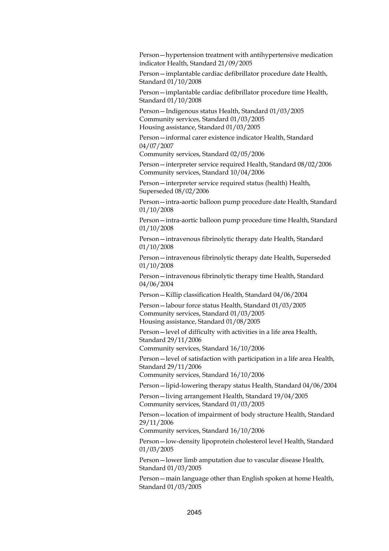Person—hypertension treatment with antihypertensive medication indicator Health, Standard 21/09/2005

Person—implantable cardiac defibrillator procedure date Health, Standard 01/10/2008

Person—implantable cardiac defibrillator procedure time Health, Standard 01/10/2008

Person—Indigenous status Health, Standard 01/03/2005 Community services, Standard 01/03/2005 Housing assistance, Standard 01/03/2005

Person—informal carer existence indicator Health, Standard 04/07/2007

Community services, Standard 02/05/2006

Person—interpreter service required Health, Standard 08/02/2006 Community services, Standard 10/04/2006

Person—interpreter service required status (health) Health, Superseded 08/02/2006

Person—intra-aortic balloon pump procedure date Health, Standard 01/10/2008

Person—intra-aortic balloon pump procedure time Health, Standard 01/10/2008

Person—intravenous fibrinolytic therapy date Health, Standard 01/10/2008

Person—intravenous fibrinolytic therapy date Health, Superseded 01/10/2008

Person—intravenous fibrinolytic therapy time Health, Standard 04/06/2004

Person—Killip classification Health, Standard 04/06/2004

Person—labour force status Health, Standard 01/03/2005 Community services, Standard 01/03/2005 Housing assistance, Standard 01/08/2005

Person—level of difficulty with activities in a life area Health, Standard 29/11/2006

Community services, Standard 16/10/2006

Person—level of satisfaction with participation in a life area Health, Standard 29/11/2006

Community services, Standard 16/10/2006

Person—lipid-lowering therapy status Health, Standard 04/06/2004

Person—living arrangement Health, Standard 19/04/2005 Community services, Standard 01/03/2005

Person—location of impairment of body structure Health, Standard 29/11/2006

Community services, Standard 16/10/2006

Person—low-density lipoprotein cholesterol level Health, Standard 01/03/2005

Person—lower limb amputation due to vascular disease Health, Standard 01/03/2005

Person—main language other than English spoken at home Health, Standard 01/03/2005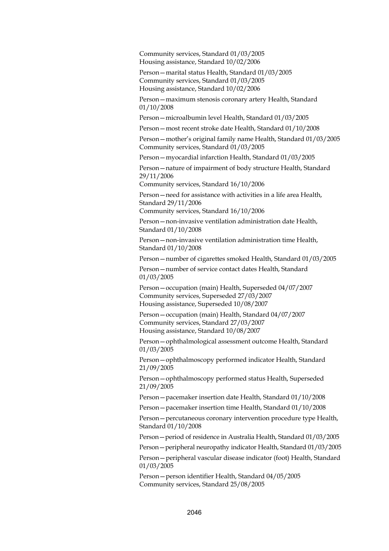Community services, Standard 01/03/2005 Housing assistance, Standard 10/02/2006

Person—marital status Health, Standard 01/03/2005 Community services, Standard 01/03/2005 Housing assistance, Standard 10/02/2006

Person—maximum stenosis coronary artery Health, Standard 01/10/2008

Person—microalbumin level Health, Standard 01/03/2005

Person—most recent stroke date Health, Standard 01/10/2008

Person—mother's original family name Health, Standard 01/03/2005 Community services, Standard 01/03/2005

Person—myocardial infarction Health, Standard 01/03/2005

Person—nature of impairment of body structure Health, Standard 29/11/2006

Community services, Standard 16/10/2006

Person—need for assistance with activities in a life area Health, Standard 29/11/2006

Community services, Standard 16/10/2006

Person—non-invasive ventilation administration date Health, Standard 01/10/2008

Person—non-invasive ventilation administration time Health, Standard 01/10/2008

Person—number of cigarettes smoked Health, Standard 01/03/2005

Person—number of service contact dates Health, Standard 01/03/2005

Person—occupation (main) Health, Superseded 04/07/2007 Community services, Superseded 27/03/2007 Housing assistance, Superseded 10/08/2007

Person—occupation (main) Health, Standard 04/07/2007 Community services, Standard 27/03/2007 Housing assistance, Standard 10/08/2007

Person—ophthalmological assessment outcome Health, Standard 01/03/2005

Person—ophthalmoscopy performed indicator Health, Standard 21/09/2005

Person—ophthalmoscopy performed status Health, Superseded 21/09/2005

Person—pacemaker insertion date Health, Standard 01/10/2008

Person—pacemaker insertion time Health, Standard 01/10/2008

Person—percutaneous coronary intervention procedure type Health, Standard 01/10/2008

Person—period of residence in Australia Health, Standard 01/03/2005

Person—peripheral neuropathy indicator Health, Standard 01/03/2005

Person—peripheral vascular disease indicator (foot) Health, Standard 01/03/2005

Person—person identifier Health, Standard 04/05/2005 Community services, Standard 25/08/2005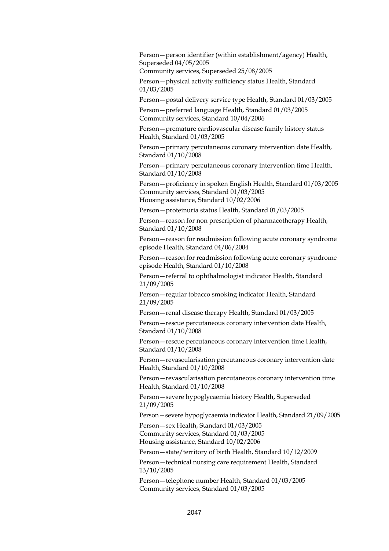Person—person identifier (within establishment/agency) Health, Superseded 04/05/2005

Community services, Superseded 25/08/2005

Person—physical activity sufficiency status Health, Standard 01/03/2005

Person—postal delivery service type Health, Standard 01/03/2005

Person—preferred language Health, Standard 01/03/2005 Community services, Standard 10/04/2006

Person—premature cardiovascular disease family history status Health, Standard 01/03/2005

Person—primary percutaneous coronary intervention date Health, Standard 01/10/2008

Person—primary percutaneous coronary intervention time Health, Standard 01/10/2008

Person—proficiency in spoken English Health, Standard 01/03/2005 Community services, Standard 01/03/2005 Housing assistance, Standard 10/02/2006

Person—proteinuria status Health, Standard 01/03/2005

Person—reason for non prescription of pharmacotherapy Health, Standard 01/10/2008

Person—reason for readmission following acute coronary syndrome episode Health, Standard 04/06/2004

Person—reason for readmission following acute coronary syndrome episode Health, Standard 01/10/2008

Person—referral to ophthalmologist indicator Health, Standard 21/09/2005

Person—regular tobacco smoking indicator Health, Standard 21/09/2005

Person—renal disease therapy Health, Standard 01/03/2005

Person—rescue percutaneous coronary intervention date Health, Standard 01/10/2008

Person—rescue percutaneous coronary intervention time Health, Standard 01/10/2008

Person—revascularisation percutaneous coronary intervention date Health, Standard 01/10/2008

Person—revascularisation percutaneous coronary intervention time Health, Standard 01/10/2008

Person—severe hypoglycaemia history Health, Superseded 21/09/2005

Person—severe hypoglycaemia indicator Health, Standard 21/09/2005

Person—sex Health, Standard 01/03/2005 Community services, Standard 01/03/2005 Housing assistance, Standard 10/02/2006

Person—state/territory of birth Health, Standard 10/12/2009

Person—technical nursing care requirement Health, Standard 13/10/2005

Person—telephone number Health, Standard 01/03/2005 Community services, Standard 01/03/2005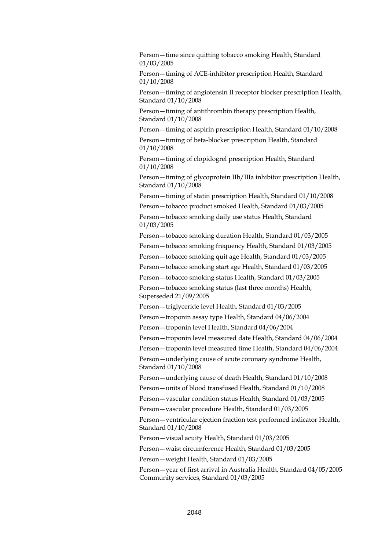Person—time since quitting tobacco smoking Health, Standard 01/03/2005

Person—timing of ACE-inhibitor prescription Health, Standard 01/10/2008

Person—timing of angiotensin II receptor blocker prescription Health, Standard 01/10/2008

Person—timing of antithrombin therapy prescription Health, Standard 01/10/2008

Person—timing of aspirin prescription Health, Standard 01/10/2008

Person—timing of beta-blocker prescription Health, Standard 01/10/2008

Person—timing of clopidogrel prescription Health, Standard 01/10/2008

Person—timing of glycoprotein IIb/IIIa inhibitor prescription Health, Standard 01/10/2008

Person—timing of statin prescription Health, Standard 01/10/2008

Person—tobacco product smoked Health, Standard 01/03/2005

Person—tobacco smoking daily use status Health, Standard 01/03/2005

Person—tobacco smoking duration Health, Standard 01/03/2005 Person—tobacco smoking frequency Health, Standard 01/03/2005

Person—tobacco smoking quit age Health, Standard 01/03/2005

Person—tobacco smoking start age Health, Standard 01/03/2005

Person—tobacco smoking status Health, Standard 01/03/2005 Person—tobacco smoking status (last three months) Health, Superseded 21/09/2005

Person—triglyceride level Health, Standard 01/03/2005

Person—troponin assay type Health, Standard 04/06/2004

Person—troponin level Health, Standard 04/06/2004

Person—troponin level measured date Health, Standard 04/06/2004

Person—troponin level measured time Health, Standard 04/06/2004

Person—underlying cause of acute coronary syndrome Health, Standard 01/10/2008

Person—underlying cause of death Health, Standard 01/10/2008

Person—units of blood transfused Health, Standard 01/10/2008

Person—vascular condition status Health, Standard 01/03/2005

Person—vascular procedure Health, Standard 01/03/2005

Person—ventricular ejection fraction test performed indicator Health, Standard 01/10/2008

Person—visual acuity Health, Standard 01/03/2005

Person—waist circumference Health, Standard 01/03/2005

Person—weight Health, Standard 01/03/2005

Person—year of first arrival in Australia Health, Standard 04/05/2005 Community services, Standard 01/03/2005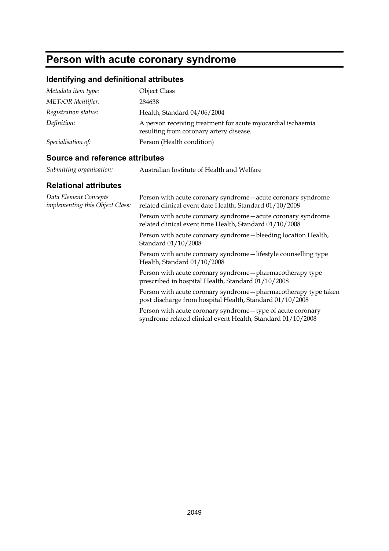## **Person with acute coronary syndrome**

## **Identifying and definitional attributes**

| Metadata item type:  | <b>Object Class</b>                                                                                    |
|----------------------|--------------------------------------------------------------------------------------------------------|
| METeOR identifier:   | 284638                                                                                                 |
| Registration status: | Health, Standard 04/06/2004                                                                            |
| Definition:          | A person receiving treatment for acute myocardial ischaemia<br>resulting from coronary artery disease. |
| Specialisation of:   | Person (Health condition)                                                                              |

### **Source and reference attributes**

| Submitting organisation: | Australian Institute of Health and Welfare |
|--------------------------|--------------------------------------------|
|--------------------------|--------------------------------------------|

| Data Element Concepts<br>implementing this Object Class: | Person with acute coronary syndrome - acute coronary syndrome<br>related clinical event date Health, Standard 01/10/2008     |
|----------------------------------------------------------|------------------------------------------------------------------------------------------------------------------------------|
|                                                          | Person with acute coronary syndrome - acute coronary syndrome<br>related clinical event time Health, Standard 01/10/2008     |
|                                                          | Person with acute coronary syndrome—bleeding location Health,<br>Standard 01/10/2008                                         |
|                                                          | Person with acute coronary syndrome-lifestyle counselling type<br>Health, Standard 01/10/2008                                |
|                                                          | Person with acute coronary syndrome - pharmacotherapy type<br>prescribed in hospital Health, Standard 01/10/2008             |
|                                                          | Person with acute coronary syndrome - pharmacotherapy type taken<br>post discharge from hospital Health, Standard 01/10/2008 |
|                                                          | Person with acute coronary syndrome - type of acute coronary<br>syndrome related clinical event Health, Standard 01/10/2008  |
|                                                          |                                                                                                                              |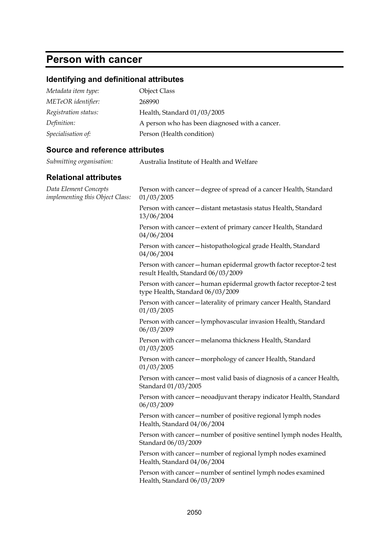## **Person with cancer**

## **Identifying and definitional attributes**

| Metadata item type:  | <b>Object Class</b>                            |
|----------------------|------------------------------------------------|
| METeOR identifier:   | 268990                                         |
| Registration status: | Health, Standard 01/03/2005                    |
| Definition:          | A person who has been diagnosed with a cancer. |
| Specialisation of:   | Person (Health condition)                      |

### **Source and reference attributes**

| Submitting organisation: | Australia Institute of Health and Welfare |
|--------------------------|-------------------------------------------|
|--------------------------|-------------------------------------------|

| Data Element Concepts<br>implementing this Object Class: | Person with cancer - degree of spread of a cancer Health, Standard<br>01/03/2005                         |
|----------------------------------------------------------|----------------------------------------------------------------------------------------------------------|
|                                                          | Person with cancer - distant metastasis status Health, Standard<br>13/06/2004                            |
|                                                          | Person with cancer - extent of primary cancer Health, Standard<br>04/06/2004                             |
|                                                          | Person with cancer-histopathological grade Health, Standard<br>04/06/2004                                |
|                                                          | Person with cancer - human epidermal growth factor receptor-2 test<br>result Health, Standard 06/03/2009 |
|                                                          | Person with cancer-human epidermal growth factor receptor-2 test<br>type Health, Standard 06/03/2009     |
|                                                          | Person with cancer-laterality of primary cancer Health, Standard<br>01/03/2005                           |
|                                                          | Person with cancer-lymphovascular invasion Health, Standard<br>06/03/2009                                |
|                                                          | Person with cancer - melanoma thickness Health, Standard<br>01/03/2005                                   |
|                                                          | Person with cancer - morphology of cancer Health, Standard<br>01/03/2005                                 |
|                                                          | Person with cancer - most valid basis of diagnosis of a cancer Health,<br>Standard 01/03/2005            |
|                                                          | Person with cancer - neoadjuvant therapy indicator Health, Standard<br>06/03/2009                        |
|                                                          | Person with cancer-number of positive regional lymph nodes<br>Health, Standard 04/06/2004                |
|                                                          | Person with cancer - number of positive sentinel lymph nodes Health,<br>Standard 06/03/2009              |
|                                                          | Person with cancer - number of regional lymph nodes examined<br>Health, Standard 04/06/2004              |
|                                                          | Person with cancer - number of sentinel lymph nodes examined<br>Health, Standard 06/03/2009              |
|                                                          |                                                                                                          |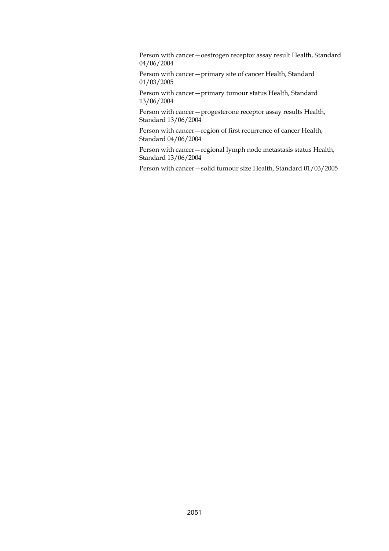Person with cancer—oestrogen receptor assay result Health, Standard 04/06/2004

Person with cancer—primary site of cancer Health, Standard 01/03/2005

Person with cancer—primary tumour status Health, Standard 13/06/2004

Person with cancer—progesterone receptor assay results Health, Standard 13/06/2004

Person with cancer—region of first recurrence of cancer Health, Standard 04/06/2004

Person with cancer—regional lymph node metastasis status Health, Standard 13/06/2004

Person with cancer—solid tumour size Health, Standard 01/03/2005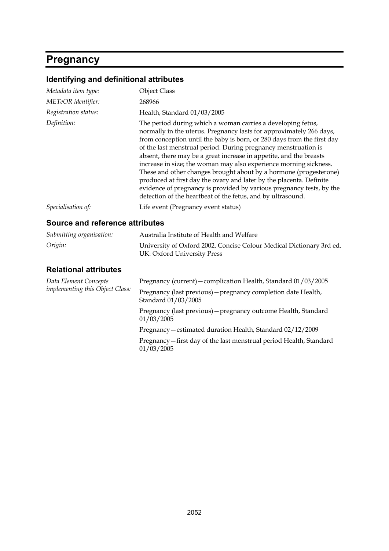# **Pregnancy**

# **Identifying and definitional attributes**

| Metadata item type:                    | <b>Object Class</b>                                                                                                                                                                                                                                                                                                                                                                                                                                                                                                                                                                                                                                                                                          |
|----------------------------------------|--------------------------------------------------------------------------------------------------------------------------------------------------------------------------------------------------------------------------------------------------------------------------------------------------------------------------------------------------------------------------------------------------------------------------------------------------------------------------------------------------------------------------------------------------------------------------------------------------------------------------------------------------------------------------------------------------------------|
| METeOR identifier:                     | 268966                                                                                                                                                                                                                                                                                                                                                                                                                                                                                                                                                                                                                                                                                                       |
| Registration status:                   | Health, Standard 01/03/2005                                                                                                                                                                                                                                                                                                                                                                                                                                                                                                                                                                                                                                                                                  |
| Definition:                            | The period during which a woman carries a developing fetus,<br>normally in the uterus. Pregnancy lasts for approximately 266 days,<br>from conception until the baby is born, or 280 days from the first day<br>of the last menstrual period. During pregnancy menstruation is<br>absent, there may be a great increase in appetite, and the breasts<br>increase in size; the woman may also experience morning sickness.<br>These and other changes brought about by a hormone (progesterone)<br>produced at first day the ovary and later by the placenta. Definite<br>evidence of pregnancy is provided by various pregnancy tests, by the<br>detection of the heartbeat of the fetus, and by ultrasound. |
| Specialisation of:                     | Life event (Pregnancy event status)                                                                                                                                                                                                                                                                                                                                                                                                                                                                                                                                                                                                                                                                          |
| <b>Source and reference attributes</b> |                                                                                                                                                                                                                                                                                                                                                                                                                                                                                                                                                                                                                                                                                                              |
| Submitting organisation:               | Australia Institute of Health and Welfare                                                                                                                                                                                                                                                                                                                                                                                                                                                                                                                                                                                                                                                                    |
| Origin:                                | University of Oxford 2002. Concise Colour Medical Dictionary 3rd ed.<br>UK: Oxford University Press                                                                                                                                                                                                                                                                                                                                                                                                                                                                                                                                                                                                          |
| <b>Relational attributes</b>           |                                                                                                                                                                                                                                                                                                                                                                                                                                                                                                                                                                                                                                                                                                              |
| Data Element Concepts                  | Pregnancy (current) - complication Health, Standard 01/03/2005                                                                                                                                                                                                                                                                                                                                                                                                                                                                                                                                                                                                                                               |
| <i>implementing this Object Class:</i> | Pregnancy (last previous) - pregnancy completion date Health,<br>Standard 01/03/2005                                                                                                                                                                                                                                                                                                                                                                                                                                                                                                                                                                                                                         |
|                                        | Pregnancy (last previous) - pregnancy outcome Health, Standard<br>01/03/2005                                                                                                                                                                                                                                                                                                                                                                                                                                                                                                                                                                                                                                 |
|                                        | Pregnancy - estimated duration Health, Standard 02/12/2009                                                                                                                                                                                                                                                                                                                                                                                                                                                                                                                                                                                                                                                   |
|                                        | Pregnancy-first day of the last menstrual period Health, Standard<br>01/03/2005                                                                                                                                                                                                                                                                                                                                                                                                                                                                                                                                                                                                                              |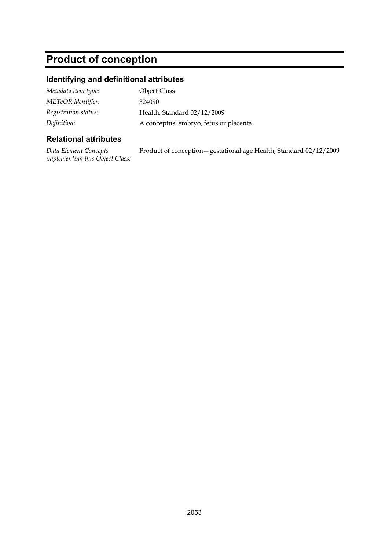# **Product of conception**

# **Identifying and definitional attributes**

| Metadata item type:  | <b>Object Class</b>                     |
|----------------------|-----------------------------------------|
| METeOR identifier:   | 324090                                  |
| Registration status: | Health, Standard 02/12/2009             |
| Definition:          | A conceptus, embryo, fetus or placenta. |

| Data Element Concepts                  | Product of conception - gestational age Health, Standard 02/12/2009 |
|----------------------------------------|---------------------------------------------------------------------|
| <i>implementing this Object Class:</i> |                                                                     |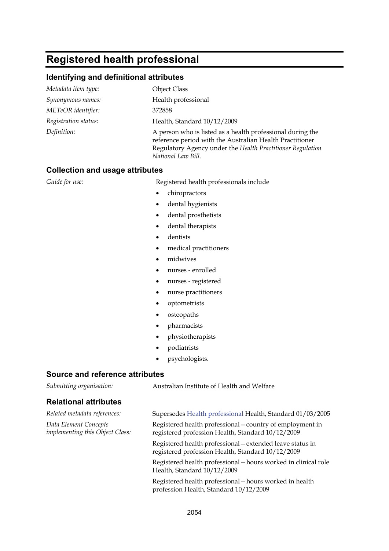# **Registered health professional**

### **Identifying and definitional attributes**

| Metadata item type:  | <b>Object Class</b>                                                                                                                                                                                        |
|----------------------|------------------------------------------------------------------------------------------------------------------------------------------------------------------------------------------------------------|
| Synonymous names:    | Health professional                                                                                                                                                                                        |
| METeOR identifier:   | 372858                                                                                                                                                                                                     |
| Registration status: | Health, Standard 10/12/2009                                                                                                                                                                                |
| Definition:          | A person who is listed as a health professional during the<br>reference period with the Australian Health Practitioner<br>Regulatory Agency under the Health Practitioner Regulation<br>National Law Bill. |

### **Collection and usage attributes**

Guide for use: **Registered health professionals include** 

- chiropractors
- dental hygienists
- dental prosthetists
- dental therapists
- dentists
- medical practitioners
- midwives
- nurses enrolled
- nurses registered
- nurse practitioners
- optometrists
- osteopaths
- pharmacists
- physiotherapists
- podiatrists
- psychologists.

### **Source and reference attributes**

*Submitting organisation:* Australian Institute of Health and Welfare

| Related metadata references:                             | Supersedes Health professional Health, Standard 01/03/2005                                                     |
|----------------------------------------------------------|----------------------------------------------------------------------------------------------------------------|
| Data Element Concepts<br>implementing this Object Class: | Registered health professional – country of employment in<br>registered profession Health, Standard 10/12/2009 |
|                                                          | Registered health professional – extended leave status in<br>registered profession Health, Standard 10/12/2009 |
|                                                          | Registered health professional - hours worked in clinical role<br>Health, Standard 10/12/2009                  |
|                                                          | Registered health professional - hours worked in health<br>profession Health, Standard 10/12/2009              |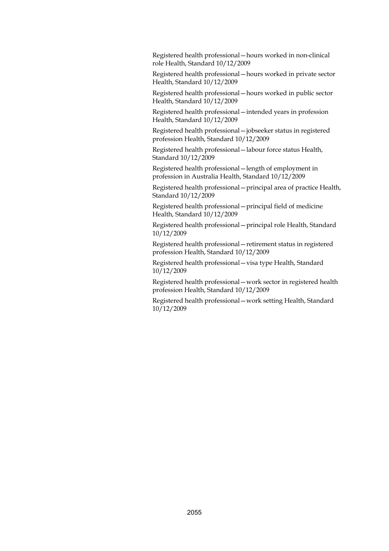Registered health professional—hours worked in non-clinical role Health, Standard 10/12/2009

Registered health professional—hours worked in private sector Health, Standard 10/12/2009

Registered health professional—hours worked in public sector Health, Standard 10/12/2009

Registered health professional—intended years in profession Health, Standard 10/12/2009

Registered health professional—jobseeker status in registered profession Health, Standard 10/12/2009

Registered health professional—labour force status Health, Standard 10/12/2009

Registered health professional—length of employment in profession in Australia Health, Standard 10/12/2009

Registered health professional—principal area of practice Health, Standard 10/12/2009

Registered health professional—principal field of medicine Health, Standard 10/12/2009

Registered health professional—principal role Health, Standard 10/12/2009

Registered health professional—retirement status in registered profession Health, Standard 10/12/2009

Registered health professional—visa type Health, Standard 10/12/2009

Registered health professional—work sector in registered health profession Health, Standard 10/12/2009

Registered health professional—work setting Health, Standard 10/12/2009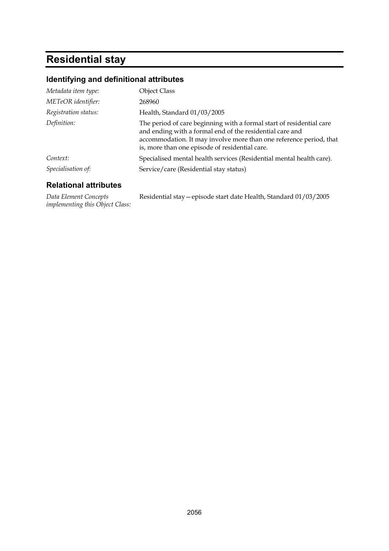# **Residential stay**

## **Identifying and definitional attributes**

| Metadata item type:  | <b>Object Class</b>                                                                                                                                                                                                                                      |
|----------------------|----------------------------------------------------------------------------------------------------------------------------------------------------------------------------------------------------------------------------------------------------------|
| METeOR identifier:   | 268960                                                                                                                                                                                                                                                   |
| Registration status: | Health, Standard 01/03/2005                                                                                                                                                                                                                              |
| Definition:          | The period of care beginning with a formal start of residential care<br>and ending with a formal end of the residential care and<br>accommodation. It may involve more than one reference period, that<br>is, more than one episode of residential care. |
| Context:             | Specialised mental health services (Residential mental health care).                                                                                                                                                                                     |
| Specialisation of:   | Service/care (Residential stay status)                                                                                                                                                                                                                   |

### **Relational attributes**

*Data Element Concepts implementing this Object Class:* Residential stay—episode start date Health, Standard 01/03/2005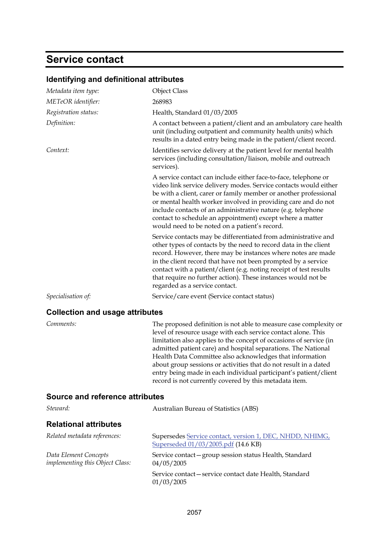# **Service contact**

| Metadata item type:                                      | <b>Object Class</b>                                                                                                                                                                                                                                                                                                                                                                                                                                                                                                                     |
|----------------------------------------------------------|-----------------------------------------------------------------------------------------------------------------------------------------------------------------------------------------------------------------------------------------------------------------------------------------------------------------------------------------------------------------------------------------------------------------------------------------------------------------------------------------------------------------------------------------|
| METeOR identifier:                                       | 268983                                                                                                                                                                                                                                                                                                                                                                                                                                                                                                                                  |
| Registration status:                                     | Health, Standard 01/03/2005                                                                                                                                                                                                                                                                                                                                                                                                                                                                                                             |
| Definition:                                              | A contact between a patient/client and an ambulatory care health<br>unit (including outpatient and community health units) which<br>results in a dated entry being made in the patient/client record.                                                                                                                                                                                                                                                                                                                                   |
| Context:                                                 | Identifies service delivery at the patient level for mental health<br>services (including consultation/liaison, mobile and outreach<br>services).                                                                                                                                                                                                                                                                                                                                                                                       |
|                                                          | A service contact can include either face-to-face, telephone or<br>video link service delivery modes. Service contacts would either<br>be with a client, carer or family member or another professional<br>or mental health worker involved in providing care and do not<br>include contacts of an administrative nature (e.g. telephone<br>contact to schedule an appointment) except where a matter<br>would need to be noted on a patient's record.                                                                                  |
|                                                          | Service contacts may be differentiated from administrative and<br>other types of contacts by the need to record data in the client<br>record. However, there may be instances where notes are made<br>in the client record that have not been prompted by a service<br>contact with a patient/client (e.g. noting receipt of test results<br>that require no further action). These instances would not be<br>regarded as a service contact.                                                                                            |
| Specialisation of:                                       | Service/care event (Service contact status)                                                                                                                                                                                                                                                                                                                                                                                                                                                                                             |
| <b>Collection and usage attributes</b>                   |                                                                                                                                                                                                                                                                                                                                                                                                                                                                                                                                         |
|                                                          |                                                                                                                                                                                                                                                                                                                                                                                                                                                                                                                                         |
| Comments:                                                | The proposed definition is not able to measure case complexity or<br>level of resource usage with each service contact alone. This<br>limitation also applies to the concept of occasions of service (in<br>admitted patient care) and hospital separations. The National<br>Health Data Committee also acknowledges that information<br>about group sessions or activities that do not result in a dated<br>entry being made in each individual participant's patient/client<br>record is not currently covered by this metadata item. |
| <b>Source and reference attributes</b>                   |                                                                                                                                                                                                                                                                                                                                                                                                                                                                                                                                         |
| Steward:                                                 | Australian Bureau of Statistics (ABS)                                                                                                                                                                                                                                                                                                                                                                                                                                                                                                   |
| <b>Relational attributes</b>                             |                                                                                                                                                                                                                                                                                                                                                                                                                                                                                                                                         |
| Related metadata references:                             | Supersedes Service contact, version 1, DEC, NHDD, NHIMG,<br>Superseded 01/03/2005.pdf (14.6 KB)                                                                                                                                                                                                                                                                                                                                                                                                                                         |
| Data Element Concepts<br>implementing this Object Class: | Service contact - group session status Health, Standard<br>04/05/2005                                                                                                                                                                                                                                                                                                                                                                                                                                                                   |

### **Identifying and definitional attributes**

Service contact—service contact date Health, Standard 01/03/2005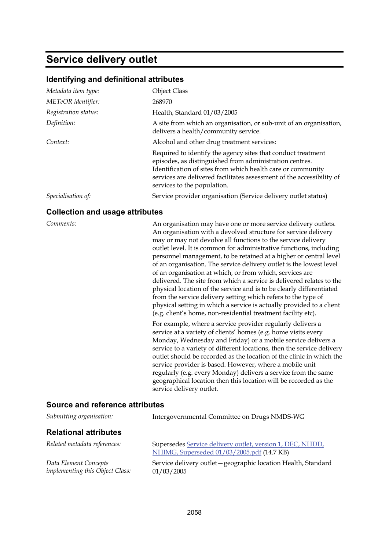# **Service delivery outlet**

### **Identifying and definitional attributes**

| Metadata item type:  | <b>Object Class</b>                                                                                                                                                                                                                                                                            |
|----------------------|------------------------------------------------------------------------------------------------------------------------------------------------------------------------------------------------------------------------------------------------------------------------------------------------|
| METeOR identifier:   | 268970                                                                                                                                                                                                                                                                                         |
| Registration status: | Health, Standard 01/03/2005                                                                                                                                                                                                                                                                    |
| Definition:          | A site from which an organisation, or sub-unit of an organisation,<br>delivers a health/community service.                                                                                                                                                                                     |
| Context:             | Alcohol and other drug treatment services:                                                                                                                                                                                                                                                     |
|                      | Required to identify the agency sites that conduct treatment<br>episodes, as distinguished from administration centres.<br>Identification of sites from which health care or community<br>services are delivered facilitates assessment of the accessibility of<br>services to the population. |
| Specialisation of:   | Service provider organisation (Service delivery outlet status)                                                                                                                                                                                                                                 |

### **Collection and usage attributes**

*Comments:* An organisation may have one or more service delivery outlets. An organisation with a devolved structure for service delivery may or may not devolve all functions to the service delivery outlet level. It is common for administrative functions, including personnel management, to be retained at a higher or central level of an organisation. The service delivery outlet is the lowest level of an organisation at which, or from which, services are delivered. The site from which a service is delivered relates to the physical location of the service and is to be clearly differentiated from the service delivery setting which refers to the type of physical setting in which a service is actually provided to a client (e.g. client's home, non-residential treatment facility etc).

> For example, where a service provider regularly delivers a service at a variety of clients' homes (e.g. home visits every Monday, Wednesday and Friday) or a mobile service delivers a service to a variety of different locations, then the service delivery outlet should be recorded as the location of the clinic in which the service provider is based. However, where a mobile unit regularly (e.g. every Monday) delivers a service from the same geographical location then this location will be recorded as the service delivery outlet.

### **Source and reference attributes**

| Submitting organisation:                                 | Intergovernmental Committee on Drugs NMDS-WG                                                            |
|----------------------------------------------------------|---------------------------------------------------------------------------------------------------------|
| <b>Relational attributes</b>                             |                                                                                                         |
| Related metadata references:                             | Supersedes Service delivery outlet, version 1, DEC, NHDD,<br>NHIMG, Superseded 01/03/2005.pdf (14.7 KB) |
| Data Element Concepts<br>implementing this Object Class: | Service delivery outlet – geographic location Health, Standard<br>01/03/2005                            |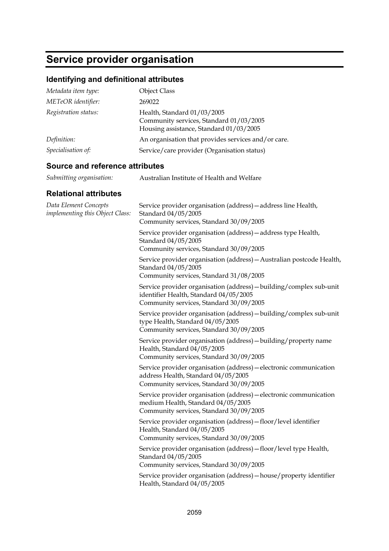# **Service provider organisation**

## **Identifying and definitional attributes**

| Metadata item type:  | <b>Object Class</b>                                                                                               |
|----------------------|-------------------------------------------------------------------------------------------------------------------|
| METeOR identifier:   | 269022                                                                                                            |
| Registration status: | Health, Standard 01/03/2005<br>Community services, Standard 01/03/2005<br>Housing assistance, Standard 01/03/2005 |
| Definition:          | An organisation that provides services and/or care.                                                               |
| Specialisation of:   | Service/care provider (Organisation status)                                                                       |

## **Source and reference attributes**

| Submitting organisation: | Australian Institute of Health and Welfare |
|--------------------------|--------------------------------------------|
|--------------------------|--------------------------------------------|

| Data Element Concepts<br>implementing this Object Class: | Service provider organisation (address) - address line Health,<br>Standard 04/05/2005<br>Community services, Standard 30/09/2005                         |
|----------------------------------------------------------|----------------------------------------------------------------------------------------------------------------------------------------------------------|
|                                                          | Service provider organisation (address) - address type Health,<br>Standard 04/05/2005<br>Community services, Standard 30/09/2005                         |
|                                                          | Service provider organisation (address) - Australian postcode Health,<br>Standard 04/05/2005<br>Community services, Standard 31/08/2005                  |
|                                                          | Service provider organisation (address) - building/complex sub-unit<br>identifier Health, Standard 04/05/2005<br>Community services, Standard 30/09/2005 |
|                                                          | Service provider organisation (address) - building/complex sub-unit<br>type Health, Standard 04/05/2005<br>Community services, Standard 30/09/2005       |
|                                                          | Service provider organisation (address) - building/property name<br>Health, Standard 04/05/2005<br>Community services, Standard 30/09/2005               |
|                                                          | Service provider organisation (address) - electronic communication<br>address Health, Standard 04/05/2005<br>Community services, Standard 30/09/2005     |
|                                                          | Service provider organisation (address) - electronic communication<br>medium Health, Standard 04/05/2005<br>Community services, Standard 30/09/2005      |
|                                                          | Service provider organisation (address) - floor/level identifier<br>Health, Standard 04/05/2005<br>Community services, Standard 30/09/2005               |
|                                                          | Service provider organisation (address) - floor/level type Health,<br>Standard 04/05/2005<br>Community services, Standard 30/09/2005                     |
|                                                          | Service provider organisation (address) - house/ property identifier<br>Health, Standard 04/05/2005                                                      |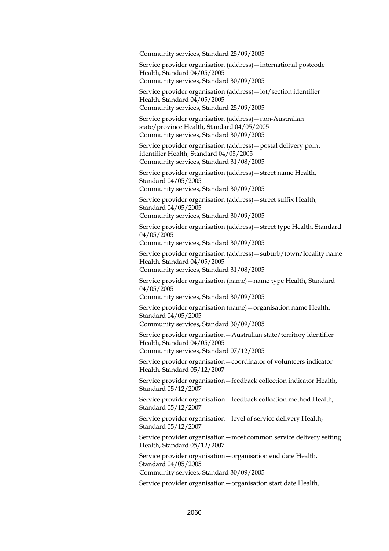Community services, Standard 25/09/2005

Service provider organisation (address)—international postcode Health, Standard 04/05/2005 Community services, Standard 30/09/2005

Service provider organisation (address)—lot/section identifier Health, Standard 04/05/2005 Community services, Standard 25/09/2005

Service provider organisation (address)—non-Australian state/province Health, Standard 04/05/2005 Community services, Standard 30/09/2005

Service provider organisation (address)—postal delivery point identifier Health, Standard 04/05/2005 Community services, Standard 31/08/2005

Service provider organisation (address)—street name Health, Standard 04/05/2005

Community services, Standard 30/09/2005

Service provider organisation (address)—street suffix Health, Standard 04/05/2005

Community services, Standard 30/09/2005

Service provider organisation (address)—street type Health, Standard 04/05/2005

Community services, Standard 30/09/2005

Service provider organisation (address)—suburb/town/locality name Health, Standard 04/05/2005

Community services, Standard 31/08/2005

Service provider organisation (name)—name type Health, Standard 04/05/2005

Community services, Standard 30/09/2005

Service provider organisation (name)—organisation name Health, Standard 04/05/2005

Community services, Standard 30/09/2005

Service provider organisation—Australian state/territory identifier Health, Standard 04/05/2005

Community services, Standard 07/12/2005

Service provider organisation—coordinator of volunteers indicator Health, Standard 05/12/2007

Service provider organisation—feedback collection indicator Health, Standard 05/12/2007

Service provider organisation—feedback collection method Health, Standard 05/12/2007

Service provider organisation—level of service delivery Health, Standard 05/12/2007

Service provider organisation—most common service delivery setting Health, Standard 05/12/2007

Service provider organisation—organisation end date Health, Standard 04/05/2005 Community services, Standard 30/09/2005

Service provider organisation—organisation start date Health,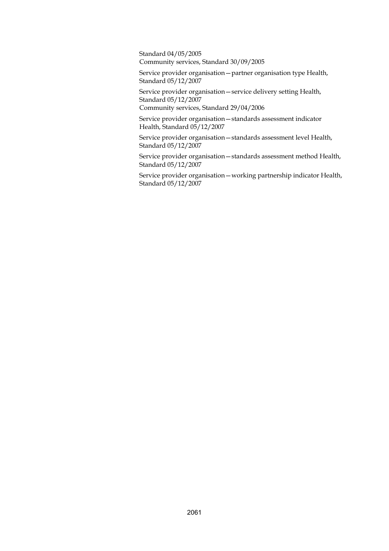Standard 04/05/2005 Community services, Standard 30/09/2005

Service provider organisation—partner organisation type Health, Standard 05/12/2007

Service provider organisation—service delivery setting Health, Standard 05/12/2007 Community services, Standard 29/04/2006

Service provider organisation—standards assessment indicator Health, Standard 05/12/2007

Service provider organisation—standards assessment level Health, Standard 05/12/2007

Service provider organisation—standards assessment method Health, Standard 05/12/2007

Service provider organisation—working partnership indicator Health, Standard 05/12/2007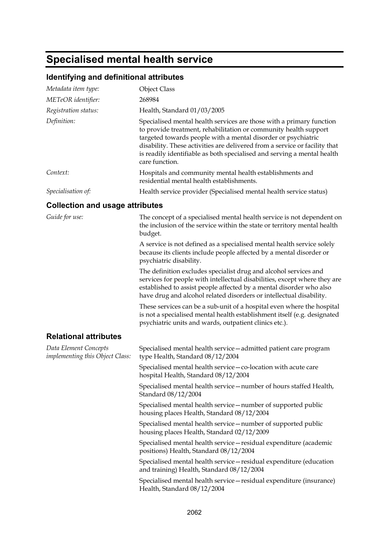# **Specialised mental health service**

## **Identifying and definitional attributes**

| <u>identifying and definitional attributes</u>           |                                                                                                                                                                                                                                                                                                                                                                                      |
|----------------------------------------------------------|--------------------------------------------------------------------------------------------------------------------------------------------------------------------------------------------------------------------------------------------------------------------------------------------------------------------------------------------------------------------------------------|
| Metadata item type:                                      | <b>Object Class</b>                                                                                                                                                                                                                                                                                                                                                                  |
| METeOR identifier:                                       | 268984                                                                                                                                                                                                                                                                                                                                                                               |
| Registration status:                                     | Health, Standard 01/03/2005                                                                                                                                                                                                                                                                                                                                                          |
| Definition:                                              | Specialised mental health services are those with a primary function<br>to provide treatment, rehabilitation or community health support<br>targeted towards people with a mental disorder or psychiatric<br>disability. These activities are delivered from a service or facility that<br>is readily identifiable as both specialised and serving a mental health<br>care function. |
| Context:                                                 | Hospitals and community mental health establishments and<br>residential mental health establishments.                                                                                                                                                                                                                                                                                |
| Specialisation of:                                       | Health service provider (Specialised mental health service status)                                                                                                                                                                                                                                                                                                                   |
| <b>Collection and usage attributes</b>                   |                                                                                                                                                                                                                                                                                                                                                                                      |
| Guide for use:                                           | The concept of a specialised mental health service is not dependent on<br>the inclusion of the service within the state or territory mental health<br>budget.                                                                                                                                                                                                                        |
|                                                          | A service is not defined as a specialised mental health service solely<br>because its clients include people affected by a mental disorder or<br>psychiatric disability.                                                                                                                                                                                                             |
|                                                          | The definition excludes specialist drug and alcohol services and<br>services for people with intellectual disabilities, except where they are<br>established to assist people affected by a mental disorder who also<br>have drug and alcohol related disorders or intellectual disability.                                                                                          |
|                                                          | These services can be a sub-unit of a hospital even where the hospital<br>is not a specialised mental health establishment itself (e.g. designated<br>psychiatric units and wards, outpatient clinics etc.).                                                                                                                                                                         |
| <b>Relational attributes</b>                             |                                                                                                                                                                                                                                                                                                                                                                                      |
| Data Element Concepts<br>implementing this Object Class: | Specialised mental health service - admitted patient care program<br>type Health, Standard 08/12/2004                                                                                                                                                                                                                                                                                |
|                                                          | Specialised mental health service - co-location with acute care<br>hospital Health, Standard 08/12/2004                                                                                                                                                                                                                                                                              |
|                                                          | Specialised mental health service - number of hours staffed Health,<br>Standard 08/12/2004                                                                                                                                                                                                                                                                                           |
|                                                          | Specialised mental health service – number of supported public<br>housing places Health, Standard 08/12/2004                                                                                                                                                                                                                                                                         |
|                                                          | Specialised mental health service-number of supported public<br>housing places Health, Standard 02/12/2009                                                                                                                                                                                                                                                                           |
|                                                          | Specialised mental health service - residual expenditure (academic<br>positions) Health, Standard 08/12/2004                                                                                                                                                                                                                                                                         |
|                                                          | Specialised mental health service – residual expenditure (education<br>and training) Health, Standard 08/12/2004                                                                                                                                                                                                                                                                     |
|                                                          | Specialised mental health service - residual expenditure (insurance)<br>Health, Standard 08/12/2004                                                                                                                                                                                                                                                                                  |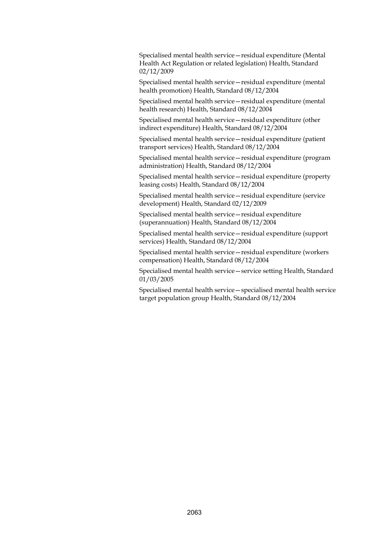Specialised mental health service—residual expenditure (Mental Health Act Regulation or related legislation) Health, Standard 02/12/2009

Specialised mental health service—residual expenditure (mental health promotion) Health, Standard 08/12/2004

Specialised mental health service—residual expenditure (mental health research) Health, Standard 08/12/2004

Specialised mental health service—residual expenditure (other indirect expenditure) Health, Standard 08/12/2004

Specialised mental health service—residual expenditure (patient transport services) Health, Standard 08/12/2004

Specialised mental health service—residual expenditure (program administration) Health, Standard 08/12/2004

Specialised mental health service—residual expenditure (property leasing costs) Health, Standard 08/12/2004

Specialised mental health service—residual expenditure (service development) Health, Standard 02/12/2009

Specialised mental health service—residual expenditure (superannuation) Health, Standard 08/12/2004

Specialised mental health service—residual expenditure (support services) Health, Standard 08/12/2004

Specialised mental health service—residual expenditure (workers compensation) Health, Standard 08/12/2004

Specialised mental health service—service setting Health, Standard 01/03/2005

Specialised mental health service—specialised mental health service target population group Health, Standard 08/12/2004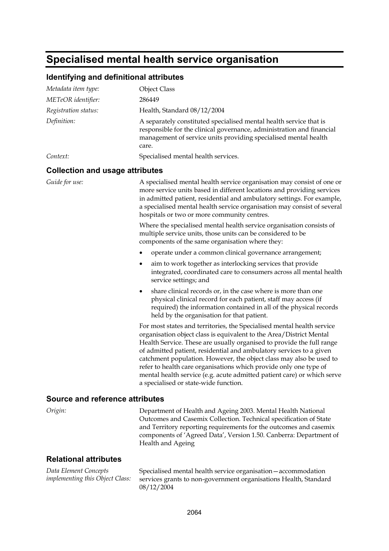# **Specialised mental health service organisation**

## **Identifying and definitional attributes**

| Metadata item type:                    | <b>Object Class</b>                                                                                                                                                                                                                                                                                                                                                                                                                                                                                                                                           |
|----------------------------------------|---------------------------------------------------------------------------------------------------------------------------------------------------------------------------------------------------------------------------------------------------------------------------------------------------------------------------------------------------------------------------------------------------------------------------------------------------------------------------------------------------------------------------------------------------------------|
| METeOR identifier:                     | 286449                                                                                                                                                                                                                                                                                                                                                                                                                                                                                                                                                        |
| Registration status:                   | Health, Standard 08/12/2004                                                                                                                                                                                                                                                                                                                                                                                                                                                                                                                                   |
| Definition:                            | A separately constituted specialised mental health service that is<br>responsible for the clinical governance, administration and financial<br>management of service units providing specialised mental health<br>care.                                                                                                                                                                                                                                                                                                                                       |
| Context:                               | Specialised mental health services.                                                                                                                                                                                                                                                                                                                                                                                                                                                                                                                           |
| <b>Collection and usage attributes</b> |                                                                                                                                                                                                                                                                                                                                                                                                                                                                                                                                                               |
| Guide for use:                         | A specialised mental health service organisation may consist of one or<br>more service units based in different locations and providing services<br>in admitted patient, residential and ambulatory settings. For example,<br>a specialised mental health service organisation may consist of several<br>hospitals or two or more community centres.                                                                                                                                                                                                          |
|                                        | Where the specialised mental health service organisation consists of<br>multiple service units, those units can be considered to be<br>components of the same organisation where they:                                                                                                                                                                                                                                                                                                                                                                        |
|                                        | operate under a common clinical governance arrangement;                                                                                                                                                                                                                                                                                                                                                                                                                                                                                                       |
|                                        | aim to work together as interlocking services that provide<br>integrated, coordinated care to consumers across all mental health<br>service settings; and                                                                                                                                                                                                                                                                                                                                                                                                     |
|                                        | share clinical records or, in the case where is more than one<br>٠<br>physical clinical record for each patient, staff may access (if<br>required) the information contained in all of the physical records<br>held by the organisation for that patient.                                                                                                                                                                                                                                                                                                     |
|                                        | For most states and territories, the Specialised mental health service<br>organisation object class is equivalent to the Area/District Mental<br>Health Service. These are usually organised to provide the full range<br>of admitted patient, residential and ambulatory services to a given<br>catchment population. However, the object class may also be used to<br>refer to health care organisations which provide only one type of<br>mental health service (e.g. acute admitted patient care) or which serve<br>a specialised or state-wide function. |
| Source and reference attributes        |                                                                                                                                                                                                                                                                                                                                                                                                                                                                                                                                                               |
| Origin:                                | Department of Health and Ageing 2003. Mental Health National<br>Outcomes and Casemix Collection. Technical specification of State<br>and Territory reporting requirements for the outcomes and casemix<br>components of 'Agreed Data', Version 1.50. Canberra: Department of<br>Health and Ageing                                                                                                                                                                                                                                                             |

### **Relational attributes**

*Data Element Concepts implementing this Object Class:* Specialised mental health service organisation—accommodation services grants to non-government organisations Health, Standard 08/12/2004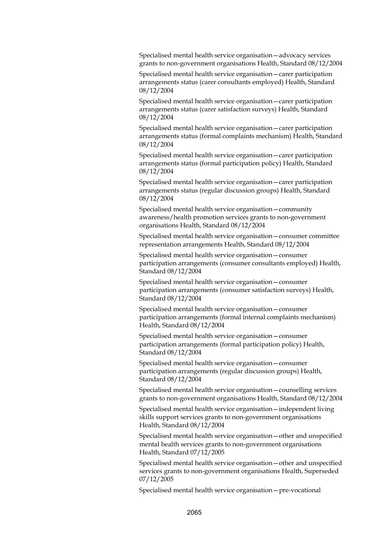Specialised mental health service organisation—advocacy services grants to non-government organisations Health, Standard 08/12/2004

Specialised mental health service organisation—carer participation arrangements status (carer consultants employed) Health, Standard 08/12/2004

Specialised mental health service organisation—carer participation arrangements status (carer satisfaction surveys) Health, Standard 08/12/2004

Specialised mental health service organisation—carer participation arrangements status (formal complaints mechanism) Health, Standard 08/12/2004

Specialised mental health service organisation—carer participation arrangements status (formal participation policy) Health, Standard 08/12/2004

Specialised mental health service organisation—carer participation arrangements status (regular discussion groups) Health, Standard 08/12/2004

Specialised mental health service organisation—community awareness/health promotion services grants to non-government organisations Health, Standard 08/12/2004

Specialised mental health service organisation—consumer committee representation arrangements Health, Standard 08/12/2004

Specialised mental health service organisation—consumer participation arrangements (consumer consultants employed) Health, Standard 08/12/2004

Specialised mental health service organisation—consumer participation arrangements (consumer satisfaction surveys) Health, Standard 08/12/2004

Specialised mental health service organisation—consumer participation arrangements (formal internal complaints mechanism) Health, Standard 08/12/2004

Specialised mental health service organisation—consumer participation arrangements (formal participation policy) Health, Standard 08/12/2004

Specialised mental health service organisation—consumer participation arrangements (regular discussion groups) Health, Standard 08/12/2004

Specialised mental health service organisation—counselling services grants to non-government organisations Health, Standard 08/12/2004

Specialised mental health service organisation—independent living skills support services grants to non-government organisations Health, Standard 08/12/2004

Specialised mental health service organisation—other and unspecified mental health services grants to non-government organisations Health, Standard 07/12/2005

Specialised mental health service organisation—other and unspecified services grants to non-government organisations Health, Superseded 07/12/2005

Specialised mental health service organisation—pre-vocational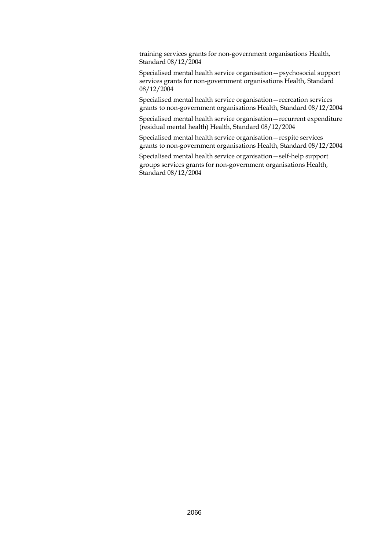training services grants for non-government organisations Health, Standard 08/12/2004

Specialised mental health service organisation—psychosocial support services grants for non-government organisations Health, Standard 08/12/2004

Specialised mental health service organisation—recreation services grants to non-government organisations Health, Standard 08/12/2004

Specialised mental health service organisation—recurrent expenditure (residual mental health) Health, Standard 08/12/2004

Specialised mental health service organisation—respite services grants to non-government organisations Health, Standard 08/12/2004

Specialised mental health service organisation—self-help support groups services grants for non-government organisations Health, Standard 08/12/2004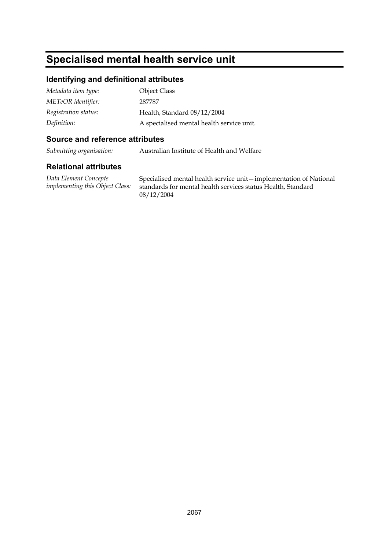# **Specialised mental health service unit**

### **Identifying and definitional attributes**

| Metadata item type:  | Object Class                              |
|----------------------|-------------------------------------------|
| METeOR identifier:   | 287787                                    |
| Registration status: | Health, Standard 08/12/2004               |
| Definition:          | A specialised mental health service unit. |

### **Source and reference attributes**

*Submitting organisation:* Australian Institute of Health and Welfare

### **Relational attributes**

*Data Element Concepts implementing this Object Class:* Specialised mental health service unit—implementation of National standards for mental health services status Health, Standard 08/12/2004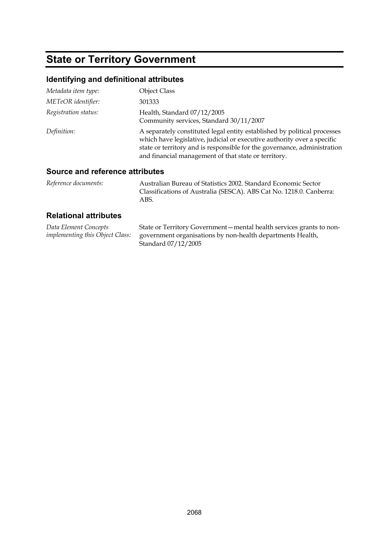# **State or Territory Government**

## **Identifying and definitional attributes**

| Metadata item type:  | Object Class                                                                                                                                                                                                                                                                            |
|----------------------|-----------------------------------------------------------------------------------------------------------------------------------------------------------------------------------------------------------------------------------------------------------------------------------------|
| METeOR identifier:   | 301333                                                                                                                                                                                                                                                                                  |
| Registration status: | Health, Standard 07/12/2005<br>Community services, Standard 30/11/2007                                                                                                                                                                                                                  |
| Definition:          | A separately constituted legal entity established by political processes<br>which have legislative, judicial or executive authority over a specific<br>state or territory and is responsible for the governance, administration<br>and financial management of that state or territory. |

### **Source and reference attributes**

| Reference documents: | Australian Bureau of Statistics 2002. Standard Economic Sector      |
|----------------------|---------------------------------------------------------------------|
|                      | Classifications of Australia (SESCA). ABS Cat No. 1218.0. Canberra: |
|                      | ABS.                                                                |

| Data Element Concepts                  | State or Territory Government – mental health services grants to non- |
|----------------------------------------|-----------------------------------------------------------------------|
| <i>implementing this Object Class:</i> | government organisations by non-health departments Health,            |
|                                        | Standard 07/12/2005                                                   |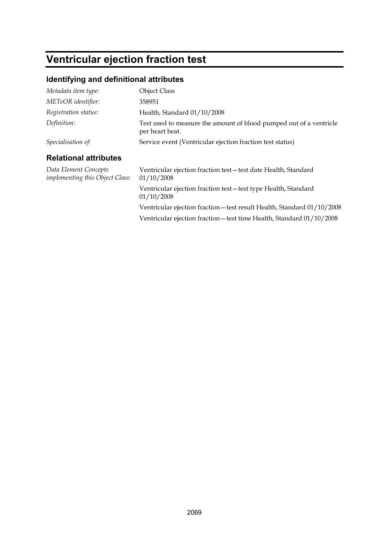# **Ventricular ejection fraction test**

## **Identifying and definitional attributes**

| Metadata item type:                                             | <b>Object Class</b>                                                                   |
|-----------------------------------------------------------------|---------------------------------------------------------------------------------------|
| METeOR identifier:                                              | 358951                                                                                |
| Registration status:                                            | Health, Standard 01/10/2008                                                           |
| Definition:                                                     | Test used to measure the amount of blood pumped out of a ventricle<br>per heart beat. |
| Specialisation of:                                              | Service event (Ventricular ejection fraction test status)                             |
| <b>Relational attributes</b>                                    |                                                                                       |
| Data Element Concepts<br><i>implementing this Object Class:</i> | Ventricular ejection fraction test-test date Health, Standard<br>01/10/2008           |
|                                                                 | Ventricular ejection fraction test-test type Health, Standard<br>01/10/2008           |
|                                                                 | Ventricular ejection fraction - test result Health, Standard 01/10/2008               |
|                                                                 | Ventricular ejection fraction - test time Health, Standard 01/10/2008                 |